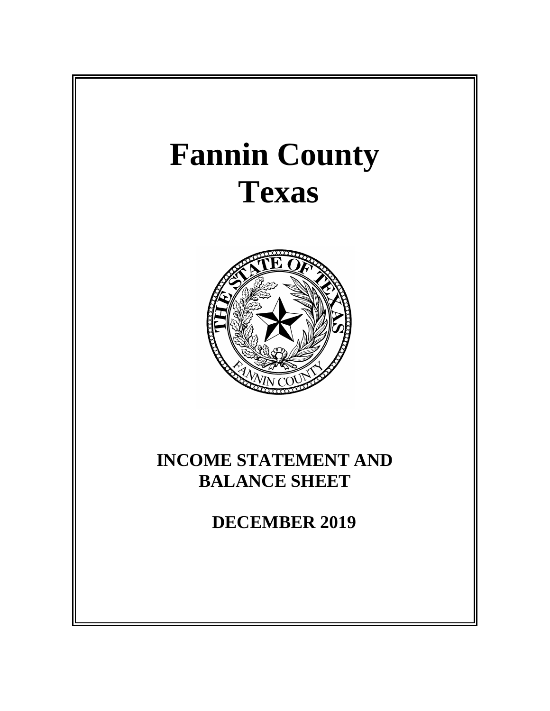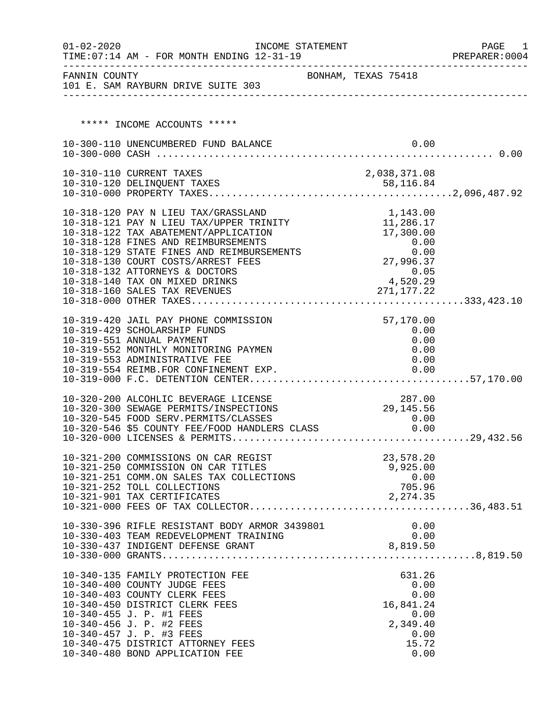| $01 - 02 - 2020$ | TIME: 07:14 AM - FOR MONTH ENDING 12-31-19                                                                                                                                                                                                 | INCOME STATEMENT |                     | PAGE<br>1<br>PREPARER: 0004 |
|------------------|--------------------------------------------------------------------------------------------------------------------------------------------------------------------------------------------------------------------------------------------|------------------|---------------------|-----------------------------|
|                  | FANNIN COUNTY<br>101 E. SAM RAYBURN DRIVE SUITE 303                                                                                                                                                                                        |                  | BONHAM, TEXAS 75418 |                             |
|                  |                                                                                                                                                                                                                                            |                  |                     |                             |
|                  | ***** INCOME ACCOUNTS *****                                                                                                                                                                                                                |                  |                     |                             |
|                  | 10-300-110 UNENCUMBERED FUND BALANCE                                                                                                                                                                                                       |                  | 0.00                |                             |
|                  |                                                                                                                                                                                                                                            |                  |                     |                             |
|                  | 10-310-110 CURRENT TAXES                                                                                                                                                                                                                   |                  | 2,038,371.08        |                             |
|                  |                                                                                                                                                                                                                                            |                  |                     |                             |
|                  | 10-318-120 PAY N LIEU TAX/GRASSLAND                                                                                                                                                                                                        |                  | 1,143.00            |                             |
|                  | 10-318-121 PAY N LIEU TAX/UPPER TRINITY                                                                                                                                                                                                    |                  | 11,286.17           |                             |
|                  | 10-318-122 TAX ABATEMENT/APPLICATION                                                                                                                                                                                                       |                  | 17,300.00           |                             |
|                  |                                                                                                                                                                                                                                            |                  |                     |                             |
|                  |                                                                                                                                                                                                                                            |                  |                     |                             |
|                  |                                                                                                                                                                                                                                            |                  |                     |                             |
|                  |                                                                                                                                                                                                                                            |                  |                     |                             |
|                  | 10-318-128 FINES AND REIMBURSEMENTS<br>10-318-129 STATE FINES AND REIMBURSEMENTS<br>10-318-130 COURT COSTS/ARREST FEES<br>10-318-130 COURT COSTS/ARREST FEES<br>10-318-140 TAX ON MIXED DRINKS<br>10-318-160 SALES TAX REVENUES<br>10-318- |                  |                     |                             |
|                  | 10-319-420 JAIL PAY PHONE COMMISSION                                                                                                                                                                                                       |                  | 57,170.00           |                             |
|                  | 10-319-429 SCHOLARSHIP FUNDS                                                                                                                                                                                                               |                  | 0.00                |                             |
|                  | 10-319-551 ANNUAL PAYMENT                                                                                                                                                                                                                  |                  | 0.00                |                             |
|                  | 10-319-552 MONTHLY MONITORING PAYMEN                                                                                                                                                                                                       |                  | 0.00                |                             |
|                  | 10-319-553 ADMINISTRATIVE FEE<br>10-319-554 REIMB.FOR CONFINEMENT EXP.                                                                                                                                                                     |                  | 0.00<br>0.00        |                             |
|                  |                                                                                                                                                                                                                                            |                  |                     |                             |
|                  | 10-320-200 ALCOHLIC BEVERAGE LICENSE                                                                                                                                                                                                       |                  | 287.00              |                             |
|                  | 10-320-300 SEWAGE PERMITS/INSPECTIONS                                                                                                                                                                                                      |                  | 29, 145.56          |                             |
|                  | 10-320-300 SEWAGE PERMITS/INSPECTIONS<br>10-320-545 FOOD SERV.PERMITS/CLASSES 0.00<br>10-320-546 \$5 COUNTY FEE/FOOD HANDLERS CLASS 0.00                                                                                                   |                  |                     |                             |
|                  |                                                                                                                                                                                                                                            |                  |                     |                             |
|                  |                                                                                                                                                                                                                                            |                  |                     |                             |
|                  | 10-321-200 COMMISSIONS ON CAR REGIST                                                                                                                                                                                                       |                  | 23,578.20           |                             |
|                  | 10-321-250 COMMISSION ON CAR TITLES<br>10-321-251 COMM.ON SALES TAX COLLECTIONS                                                                                                                                                            |                  | 9,925.00<br>0.00    |                             |
|                  | 10-321-252 TOLL COLLECTIONS                                                                                                                                                                                                                |                  | 705.96              |                             |
|                  | 10-321-901 TAX CERTIFICATES                                                                                                                                                                                                                |                  | 2, 274.35           |                             |
|                  |                                                                                                                                                                                                                                            |                  |                     |                             |
|                  | 10-330-396 RIFLE RESISTANT BODY ARMOR 3439801                                                                                                                                                                                              |                  | 0.00                |                             |
|                  | 10-330-403 TEAM REDEVELOPMENT TRAINING                                                                                                                                                                                                     |                  | 0.00                |                             |
|                  |                                                                                                                                                                                                                                            |                  |                     |                             |
|                  |                                                                                                                                                                                                                                            |                  |                     |                             |
|                  | 10-340-135 FAMILY PROTECTION FEE                                                                                                                                                                                                           |                  | 631.26              |                             |
|                  | 10-340-400 COUNTY JUDGE FEES<br>10-340-403 COUNTY CLERK FEES                                                                                                                                                                               |                  | 0.00<br>0.00        |                             |
|                  | 10-340-450 DISTRICT CLERK FEES                                                                                                                                                                                                             |                  | 16,841.24           |                             |
|                  | 10-340-455 J. P. #1 FEES                                                                                                                                                                                                                   |                  | 0.00                |                             |
|                  | 10-340-456 J. P. #2 FEES                                                                                                                                                                                                                   |                  | 2,349.40            |                             |
|                  | 10-340-457 J. P. #3 FEES<br>10-340-475 DISTRICT ATTORNEY FEES                                                                                                                                                                              |                  | 0.00<br>15.72       |                             |
|                  | 10-340-480 BOND APPLICATION FEE                                                                                                                                                                                                            |                  | 0.00                |                             |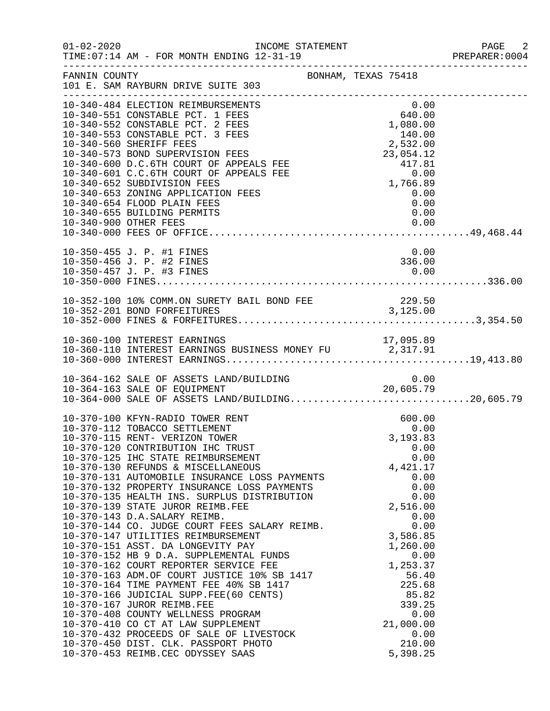| $01 - 02 - 2020$ | INCOME STATEMENT<br>TIME: 07:14 AM - FOR MONTH ENDING 12-31-19                                                                                                                                                                                                                                                                                                                                                                                                                                                                                                                                                                                                                                                                                                                                                          |                                                                                                                                                                                                                                                 | PAGE 2<br>PREPARER: 0004 |
|------------------|-------------------------------------------------------------------------------------------------------------------------------------------------------------------------------------------------------------------------------------------------------------------------------------------------------------------------------------------------------------------------------------------------------------------------------------------------------------------------------------------------------------------------------------------------------------------------------------------------------------------------------------------------------------------------------------------------------------------------------------------------------------------------------------------------------------------------|-------------------------------------------------------------------------------------------------------------------------------------------------------------------------------------------------------------------------------------------------|--------------------------|
| FANNIN COUNTY    |                                                                                                                                                                                                                                                                                                                                                                                                                                                                                                                                                                                                                                                                                                                                                                                                                         | BONHAM, TEXAS 75418                                                                                                                                                                                                                             |                          |
|                  | 10-340-484 ELECTION REIMBURSEMENTS<br>10-340-551 CONSTABLE PCT. 1 FEES<br>10-340-552 CONSTABLE PCT. 2 FEES<br>10-340-553 CONSTABLE PCT. 3 FEES<br>10-340-560 SHERIFF FEES<br>10-340-573 BOND SUPERVISION FEES<br>10-340-600 D.C.6TH COURT OF APPEALS FEE<br>10-340-601 C.C.6TH COURT OF APPEALS FEE<br>10-340-652 SUBDIVISION FEES<br>10-340-653 ZONING APPLICATION FEES<br>10-340-654 FLOOD PLAIN FEES<br>10-340-655 BUILDING PERMITS                                                                                                                                                                                                                                                                                                                                                                                  | 0.00<br>$\begin{array}{c} 0.00 \\ 640.00 \end{array}$<br>1,080.00<br>$1,000.00$<br>$2,532.00$<br>$23,054.12$<br>$417.81$<br>$0.00$<br>$1,766.89$<br>$0.00$<br>$0.00$<br>0.00<br>0.00                                                            |                          |
|                  | 10-350-455 J. P. #1 FINES<br>10-350-456 J. P. #2 FINES                                                                                                                                                                                                                                                                                                                                                                                                                                                                                                                                                                                                                                                                                                                                                                  | 0.00<br>336.00                                                                                                                                                                                                                                  |                          |
|                  | 10-352-100 10% COMM.ON SURETY BAIL BOND FEE 229.50<br>10-352-201 BOND FORFEITURES 3,125.00                                                                                                                                                                                                                                                                                                                                                                                                                                                                                                                                                                                                                                                                                                                              |                                                                                                                                                                                                                                                 |                          |
|                  | 10-360-100 INTEREST EARNINGS<br>10-360-110 INTEREST EARNINGS BUSINESS MONEY FU 2,317.91                                                                                                                                                                                                                                                                                                                                                                                                                                                                                                                                                                                                                                                                                                                                 | 17,095.89                                                                                                                                                                                                                                       |                          |
|                  | 10-364-162 SALE OF ASSETS LAND/BUILDING<br>10-364-163 SALE OF EQUIPMENT 20,605.79<br>10-364-000 SALE OF ASSETS LAND/BUILDING20,605.79                                                                                                                                                                                                                                                                                                                                                                                                                                                                                                                                                                                                                                                                                   |                                                                                                                                                                                                                                                 |                          |
|                  | 10-370-100 KFYN-RADIO TOWER RENT<br>10-370-112 TOBACCO SETTLEMENT<br>10-370-115 RENT- VERIZON TOWER<br>10-370-120 CONTRIBUTION IHC TRUST<br>10-370-125 IHC STATE REIMBURSEMENT<br>10-370-130 REFUNDS & MISCELLANEOUS<br>10-370-131 AUTOMOBILE INSURANCE LOSS PAYMENTS<br>10-370-132 PROPERTY INSURANCE LOSS PAYMENTS<br>10-370-132 PROPERTY INSURANCE LOSS PAYMENTS<br>10-370-135 HEALTH INS. SURPLUS DISTRIBUTION<br>10-370-139 STATE JUROR REIMB.FEE<br>10-370-143 D.A.SALARY REIMB.<br>10-370-144 CO. JUDGE COURT FEES SALARY REIMB.<br>10-370-147 UTILITIES REIMBURSEMENT<br>10-370-151 ASST. DA LONGEVITY PAY<br>10-370-408 COUNTY WELLNESS PROGRAM<br>10-370-410 CO CT AT LAW SUPPLEMENT<br>10-370-432 PROCEEDS OF SALE OF LIVESTOCK<br>10-370-450 DIST. CLK. PASSPORT PHOTO<br>10-370-453 REIMB.CEC ODYSSEY SAAS | 600.00<br>0.00<br>3,193.83<br>0.00<br>0.00<br>4,421.17<br>0.00<br>0.00<br>0.00<br>2,516.00<br>0.00<br>0.00<br>3,586.85<br>1,260.00<br>0.00<br>1,253.37<br>56.40<br>225.68<br>85.82<br>339.25<br>0.00<br>21,000.00<br>0.00<br>210.00<br>5,398.25 |                          |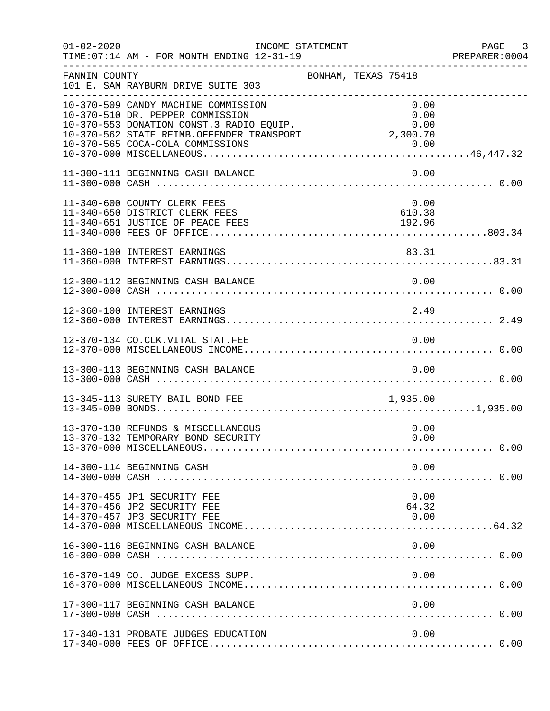| $01 - 02 - 2020$ | INCOME STATEMENT<br>TIME: 07:14 AM - FOR MONTH ENDING 12-31-19<br>____________________________________                                                                                                        |                          | PAGE<br>$\overline{\phantom{a}}$ 3<br>PREPARER: 0004 |
|------------------|---------------------------------------------------------------------------------------------------------------------------------------------------------------------------------------------------------------|--------------------------|------------------------------------------------------|
| FANNIN COUNTY    | 101 E. SAM RAYBURN DRIVE SUITE 303                                                                                                                                                                            | BONHAM, TEXAS 75418      |                                                      |
|                  | 10-370-509 CANDY MACHINE COMMISSION<br>10-370-510 DR. PEPPER COMMISSION<br>10-370-553 DONATION CONST.3 RADIO EQUIP.<br>10-370-562 STATE REIMB.OFFENDER TRANSPORT 2,300.70<br>10-370-565 COCA-COLA COMMISSIONS | 0.00<br>0.00<br>0.00     |                                                      |
|                  | 11-300-111 BEGINNING CASH BALANCE                                                                                                                                                                             | 0.00                     |                                                      |
|                  | 11-340-600 COUNTY CLERK FEES<br>11-340-650 DISTRICT CLERK FEES<br>11-340-651 JUSTICE OF PEACE FEES                                                                                                            | 0.00<br>610.38<br>192.96 |                                                      |
|                  | 11-360-100 INTEREST EARNINGS                                                                                                                                                                                  | 83.31                    |                                                      |
|                  | 12-300-112 BEGINNING CASH BALANCE                                                                                                                                                                             | 0.00                     |                                                      |
|                  | 12-360-100 INTEREST EARNINGS                                                                                                                                                                                  | 2.49                     |                                                      |
|                  |                                                                                                                                                                                                               |                          |                                                      |
|                  | 13-300-113 BEGINNING CASH BALANCE                                                                                                                                                                             | 0.00                     |                                                      |
|                  | 13-345-113 SURETY BAIL BOND FEE                                                                                                                                                                               | 1,935.00                 |                                                      |
|                  | 13-370-130 REFUNDS & MISCELLANEOUS<br>13-370-132 TEMPORARY BOND SECURITY                                                                                                                                      | 0.00<br>0.00             |                                                      |
|                  | 14-300-114 BEGINNING CASH                                                                                                                                                                                     | 0.00                     |                                                      |
|                  | 14-370-455 JP1 SECURITY FEE<br>14-370-456 JP2 SECURITY FEE<br>14-370-457 JP3 SECURITY FEE                                                                                                                     | 0.00<br>64.32<br>0.00    |                                                      |
|                  | 16-300-116 BEGINNING CASH BALANCE                                                                                                                                                                             | 0.00                     |                                                      |
|                  | 16-370-149 CO. JUDGE EXCESS SUPP.                                                                                                                                                                             | 0.00                     |                                                      |
|                  | 17-300-117 BEGINNING CASH BALANCE                                                                                                                                                                             | 0.00                     |                                                      |
|                  | 17-340-131 PROBATE JUDGES EDUCATION                                                                                                                                                                           | 0.00                     |                                                      |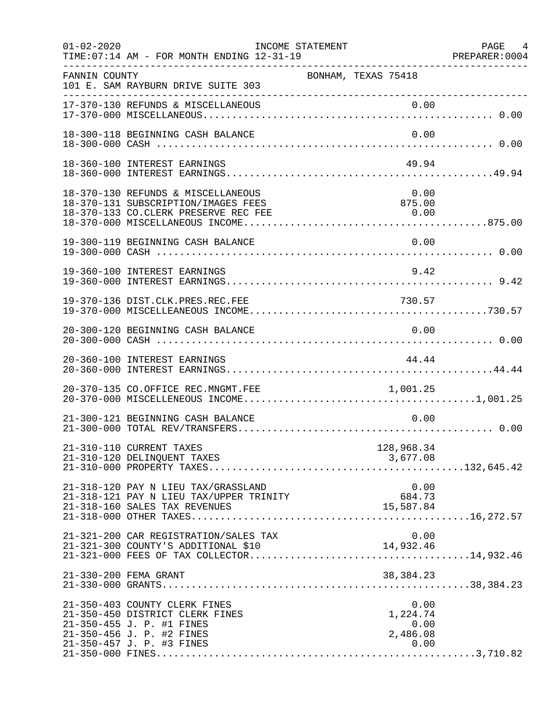| $01 - 02 - 2020$ | INCOME STATEMENT<br>TIME: 07:14 AM - FOR MONTH ENDING 12-31-19                                                                                          |                                              | PAGE 4<br>PREPARER:0004 |
|------------------|---------------------------------------------------------------------------------------------------------------------------------------------------------|----------------------------------------------|-------------------------|
| FANNIN COUNTY    | 101 E. SAM RAYBURN DRIVE SUITE 303<br>---------------------------------                                                                                 | BONHAM, TEXAS 75418                          |                         |
|                  | 17-370-130 REFUNDS & MISCELLANEOUS                                                                                                                      | 0.00                                         |                         |
|                  | 18-300-118 BEGINNING CASH BALANCE                                                                                                                       | 0.00                                         |                         |
|                  | 18-360-100 INTEREST EARNINGS                                                                                                                            | 49.94                                        |                         |
|                  | 18-370-130 REFUNDS & MISCELLANEOUS<br>18-370-131 SUBSCRIPTION/IMAGES FEES<br>18-370-133 CO.CLERK PRESERVE REC FEE                                       | 0.00<br>875.00<br>0.00                       |                         |
|                  | 19-300-119 BEGINNING CASH BALANCE                                                                                                                       | 0.00                                         |                         |
|                  | 19-360-100 INTEREST EARNINGS                                                                                                                            | 9.42                                         |                         |
|                  | 19-370-136 DIST.CLK.PRES.REC.FEE                                                                                                                        | 730.57                                       |                         |
|                  | 20-300-120 BEGINNING CASH BALANCE                                                                                                                       | 0.00                                         |                         |
|                  | 20-360-100 INTEREST EARNINGS                                                                                                                            | 44.44                                        |                         |
|                  | 20-370-135 CO.OFFICE REC.MNGMT.FEE                                                                                                                      | 1,001.25                                     |                         |
|                  | 21-300-121 BEGINNING CASH BALANCE                                                                                                                       | 0.00                                         |                         |
|                  | 21-310-110 CURRENT TAXES<br>21-310-120 DELINQUENT TAXES                                                                                                 | 128,968.34<br>3,677.08                       |                         |
|                  | 21-318-120 PAY N LIEU TAX/GRASSLAND<br>21-318-121 PAY N LIEU TAX/UPPER TRINITY<br>21-318-160 SALES TAX REVENUES                                         | 0.00<br>684.73<br>15,587.84                  |                         |
|                  | 21-321-200 CAR REGISTRATION/SALES TAX<br>21-321-300 COUNTY'S ADDITIONAL \$10                                                                            | 0.00<br>14,932.46                            |                         |
|                  | 21-330-200 FEMA GRANT                                                                                                                                   | 38, 384. 23                                  |                         |
|                  | 21-350-403 COUNTY CLERK FINES<br>21-350-450 DISTRICT CLERK FINES<br>21-350-455 J. P. #1 FINES<br>21-350-456 J. P. #2 FINES<br>21-350-457 J. P. #3 FINES | 0.00<br>1,224.74<br>0.00<br>2,486.08<br>0.00 |                         |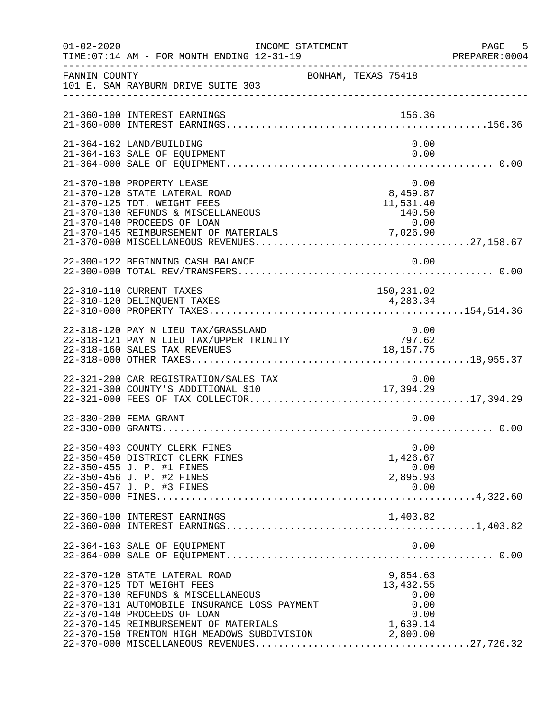| $01 - 02 - 2020$ | INCOME STATEMENT<br>TIME: 07:14 AM - FOR MONTH ENDING 12-31-19                                                                                                                                                                                                                    |                               |                                                                  | PAGE 5<br>PREPARER:0004 |
|------------------|-----------------------------------------------------------------------------------------------------------------------------------------------------------------------------------------------------------------------------------------------------------------------------------|-------------------------------|------------------------------------------------------------------|-------------------------|
| FANNIN COUNTY    | 101 E. SAM RAYBURN DRIVE SUITE 303                                                                                                                                                                                                                                                | BONHAM, TEXAS 75418           |                                                                  |                         |
|                  | 21-360-100 INTEREST EARNINGS                                                                                                                                                                                                                                                      |                               | 156.36                                                           |                         |
|                  | 21-364-162 LAND/BUILDING<br>21-364-163 SALE OF EQUIPMENT                                                                                                                                                                                                                          |                               | 0.00<br>0.00                                                     |                         |
|                  | 21-370-100 PROPERTY LEASE<br>21-370-120 STATE LATERAL ROAD<br>21-370-125 TDT. WEIGHT FEES                                                                                                                                                                                         |                               | 0.00<br>8,459.87<br>11,531.40                                    |                         |
|                  | 22-300-122 BEGINNING CASH BALANCE                                                                                                                                                                                                                                                 |                               | 0.00                                                             |                         |
|                  | 22-310-110 CURRENT TAXES                                                                                                                                                                                                                                                          |                               | 150,231.02                                                       |                         |
|                  | 22-318-120 PAY N LIEU TAX/GRASSLAND<br>22-318-121 PAY N LIEU TAX/UPPER TRINITY<br>22-318-160 SALES TAX REVENUES                                                                                                                                                                   |                               | $\begin{array}{c} 0\,.\,00 \\ 797.62 \end{array}$<br>18, 157. 75 |                         |
|                  | 22-321-200 CAR REGISTRATION/SALES TAX<br>22-321-300 COUNTY'S ADDITIONAL \$10                                                                                                                                                                                                      | 0.00 0.01<br>17,394.29 17,394 | 0.00                                                             |                         |
|                  | 22-330-200 FEMA GRANT                                                                                                                                                                                                                                                             |                               | 0.00                                                             |                         |
|                  | 22-350-403 COUNTY CLERK FINES<br>22-350-450 DISTRICT CLERK FINES<br>22-350-455 J. P. #1 FINES<br>22-350-456 J. P. #2 FINES<br>22-350-457 J. P. #3 FINES                                                                                                                           |                               | 0.00<br>1,426.67<br>0.00<br>2,895.93<br>0.00                     |                         |
|                  | 22-360-100 INTEREST EARNINGS                                                                                                                                                                                                                                                      |                               | 1,403.82                                                         |                         |
|                  | 22-364-163 SALE OF EQUIPMENT                                                                                                                                                                                                                                                      |                               | 0.00                                                             |                         |
|                  | 22-370-120 STATE LATERAL ROAD<br>22-370-125 TDT WEIGHT FEES<br>22-370-130 REFUNDS & MISCELLANEOUS<br>22-370-131 AUTOMOBILE INSURANCE LOSS PAYMENT<br>22-370-140 PROCEEDS OF LOAN<br>22-370-145 REIMBURSEMENT OF MATERIALS<br>22-370-150 TRENTON HIGH MEADOWS SUBDIVISION 2,800.00 |                               | 9,854.63<br>13, 432.55<br>0.00<br>0.00<br>0.00<br>1,639.14       |                         |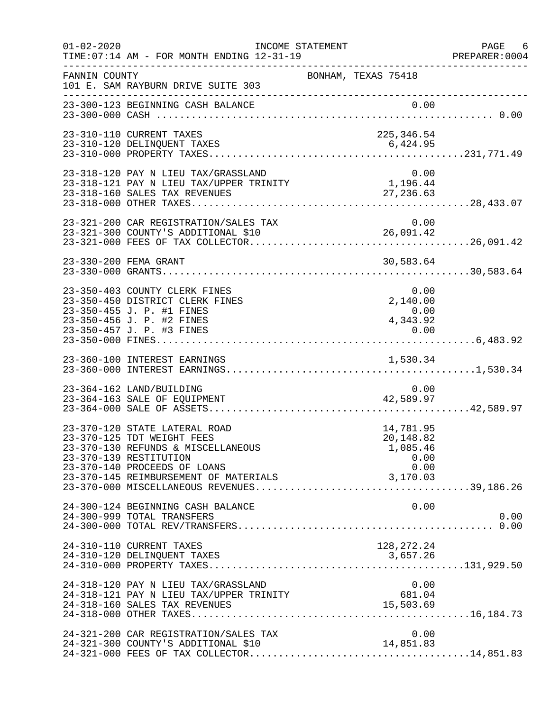| $01 - 02 - 2020$ | TIME: 07:14 AM - FOR MONTH ENDING 12-31-19                                                                                                                                                           | INCOME STATEMENT    | ___________________________________                            | PAGE 6<br>PREPARER: 0004 |
|------------------|------------------------------------------------------------------------------------------------------------------------------------------------------------------------------------------------------|---------------------|----------------------------------------------------------------|--------------------------|
| FANNIN COUNTY    | 101 E. SAM RAYBURN DRIVE SUITE 303                                                                                                                                                                   | BONHAM, TEXAS 75418 |                                                                |                          |
|                  | 23-300-123 BEGINNING CASH BALANCE                                                                                                                                                                    |                     |                                                                |                          |
|                  | 23-310-110 CURRENT TAXES                                                                                                                                                                             |                     | 225,346.54                                                     |                          |
|                  | 23-318-120 PAY N LIEU TAX/GRASSLAND<br>23-318-121 PAY N LIEU TAX/UPPER TRINITY<br>23-318-160 SALES TAX REVENUES                                                                                      |                     | 0.00<br>1,196.44<br>27, 236.63                                 |                          |
|                  | 23-321-200 CAR REGISTRATION/SALES TAX<br>23.321-300 COUNTY'S ADDITIONAL \$10                                                                                                                         |                     | 0.00<br>26,091.42                                              |                          |
|                  | 23-330-200 FEMA GRANT                                                                                                                                                                                |                     | 30,583.64                                                      |                          |
|                  | 23-350-403 COUNTY CLERK FINES<br>23-350-450 DISTRICT CLERK FINES<br>23-350-455 J. P. #1 FINES<br>23-350-456 J. P. #2 FINES                                                                           |                     | 0.00<br>2,140.00<br>$0.00$<br>4,343.92                         |                          |
|                  |                                                                                                                                                                                                      |                     |                                                                |                          |
|                  | 23-364-162 LAND/BUILDING<br>23-364-163 SALE OF EQUIPMENT                                                                                                                                             |                     | 0.00<br>42,589.97                                              |                          |
|                  | 23-370-120 STATE LATERAL ROAD<br>23-370-125 TDT WEIGHT FEES<br>23-370-130 REFUNDS & MISCELLANEOUS<br>23-370-139 RESTITUTION<br>23-370-140 PROCEEDS OF LOANS<br>23-370-145 REIMBURSEMENT OF MATERIALS |                     | 14,781.95<br>20,148.82<br>1,085.46<br>0.00<br>0.00<br>3,170.03 |                          |
|                  | 24-300-124 BEGINNING CASH BALANCE<br>24-300-999 TOTAL TRANSFERS                                                                                                                                      |                     | 0.00                                                           | 0.00                     |
|                  | 24-310-110 CURRENT TAXES<br>24-310-120 DELINQUENT TAXES                                                                                                                                              |                     | 128, 272. 24<br>3,657.26                                       |                          |
|                  | 24-318-120 PAY N LIEU TAX/GRASSLAND<br>24-318-121 PAY N LIEU TAX/UPPER TRINITY<br>24-318-160 SALES TAX REVENUES                                                                                      |                     | 0.00<br>681.04<br>15,503.69                                    |                          |
|                  | 24-321-200 CAR REGISTRATION/SALES TAX                                                                                                                                                                |                     | 0.00                                                           |                          |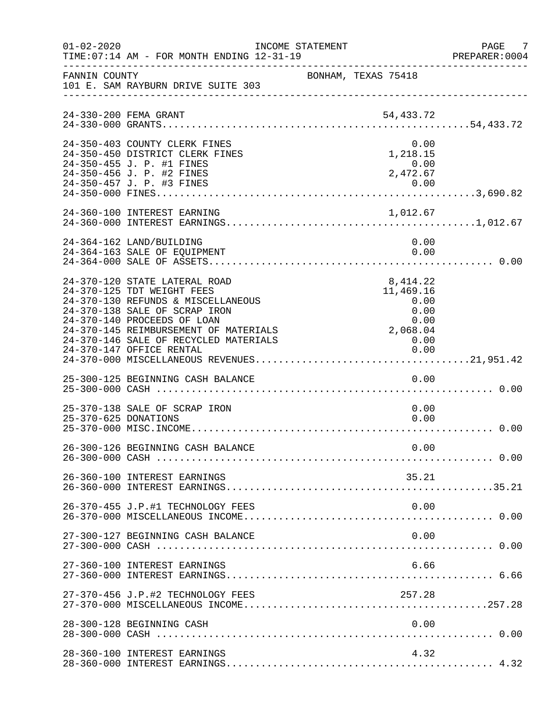| $01 - 02 - 2020$     | TIME: 07:14 AM - FOR MONTH ENDING 12-31-19                                                                                                                                                                                                                                      | INCOME STATEMENT    |                                                                                   | PAGE 7<br>PREPARER:0004 |
|----------------------|---------------------------------------------------------------------------------------------------------------------------------------------------------------------------------------------------------------------------------------------------------------------------------|---------------------|-----------------------------------------------------------------------------------|-------------------------|
| FANNIN COUNTY        | 101 E. SAM RAYBURN DRIVE SUITE 303                                                                                                                                                                                                                                              | BONHAM, TEXAS 75418 |                                                                                   |                         |
|                      |                                                                                                                                                                                                                                                                                 |                     |                                                                                   |                         |
|                      | 24-350-403 COUNTY CLERK FINES<br>24-350-450 DISTRICT CLERK FINES<br>24-350-455 J. P. #1 FINES<br>24-350-456 J. P. #2 FINES                                                                                                                                                      |                     | 0.00<br>1,218.15<br>0.00<br>2,472.67                                              |                         |
|                      |                                                                                                                                                                                                                                                                                 |                     |                                                                                   |                         |
|                      | 24-364-162 LAND/BUILDING<br>24-364-163 SALE OF EQUIPMENT                                                                                                                                                                                                                        |                     | 0.00<br>0.00                                                                      |                         |
|                      | 24-370-120 STATE LATERAL ROAD<br>24-370-125 TDT WEIGHT FEES<br>24-370-130 REFUNDS & MISCELLANEOUS<br>24-370-138 SALE OF SCRAP IRON<br>24-370-140 PROCEEDS OF LOAN<br>24-370-145 REIMBURSEMENT OF MATERIALS<br>24-370-146 SALE OF RECYCLED MATERIALS<br>24-370-147 OFFICE RENTAL |                     | 8,414.22<br>11,469.16<br>0.00<br>0.00<br>0.00<br>0.00<br>2,068.04<br>0.00<br>0.00 |                         |
|                      | 25-300-125 BEGINNING CASH BALANCE                                                                                                                                                                                                                                               |                     | 0.00                                                                              |                         |
| 25-370-625 DONATIONS | 25-370-138 SALE OF SCRAP IRON                                                                                                                                                                                                                                                   |                     | 0.00<br>0.00                                                                      |                         |
|                      | 26-300-126 BEGINNING CASH BALANCE                                                                                                                                                                                                                                               |                     | 0.00                                                                              |                         |
|                      | 26-360-100 INTEREST EARNINGS                                                                                                                                                                                                                                                    |                     | 35.21                                                                             |                         |
|                      | 26-370-455 J.P.#1 TECHNOLOGY FEES                                                                                                                                                                                                                                               |                     | 0.00                                                                              |                         |
|                      | 27-300-127 BEGINNING CASH BALANCE                                                                                                                                                                                                                                               |                     | 0.00                                                                              |                         |
|                      | 27-360-100 INTEREST EARNINGS                                                                                                                                                                                                                                                    |                     | 6.66                                                                              |                         |
|                      | 27-370-456 J.P.#2 TECHNOLOGY FEES                                                                                                                                                                                                                                               |                     | 257.28                                                                            |                         |
|                      | 28-300-128 BEGINNING CASH                                                                                                                                                                                                                                                       |                     | 0.00                                                                              |                         |
|                      | 28-360-100 INTEREST EARNINGS                                                                                                                                                                                                                                                    |                     | 4.32                                                                              |                         |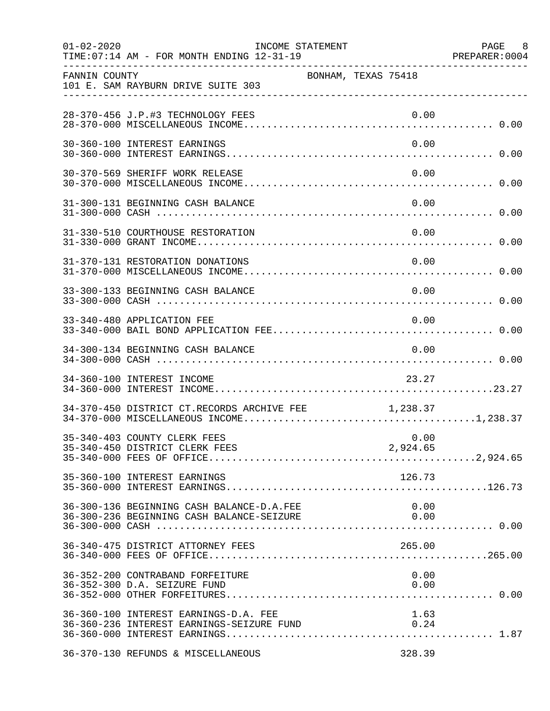| $01 - 02 - 2020$<br>__________________ | TIME: 07:14 AM - FOR MONTH ENDING 12-31-19                                                | INCOME STATEMENT    |              | PAGE 8<br>PREPARER: 0004 |
|----------------------------------------|-------------------------------------------------------------------------------------------|---------------------|--------------|--------------------------|
| FANNIN COUNTY                          | 101 E. SAM RAYBURN DRIVE SUITE 303                                                        | BONHAM, TEXAS 75418 |              |                          |
|                                        | 28-370-456 J.P.#3 TECHNOLOGY FEES                                                         |                     | 0.00         |                          |
|                                        | 30-360-100 INTEREST EARNINGS                                                              |                     | 0.00         |                          |
|                                        | 30-370-569 SHERIFF WORK RELEASE                                                           |                     | 0.00         |                          |
|                                        | 31-300-131 BEGINNING CASH BALANCE                                                         |                     | 0.00         |                          |
|                                        | 31-330-510 COURTHOUSE RESTORATION                                                         |                     | 0.00         |                          |
|                                        | 31-370-131 RESTORATION DONATIONS                                                          |                     | 0.00         |                          |
|                                        | 33-300-133 BEGINNING CASH BALANCE                                                         |                     | 0.00         |                          |
|                                        | 33-340-480 APPLICATION FEE                                                                |                     | 0.00         |                          |
|                                        | 34-300-134 BEGINNING CASH BALANCE                                                         |                     | 0.00         |                          |
|                                        | 34-360-100 INTEREST INCOME                                                                |                     | 23.27        |                          |
|                                        | 34-370-450 DISTRICT CT.RECORDS ARCHIVE FEE $1,238.37$                                     |                     |              |                          |
|                                        | 35-340-403 COUNTY CLERK FEES                                                              |                     | 0.00         |                          |
|                                        | 35-360-100 INTEREST EARNINGS                                                              |                     | 126.73       |                          |
|                                        | 36-300-136 BEGINNING CASH BALANCE-D.A.FEE                                                 |                     | 0.00         |                          |
|                                        | 36-340-475 DISTRICT ATTORNEY FEES                                                         |                     | 265.00       |                          |
|                                        | 36-352-200 CONTRABAND FORFEITURE<br>36-352-300 D.A. SEIZURE FUND                          |                     | 0.00<br>0.00 |                          |
|                                        | 36-360-100 INTEREST EARNINGS-D.A. FEE<br>36-360-236 INTEREST EARNINGS-SEIZURE FUND $0.24$ |                     | 1.63         |                          |
|                                        | 36-370-130 REFUNDS & MISCELLANEOUS                                                        |                     | 328.39       |                          |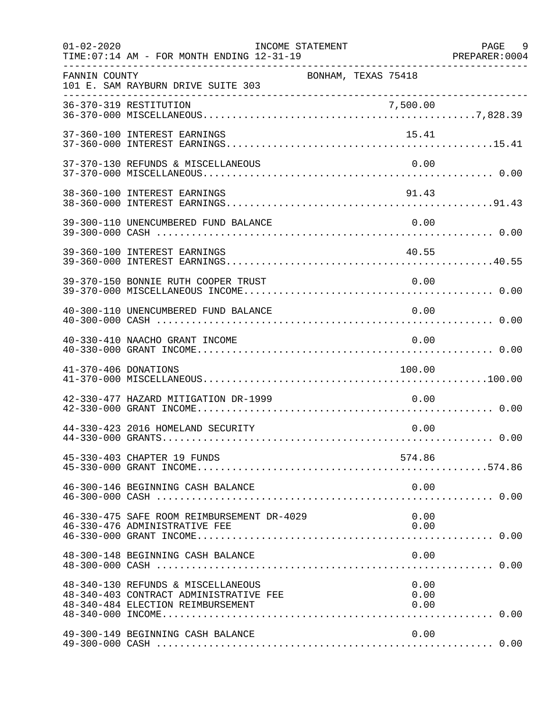| $01 - 02 - 2020$     | TIME: 07:14 AM - FOR MONTH ENDING 12-31-19<br>_____________________________________                               | INCOME STATEMENT     | PAGE 9 |
|----------------------|-------------------------------------------------------------------------------------------------------------------|----------------------|--------|
| FANNIN COUNTY        | 101 E. SAM RAYBURN DRIVE SUITE 303                                                                                | BONHAM, TEXAS 75418  |        |
|                      |                                                                                                                   |                      |        |
|                      | 37-360-100 INTEREST EARNINGS                                                                                      | 15.41                |        |
|                      | 37-370-130 REFUNDS & MISCELLANEOUS                                                                                | 0.00                 |        |
|                      | 38-360-100 INTEREST EARNINGS                                                                                      | 91.43                |        |
|                      | 39-300-110 UNENCUMBERED FUND BALANCE                                                                              | 0.00                 |        |
|                      | 39-360-100 INTEREST EARNINGS                                                                                      | 40.55                |        |
|                      | 39-370-150 BONNIE RUTH COOPER TRUST                                                                               | 0.00                 |        |
|                      | 40-300-110 UNENCUMBERED FUND BALANCE                                                                              | 0.00                 |        |
|                      | 40-330-410 NAACHO GRANT INCOME                                                                                    | 0.00                 |        |
| 41-370-406 DONATIONS |                                                                                                                   | 100.00               |        |
|                      | 42-330-477 HAZARD MITIGATION DR-1999                                                                              | 0.00                 |        |
|                      | 44-330-423 2016 HOMELAND SECURITY                                                                                 | 0.00                 |        |
|                      | 45-330-403 CHAPTER 19 FUNDS                                                                                       | 574.86               |        |
|                      | 46-300-146 BEGINNING CASH BALANCE                                                                                 | 0.00                 |        |
|                      | 46-330-475 SAFE ROOM REIMBURSEMENT DR-4029<br>46-330-476 ADMINISTRATIVE FEE                                       | 0.00<br>0.00         |        |
|                      | 48-300-148 BEGINNING CASH BALANCE                                                                                 | 0.00                 |        |
|                      | 48-340-130 REFUNDS & MISCELLANEOUS<br>48-340-403 CONTRACT ADMINISTRATIVE FEE<br>48-340-484 ELECTION REIMBURSEMENT | 0.00<br>0.00<br>0.00 |        |
|                      | 49-300-149 BEGINNING CASH BALANCE                                                                                 | 0.00                 |        |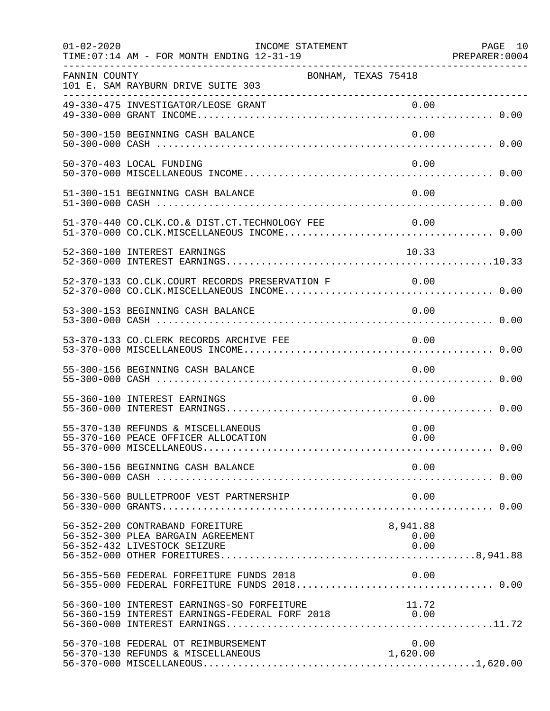| $01 - 02 - 2020$ | INCOME STATEMENT<br>TIME: 07:14 AM - FOR MONTH ENDING 12-31-19                                                                                                                                                          |                          | PAGE 10<br>PREPARER: 0004 |
|------------------|-------------------------------------------------------------------------------------------------------------------------------------------------------------------------------------------------------------------------|--------------------------|---------------------------|
| FANNIN COUNTY    | 101 E. SAM RAYBURN DRIVE SUITE 303                                                                                                                                                                                      | BONHAM, TEXAS 75418      |                           |
|                  |                                                                                                                                                                                                                         |                          |                           |
|                  | 50-300-150 BEGINNING CASH BALANCE                                                                                                                                                                                       | 0.00                     |                           |
|                  | 50-370-403 LOCAL FUNDING                                                                                                                                                                                                | 0.00                     |                           |
|                  | 51-300-151 BEGINNING CASH BALANCE                                                                                                                                                                                       | 0.00                     |                           |
|                  | 51-370-440 CO.CLK.CO.& DIST.CT.TECHNOLOGY FEE 0.00                                                                                                                                                                      |                          |                           |
|                  | 52-360-100 INTEREST EARNINGS                                                                                                                                                                                            | 10.33                    |                           |
|                  | 52-370-133 CO.CLK.COURT RECORDS PRESERVATION F 0.00                                                                                                                                                                     |                          |                           |
|                  | 53-300-153 BEGINNING CASH BALANCE                                                                                                                                                                                       | 0.00                     |                           |
|                  | 53-370-133 CO.CLERK RECORDS ARCHIVE FEE                                                                                                                                                                                 | 0.00                     |                           |
|                  | 55-300-156 BEGINNING CASH BALANCE                                                                                                                                                                                       | 0.00                     |                           |
|                  | 55-360-100 INTEREST EARNINGS                                                                                                                                                                                            | 0.00                     |                           |
|                  | 55-370-130 REFUNDS & MISCELLANEOUS<br>55-370-160 PEACE OFFICER ALLOCATION                                                                                                                                               | 0.00<br>0.00             |                           |
|                  | 56-300-156 BEGINNING CASH BALANCE                                                                                                                                                                                       | 0.00                     |                           |
|                  | 56-330-560 BULLETPROOF VEST PARTNERSHIP                                                                                                                                                                                 | 0.00                     |                           |
|                  | 56-352-200 CONTRABAND FOREITURE<br>56-352-300 PLEA BARGAIN AGREEMENT<br>56-352-432 LIVESTOCK SEIZURE                                                                                                                    | 8,941.88<br>0.00<br>0.00 |                           |
|                  | 56-355-560 FEDERAL FORFEITURE FUNDS 2018                                                                                                                                                                                | 0.00                     |                           |
|                  | 56-360-100 INTEREST EARNINGS-SO FORFEITURE<br>56-360-100 INTEREST EARNINGS-SO FORFEITURE                                     11.72<br>56-360-159 INTEREST EARNINGS-FEDERAL FORF 2018                               0.00 | 11.72                    |                           |
|                  | 56-370-108 FEDERAL OT REIMBURSEMENT                                                                                                                                                                                     | 0.00<br>1,620.00         |                           |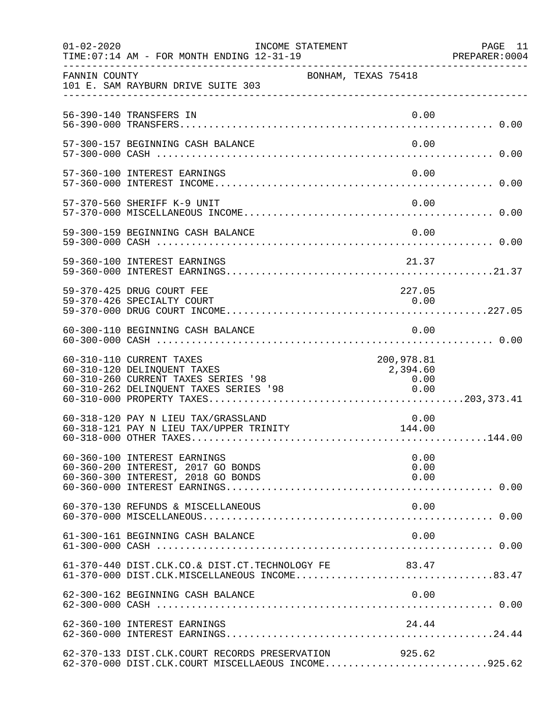| $01 - 02 - 2020$ | INCOME STATEMENT<br>TIME: 07:14 AM - FOR MONTH ENDING 12-31-19                                                                             |                                                                                       | PAGE 11<br>PREPARER:0004 |
|------------------|--------------------------------------------------------------------------------------------------------------------------------------------|---------------------------------------------------------------------------------------|--------------------------|
| FANNIN COUNTY    | 101 E. SAM RAYBURN DRIVE SUITE 303                                                                                                         | BONHAM, TEXAS 75418                                                                   |                          |
|                  | 56-390-140 TRANSFERS IN                                                                                                                    | 0.00                                                                                  |                          |
|                  | 57-300-157 BEGINNING CASH BALANCE                                                                                                          | 0.00                                                                                  |                          |
|                  | 57-360-100 INTEREST EARNINGS                                                                                                               | 0.00                                                                                  |                          |
|                  | 57-370-560 SHERIFF K-9 UNIT                                                                                                                | 0.00                                                                                  |                          |
|                  | 59-300-159 BEGINNING CASH BALANCE                                                                                                          | 0.00                                                                                  |                          |
|                  | 59-360-100 INTEREST EARNINGS                                                                                                               | 21.37                                                                                 |                          |
|                  | 59-370-425 DRUG COURT FEE<br>59-370-426 SPECIALTY COURT                                                                                    | 227.05<br>0.00                                                                        |                          |
|                  | 60-300-110 BEGINNING CASH BALANCE                                                                                                          | 0.00                                                                                  |                          |
|                  | 60-310-110 CURRENT TAXES<br>60-310-120 DELINQUENT TAXES<br>60-310-260 CURRENT TAXES SERIES '98<br>$60-310-262$ DELINQUENT TAXES SERIES '98 | 200,978.81<br>2,394.60<br>$\begin{array}{c} 0\, .\, 0\, 0\ 0\, .\, 0\, 0 \end{array}$ |                          |
|                  | 60-318-120 PAY N LIEU TAX/GRASSLAND<br>60-318-121 PAY N LIEU TAX/UPPER TRINITY                                                             | 0.00<br>144.00                                                                        |                          |
|                  | 60-360-100 INTEREST EARNINGS<br>60-360-200 INTEREST, 2017 GO BONDS<br>60-360-300 INTEREST, 2018 GO BONDS                                   | 0.00<br>0.00<br>0.00                                                                  |                          |
|                  | 60-370-130 REFUNDS & MISCELLANEOUS                                                                                                         | 0.00                                                                                  |                          |
|                  | 61-300-161 BEGINNING CASH BALANCE                                                                                                          | 0.00                                                                                  |                          |
|                  | 61-370-440 DIST.CLK.CO.& DIST.CT.TECHNOLOGY FE 83.47<br>61-370-000 DIST.CLK.MISCELLANEOUS INCOME83.47                                      |                                                                                       |                          |
|                  | 62-300-162 BEGINNING CASH BALANCE                                                                                                          |                                                                                       |                          |
|                  | 62-360-100 INTEREST EARNINGS                                                                                                               | 24.44                                                                                 |                          |
|                  | 62-370-133 DIST.CLK.COURT RECORDS PRESERVATION<br>62-370-000 DIST.CLK.COURT MISCELLAEOUS INCOME925.62                                      | 925.62                                                                                |                          |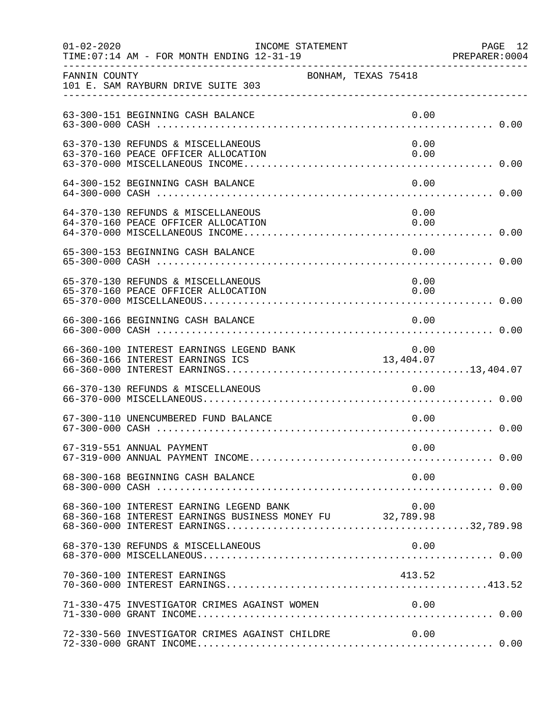| $01 - 02 - 2020$ | INCOME STATEMENT<br>TIME: 07:14 AM - FOR MONTH ENDING 12-31-19                                      |                     |              | PAGE 12<br>PREPARER: 0004 |
|------------------|-----------------------------------------------------------------------------------------------------|---------------------|--------------|---------------------------|
| FANNIN COUNTY    | 101 E. SAM RAYBURN DRIVE SUITE 303                                                                  | BONHAM, TEXAS 75418 |              |                           |
|                  | 63-300-151 BEGINNING CASH BALANCE                                                                   |                     | 0.00         |                           |
|                  | 63-370-130 REFUNDS & MISCELLANEOUS<br>63-370-160 PEACE OFFICER ALLOCATION                           |                     | 0.00<br>0.00 |                           |
|                  | 64-300-152 BEGINNING CASH BALANCE                                                                   |                     | 0.00         |                           |
|                  | 64-370-130 REFUNDS & MISCELLANEOUS<br>64-370-160 PEACE OFFICER ALLOCATION                           |                     | 0.00<br>0.00 |                           |
|                  | 65-300-153 BEGINNING CASH BALANCE                                                                   |                     | 0.00         |                           |
|                  | 65-370-130 REFUNDS & MISCELLANEOUS<br>65-370-160 PEACE OFFICER ALLOCATION                           |                     | 0.00<br>0.00 |                           |
|                  | 66-300-166 BEGINNING CASH BALANCE                                                                   |                     | 0.00         |                           |
|                  | 66-360-100 INTEREST EARNINGS LEGEND BANK<br>66-360-166 INTEREST EARNINGS ICS                        | 13,404.07           |              |                           |
|                  | 66-370-130 REFUNDS & MISCELLANEOUS                                                                  |                     | 0.00         |                           |
|                  | 67-300-110 UNENCUMBERED FUND BALANCE                                                                |                     | 0.00         |                           |
|                  | 67-319-551 ANNUAL PAYMENT                                                                           |                     | 0.00         |                           |
|                  | 68-300-168 BEGINNING CASH BALANCE                                                                   |                     | 0.00         |                           |
|                  | 68-360-100 INTEREST EARNING LEGEND BANK<br>68-360-168 INTEREST EARNINGS BUSINESS MONEY FU 32,789.98 |                     | 0.00         |                           |
|                  | 68-370-130 REFUNDS & MISCELLANEOUS                                                                  |                     | 0.00         |                           |
|                  | 70-360-100 INTEREST EARNINGS                                                                        |                     | 413.52       |                           |
|                  | 71-330-475 INVESTIGATOR CRIMES AGAINST WOMEN                                                        |                     | 0.00         |                           |
|                  | 72-330-560 INVESTIGATOR CRIMES AGAINST CHILDRE                                                      |                     | 0.00         |                           |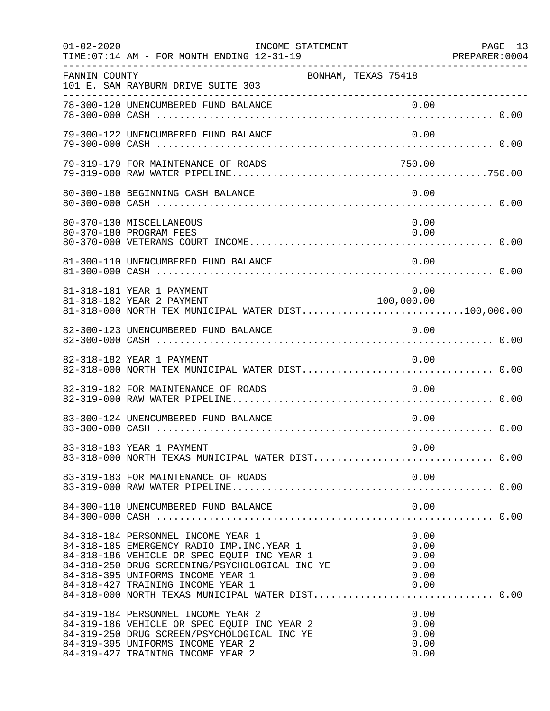| $01 - 02 - 2020$ | INCOME STATEMENT<br>TIME: 07:14 AM - FOR MONTH ENDING 12-31-19                                                                                                                                                                                               |                                              | PAGE 13<br>PREPARER:0004 |
|------------------|--------------------------------------------------------------------------------------------------------------------------------------------------------------------------------------------------------------------------------------------------------------|----------------------------------------------|--------------------------|
| FANNIN COUNTY    | BONHAM, TEXAS 75418<br>101 E. SAM RAYBURN DRIVE SUITE 303                                                                                                                                                                                                    |                                              |                          |
|                  | 78-300-120 UNENCUMBERED FUND BALANCE                                                                                                                                                                                                                         | 0.00                                         |                          |
|                  | 79-300-122 UNENCUMBERED FUND BALANCE                                                                                                                                                                                                                         | 0.00                                         |                          |
|                  | 79-319-179 FOR MAINTENANCE OF ROADS                                                                                                                                                                                                                          | 750.00                                       |                          |
|                  | 80-300-180 BEGINNING CASH BALANCE                                                                                                                                                                                                                            | 0.00                                         |                          |
|                  | 80-370-130 MISCELLANEOUS<br>80-370-180 PROGRAM FEES                                                                                                                                                                                                          | 0.00<br>0.00                                 |                          |
|                  | 81-300-110 UNENCUMBERED FUND BALANCE                                                                                                                                                                                                                         | 0.00                                         |                          |
|                  | 81-318-181 YEAR 1 PAYMENT<br>81-318-182 YEAR 2 PAYMENT<br>81-318-000 NORTH TEX MUNICIPAL WATER DIST100,000.00                                                                                                                                                | 0.00<br>100,000.00                           |                          |
|                  | 82-300-123 UNENCUMBERED FUND BALANCE                                                                                                                                                                                                                         | 0.00                                         |                          |
|                  | 82-318-182 YEAR 1 PAYMENT                                                                                                                                                                                                                                    | 0.00                                         |                          |
|                  | 82-319-182 FOR MAINTENANCE OF ROADS                                                                                                                                                                                                                          | 0.00                                         |                          |
|                  | 83-300-124 UNENCUMBERED FUND BALANCE                                                                                                                                                                                                                         | 0.00                                         |                          |
|                  | 83-318-183 YEAR 1 PAYMENT<br>83-318-000 NORTH TEXAS MUNICIPAL WATER DIST 0.00                                                                                                                                                                                | 0.00                                         |                          |
|                  | 83-319-183 FOR MAINTENANCE OF ROADS                                                                                                                                                                                                                          | 0.00                                         |                          |
|                  | 84-300-110 UNENCUMBERED FUND BALANCE                                                                                                                                                                                                                         | 0.00                                         |                          |
|                  | 84-318-184 PERSONNEL INCOME YEAR 1<br>84-318-185 EMERGENCY RADIO IMP. INC. YEAR 1<br>84-318-186 VEHICLE OR SPEC EQUIP INC YEAR 1<br>84-318-250 DRUG SCREENING/PSYCHOLOGICAL INC YE<br>84-318-395 UNIFORMS INCOME YEAR 1<br>84-318-427 TRAINING INCOME YEAR 1 | 0.00<br>0.00<br>0.00<br>0.00<br>0.00<br>0.00 |                          |
|                  | 84-319-184 PERSONNEL INCOME YEAR 2<br>84-319-186 VEHICLE OR SPEC EQUIP INC YEAR 2<br>84-319-250 DRUG SCREEN/PSYCHOLOGICAL INC YE<br>84-319-395 UNIFORMS INCOME YEAR 2<br>84-319-427 TRAINING INCOME YEAR 2                                                   | 0.00<br>0.00<br>0.00<br>0.00<br>0.00         |                          |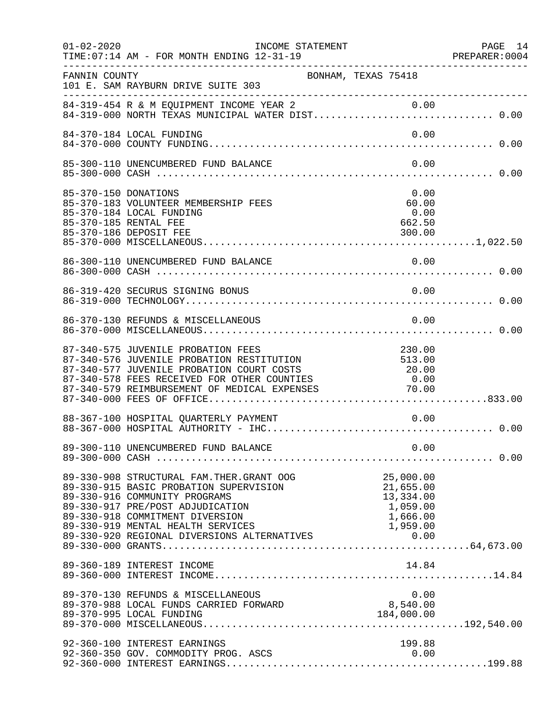| $01 - 02 - 2020$     | INCOME STATEMENT<br>TIME: 07:14 AM - FOR MONTH ENDING 12-31-19                                                                                                                                                                                      |                     |                                                             | PAGE 14<br>PREPARER: 0004 |
|----------------------|-----------------------------------------------------------------------------------------------------------------------------------------------------------------------------------------------------------------------------------------------------|---------------------|-------------------------------------------------------------|---------------------------|
| FANNIN COUNTY        | 101 E. SAM RAYBURN DRIVE SUITE 303                                                                                                                                                                                                                  | BONHAM, TEXAS 75418 |                                                             |                           |
|                      | 84-319-454 R & M EQUIPMENT INCOME YEAR 2 0.00<br>84-319-000 NORTH TEXAS MUNICIPAL WATER DIST 0.00                                                                                                                                                   |                     |                                                             |                           |
|                      | 84-370-184 LOCAL FUNDING                                                                                                                                                                                                                            |                     | 0.00                                                        |                           |
|                      | 85-300-110 UNENCUMBERED FUND BALANCE                                                                                                                                                                                                                |                     | 0.00                                                        |                           |
| 85-370-150 DONATIONS | 85-370-183 VOLUNTEER MEMBERSHIP FEES<br>85-370-184 LOCAL FUNDING<br>85-370-185 RENTAL FEE<br>85-370-186 DEPOSIT FEE                                                                                                                                 |                     | 0.00<br>60.00<br>0.00<br>662.50<br>300.00                   |                           |
|                      |                                                                                                                                                                                                                                                     |                     |                                                             |                           |
|                      | 86-319-420 SECURUS SIGNING BONUS                                                                                                                                                                                                                    |                     | 0.00                                                        |                           |
|                      | 86-370-130 REFUNDS & MISCELLANEOUS                                                                                                                                                                                                                  |                     | 0.00                                                        |                           |
|                      | 87-340-575 JUVENILE PROBATION FEES<br>87-340-576 JUVENILE PROBATION RESTITUTION 513.00<br>87-340-577 JUVENILE PROBATION COURT COSTS 20.00<br>87-340-578 FEES RECEIVED FOR OTHER COUNTIES 0.00<br>87-340-579 REIMBURSEMENT OF MEDICAL EXPENSES 70.00 |                     | 230.00                                                      |                           |
|                      |                                                                                                                                                                                                                                                     |                     |                                                             |                           |
|                      |                                                                                                                                                                                                                                                     |                     |                                                             |                           |
|                      | 89-330-908 STRUCTURAL FAM. THER. GRANT OOG<br>89-330-915 BASIC PROBATION SUPERVISION<br>89-330-916 COMMUNITY PROGRAMS<br>89-330-917 PRE/POST ADJUDICATION<br>89-330-918 COMMITMENT DIVERSION                                                        |                     | 25,000.00<br>21,655.00<br>13,334.00<br>1,059.00<br>1,666.00 |                           |
|                      | 89-360-189 INTEREST INCOME                                                                                                                                                                                                                          |                     | 14.84                                                       |                           |
|                      | 89-370-130 REFUNDS & MISCELLANEOUS<br>89-370-988 LOCAL FUNDS CARRIED FORWARD<br>89-370-995 LOCAL FUNDING                                                                                                                                            |                     | 0.00<br>8,540.00<br>184,000.00                              |                           |
|                      | 92-360-100 INTEREST EARNINGS<br>92-360-350 GOV. COMMODITY PROG. ASCS                                                                                                                                                                                |                     | 199.88<br>0.00                                              |                           |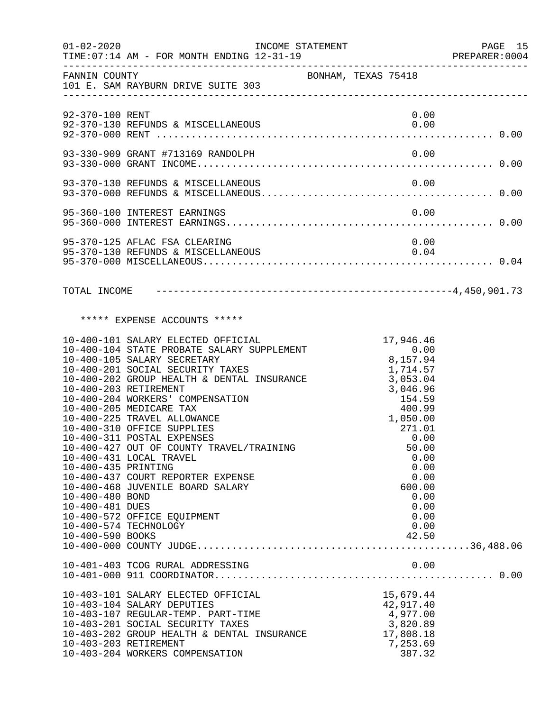| $01 - 02 - 2020$                                                                                                                | TIME: 07:14 AM - FOR MONTH ENDING 12-31-19                                                                                                                                                                                                                                                                                                                                                                                                                                                                                                 | INCOME STATEMENT    |                                                                                                                                                                                                          | PAGE 15<br>PREPARER: 0004 |
|---------------------------------------------------------------------------------------------------------------------------------|--------------------------------------------------------------------------------------------------------------------------------------------------------------------------------------------------------------------------------------------------------------------------------------------------------------------------------------------------------------------------------------------------------------------------------------------------------------------------------------------------------------------------------------------|---------------------|----------------------------------------------------------------------------------------------------------------------------------------------------------------------------------------------------------|---------------------------|
|                                                                                                                                 | FANNIN COUNTY<br>101 E. SAM RAYBURN DRIVE SUITE 303                                                                                                                                                                                                                                                                                                                                                                                                                                                                                        | BONHAM, TEXAS 75418 |                                                                                                                                                                                                          |                           |
| 92-370-100 RENT                                                                                                                 |                                                                                                                                                                                                                                                                                                                                                                                                                                                                                                                                            |                     | 0.00                                                                                                                                                                                                     |                           |
|                                                                                                                                 |                                                                                                                                                                                                                                                                                                                                                                                                                                                                                                                                            |                     |                                                                                                                                                                                                          |                           |
|                                                                                                                                 |                                                                                                                                                                                                                                                                                                                                                                                                                                                                                                                                            |                     |                                                                                                                                                                                                          |                           |
|                                                                                                                                 | 95-360-100 INTEREST EARNINGS                                                                                                                                                                                                                                                                                                                                                                                                                                                                                                               |                     | 0.00                                                                                                                                                                                                     |                           |
|                                                                                                                                 | 95-370-125 AFLAC FSA CLEARING<br>95-370-130 REFUNDS & MISCELLANEOUS                                                                                                                                                                                                                                                                                                                                                                                                                                                                        |                     | 0.00<br>0.04                                                                                                                                                                                             |                           |
|                                                                                                                                 |                                                                                                                                                                                                                                                                                                                                                                                                                                                                                                                                            |                     |                                                                                                                                                                                                          |                           |
|                                                                                                                                 | ***** EXPENSE ACCOUNTS *****                                                                                                                                                                                                                                                                                                                                                                                                                                                                                                               |                     |                                                                                                                                                                                                          |                           |
| 10-400-203 RETIREMENT<br>10-400-435 PRINTING<br>10-400-480 BOND<br>10-400-481 DUES<br>10-400-574 TECHNOLOGY<br>10-400-590 BOOKS | 10-400-101 SALARY ELECTED OFFICIAL<br>10-400-104 STATE PROBATE SALARY SUPPLEMENT<br>10-400-105 SALARY SECRETARY<br>10-400-201 SOCIAL SECURITY TAXES<br>10-400-202 GROUP HEALTH & DENTAL INSURANCE<br>10-400-204 WORKERS' COMPENSATION<br>10-400-205 MEDICARE TAX<br>10-400-225 TRAVEL ALLOWANCE<br>10-400-310 OFFICE SUPPLIES<br>10-400-311 POSTAL EXPENSES<br>10-400-427 OUT OF COUNTY TRAVEL/TRAINING<br>10-400-431 LOCAL TRAVEL<br>10-400-437 COURT REPORTER EXPENSE<br>10-400-468 JUVENILE BOARD SALARY<br>10-400-572 OFFICE EQUIPMENT |                     | $17,940.2$<br>0.00<br>8,157.94<br>1,714.57<br>3,053.04<br>3,046.96<br>154.59<br>400.99<br>1,050.00<br>271.01<br>0.00<br>50.00<br>0.00<br>0.00<br>0.00<br>600.00<br>0.00<br>0.00<br>0.00<br>0.00<br>42.50 |                           |
|                                                                                                                                 | 10-401-403 TCOG RURAL ADDRESSING                                                                                                                                                                                                                                                                                                                                                                                                                                                                                                           |                     | 0.00                                                                                                                                                                                                     |                           |
| 10-403-203 RETIREMENT                                                                                                           | 10-403-101 SALARY ELECTED OFFICIAL<br>10-403-104 SALARY DEPUTIES<br>10-403-107 REGULAR-TEMP. PART-TIME<br>10-403-201 SOCIAL SECURITY TAXES<br>10-403-202 GROUP HEALTH & DENTAL INSURANCE<br>10-403-204 WORKERS COMPENSATION                                                                                                                                                                                                                                                                                                                |                     | 15,679.44<br>42,917.40<br>4,977.00<br>3,820.89<br>17,808.18<br>7,253.69<br>387.32                                                                                                                        |                           |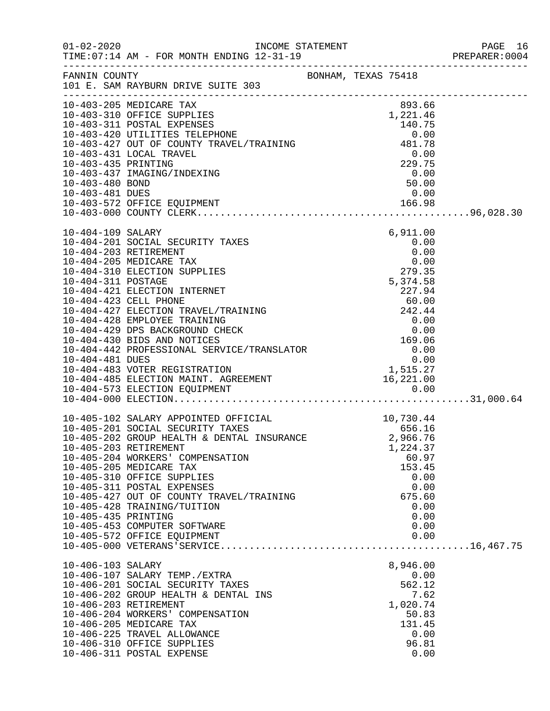|                                        | INCOME STATEMENT                                                                                                                                                                                                                                                                                                                                                                                                                  |  |                                                                                            | PAGE 16<br>PREPARER: 0004 |
|----------------------------------------|-----------------------------------------------------------------------------------------------------------------------------------------------------------------------------------------------------------------------------------------------------------------------------------------------------------------------------------------------------------------------------------------------------------------------------------|--|--------------------------------------------------------------------------------------------|---------------------------|
|                                        | FANNIN COUNTY BONHAM, TEXAS 75418<br>101 E. SAM RAYBURN DRIVE SUITE 303                                                                                                                                                                                                                                                                                                                                                           |  |                                                                                            |                           |
|                                        | 10-403-205 MEDICARE TAX<br>1.221.46<br>10-403-310 OFFICE SUPPLIES<br>10-403-311 POSTAL EXPENSES<br>10-403-420 UTILITIES TELEPHONE<br>10-403-427 OUT OF COUNTY TRAVEL/TRAINING<br>10-403-431 LOCAL TRAVEL<br>229 75                                                                                                                                                                                                                |  | 893.66                                                                                     |                           |
| 10-403-435 PRINTING<br>10-403-480 BOND | 10-403-437 IMAGING/INDEXING                                                                                                                                                                                                                                                                                                                                                                                                       |  | 229.75<br>$\begin{array}{r} 0.00 \\ 50.00 \end{array}$                                     |                           |
|                                        |                                                                                                                                                                                                                                                                                                                                                                                                                                   |  |                                                                                            |                           |
| 10-404-109 SALARY                      | 10-404-201 SOCIAL SECURITY TAXES<br>10-404-203 RETIREMENT                                                                                                                                                                                                                                                                                                                                                                         |  | 6,911.00<br>0.00<br>0.00                                                                   |                           |
|                                        |                                                                                                                                                                                                                                                                                                                                                                                                                                   |  |                                                                                            |                           |
|                                        |                                                                                                                                                                                                                                                                                                                                                                                                                                   |  |                                                                                            |                           |
|                                        |                                                                                                                                                                                                                                                                                                                                                                                                                                   |  |                                                                                            |                           |
| 10-405-435 PRINTING                    | 10-405-102 SALARY APPOINTED OFFICIAL 10-405-201 SOCIAL SECURITY TAXES 656.16<br>10-405-202 GROUP HEALTH & DENTAL INSURANCE 2,966.76<br>10-405-203 RETIREMENT<br>10-405-204 WORKERS' COMPENSATION<br>10-405-205 MEDICARE TAX<br>10-405-310 OFFICE SUPPLIES<br>10-405-311 POSTAL EXPENSES<br>10-405-427 OUT OF COUNTY TRAVEL/TRAINING<br>10-405-428 TRAINING/TUITION<br>10-405-453 COMPUTER SOFTWARE<br>10-405-572 OFFICE EQUIPMENT |  | 1,224.37<br>60.97<br>153.45<br>0.00<br>0.00<br>675.60<br>0.00<br>0.00<br>0.00<br>0.00      |                           |
| 10-406-103 SALARY                      | 10-406-107 SALARY TEMP./EXTRA<br>10-406-201 SOCIAL SECURITY TAXES<br>10-406-202 GROUP HEALTH & DENTAL INS<br>10-406-203 RETIREMENT<br>10-406-204 WORKERS' COMPENSATION<br>10-406-205 MEDICARE TAX<br>10-406-225 TRAVEL ALLOWANCE<br>10-406-310 OFFICE SUPPLIES<br>10-406-311 POSTAL EXPENSE                                                                                                                                       |  | 8,946.00<br>0.00<br>562.12<br>7.62<br>1,020.74<br>50.83<br>131.45<br>0.00<br>96.81<br>0.00 |                           |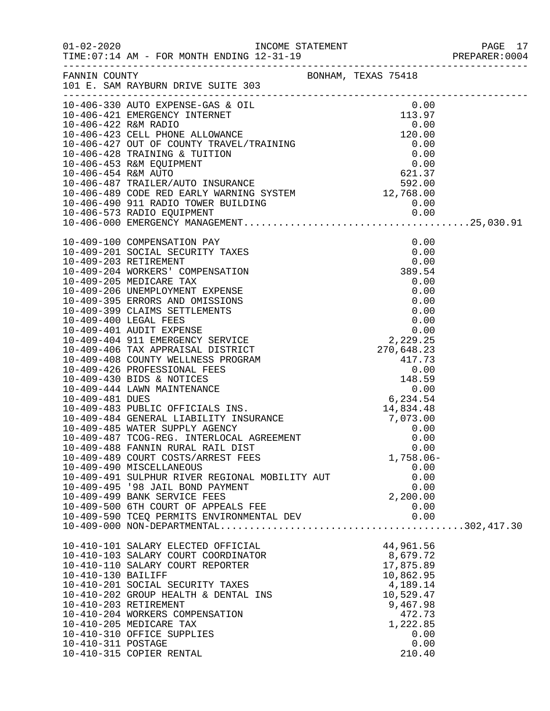|                                          |                                                                                                                                                                                                                                                                                                                                            |                                                                                                                                      | PAGE 17<br>PREPARER:0004<br>PAGE 17 |
|------------------------------------------|--------------------------------------------------------------------------------------------------------------------------------------------------------------------------------------------------------------------------------------------------------------------------------------------------------------------------------------------|--------------------------------------------------------------------------------------------------------------------------------------|-------------------------------------|
|                                          | FANNIN COUNTY SAN BONHAM, TEXAS 75418<br>101 E. SAM RAYBURN DRIVE SUITE 303                                                                                                                                                                                                                                                                |                                                                                                                                      |                                     |
|                                          | 10-406-423 CELL PHONE ALLOWANCE<br>10-406-330 AUTO EXPENSE-GAS & OIL<br>10-006-421 EMERGENCY INTERNET<br>113.97<br>10-406-422 R&M RADIO 0.00<br>10-406-423 CELL PHONE ALLOWANCE<br>10-006-427 OUT OF COUNTY TRAVEL/TRAINING 0.00<br>10-406-4                                                                                               |                                                                                                                                      |                                     |
|                                          | 10-409-488 FANNIN RURAL RAIL DIST<br>10-409-489 COURT COSTS/ARREST FEES<br>10-409-490 MISCELLANEOUS<br>10-409-491 SULPHUR RIVER REGIONAL MOBILITY AUT<br>10-409-495 '98 JAIL BOND PAYMENT<br>10-409-499 BANK SERVICE FEES<br>10-409-500 6TH COURT OF APPEALS FEE                                                                           | 0.00<br>$1,758.06-$<br>0.00<br>0.00<br>0.00<br>2,200.00<br>0.00                                                                      |                                     |
|                                          |                                                                                                                                                                                                                                                                                                                                            |                                                                                                                                      |                                     |
| 10-410-130 BAILIFF<br>10-410-311 POSTAGE | 10-410-101 SALARY ELECTED OFFICIAL<br>10-410-103 SALARY COURT COORDINATOR<br>10-410-110 SALARY COURT REPORTER<br>10-410-201 SOCIAL SECURITY TAXES<br>10-410-202 GROUP HEALTH & DENTAL INS<br>10-410-203 RETIREMENT<br>10-410-204 WORKERS COMPENSATION<br>10-410-205 MEDICARE TAX<br>10-410-310 OFFICE SUPPLIES<br>10-410-315 COPIER RENTAL | 44,961.56<br>8,679.72<br>17,875.89<br>10,862.95<br>4,189.14<br>10,529.47<br>9,467.98<br>472.73<br>1,222.85<br>0.00<br>0.00<br>210.40 |                                     |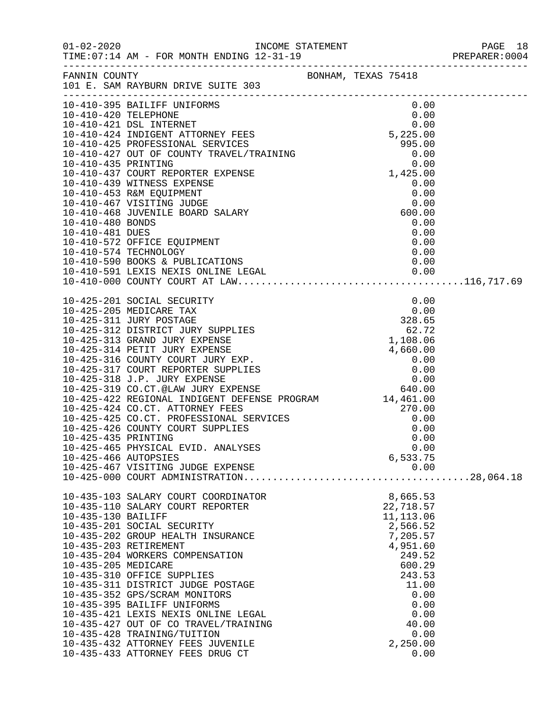|                      |                                                                            |  |            |              | PAGE 18 |
|----------------------|----------------------------------------------------------------------------|--|------------|--------------|---------|
|                      |                                                                            |  |            |              |         |
|                      | FANNIN COUNTY<br>BONHAM, TEXAS 75418<br>101 E. SAM RAYBURN DRIVE SUITE 303 |  |            |              |         |
|                      |                                                                            |  |            |              |         |
|                      |                                                                            |  |            |              |         |
|                      |                                                                            |  |            |              |         |
|                      |                                                                            |  |            |              |         |
|                      |                                                                            |  |            |              |         |
|                      |                                                                            |  |            |              |         |
|                      |                                                                            |  |            |              |         |
|                      |                                                                            |  |            |              |         |
|                      |                                                                            |  |            |              |         |
|                      |                                                                            |  |            |              |         |
|                      |                                                                            |  |            |              |         |
|                      |                                                                            |  |            |              |         |
|                      |                                                                            |  |            |              |         |
|                      |                                                                            |  |            |              |         |
|                      |                                                                            |  |            |              |         |
|                      |                                                                            |  |            |              |         |
|                      |                                                                            |  |            |              |         |
|                      |                                                                            |  |            |              |         |
|                      |                                                                            |  |            |              |         |
|                      |                                                                            |  |            |              |         |
|                      |                                                                            |  |            |              |         |
|                      |                                                                            |  |            |              |         |
|                      |                                                                            |  |            |              |         |
|                      |                                                                            |  |            |              |         |
|                      |                                                                            |  |            |              |         |
|                      |                                                                            |  |            |              |         |
|                      |                                                                            |  |            |              |         |
|                      |                                                                            |  |            |              |         |
|                      |                                                                            |  |            |              |         |
|                      |                                                                            |  |            |              |         |
|                      |                                                                            |  |            |              |         |
|                      |                                                                            |  |            |              |         |
|                      | 10-425-465 PHYSICAL EVID. ANALYSES                                         |  |            | 0.00         |         |
| 10-425-466 AUTOPSIES |                                                                            |  | 6,533.75   |              |         |
|                      | 10-425-467 VISITING JUDGE EXPENSE                                          |  |            | 0.00         |         |
|                      |                                                                            |  |            |              |         |
|                      | 10-435-103 SALARY COURT COORDINATOR                                        |  | 8,665.53   |              |         |
|                      | 10-435-110 SALARY COURT REPORTER                                           |  | 22,718.57  |              |         |
| 10-435-130 BAILIFF   |                                                                            |  | 11, 113.06 |              |         |
|                      | 10-435-201 SOCIAL SECURITY                                                 |  | 2,566.52   |              |         |
|                      | 10-435-202 GROUP HEALTH INSURANCE                                          |  | 7,205.57   |              |         |
|                      | 10-435-203 RETIREMENT                                                      |  | 4,951.60   |              |         |
|                      | 10-435-204 WORKERS COMPENSATION                                            |  | 249.52     |              |         |
| 10-435-205 MEDICARE  |                                                                            |  | 600.29     |              |         |
|                      | 10-435-310 OFFICE SUPPLIES                                                 |  | 243.53     |              |         |
|                      | 10-435-311 DISTRICT JUDGE POSTAGE                                          |  | 11.00      |              |         |
|                      | 10-435-352 GPS/SCRAM MONITORS<br>10-435-395 BAILIFF UNIFORMS               |  |            | 0.00<br>0.00 |         |
|                      | 10-435-421 LEXIS NEXIS ONLINE LEGAL                                        |  |            | 0.00         |         |
|                      | 10-435-427 OUT OF CO TRAVEL/TRAINING                                       |  | 40.00      |              |         |
|                      | 10-435-428 TRAINING/TUITION                                                |  |            | 0.00         |         |
|                      | 10-435-432 ATTORNEY FEES JUVENILE                                          |  | 2,250.00   |              |         |
|                      | 10-435-433 ATTORNEY FEES DRUG CT                                           |  |            | 0.00         |         |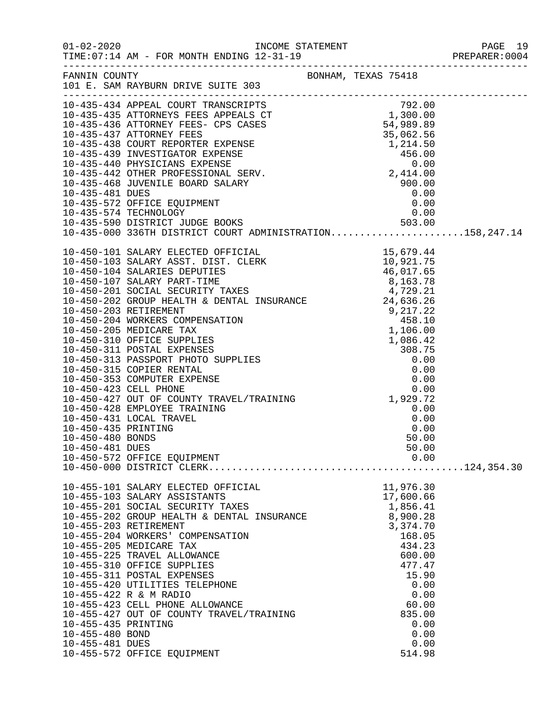|                                    |                                                             |                  | PAGE 19 |
|------------------------------------|-------------------------------------------------------------|------------------|---------|
|                                    | FANNIN COUNTY<br>101 E. SAM RAYBURN DRIVE SUITE 303         |                  |         |
|                                    |                                                             |                  |         |
|                                    |                                                             |                  |         |
|                                    |                                                             |                  |         |
|                                    |                                                             |                  |         |
|                                    |                                                             |                  |         |
|                                    |                                                             |                  |         |
|                                    |                                                             |                  |         |
|                                    |                                                             |                  |         |
|                                    |                                                             |                  |         |
|                                    |                                                             |                  |         |
|                                    |                                                             |                  |         |
|                                    |                                                             |                  |         |
|                                    |                                                             |                  |         |
|                                    |                                                             |                  |         |
|                                    |                                                             |                  |         |
|                                    |                                                             |                  |         |
|                                    |                                                             |                  |         |
|                                    |                                                             |                  |         |
|                                    |                                                             |                  |         |
|                                    |                                                             |                  |         |
|                                    |                                                             |                  |         |
|                                    |                                                             |                  |         |
|                                    |                                                             |                  |         |
|                                    |                                                             |                  |         |
|                                    |                                                             |                  |         |
|                                    |                                                             |                  |         |
|                                    |                                                             |                  |         |
|                                    |                                                             |                  |         |
|                                    |                                                             |                  |         |
|                                    |                                                             |                  |         |
| 10-450-481 DUES                    |                                                             | 50.00            |         |
|                                    | 10-450-572 OFFICE EQUIPMENT                                 | 0.00             |         |
|                                    |                                                             |                  |         |
|                                    | 10-455-101 SALARY ELECTED OFFICIAL                          | 11,976.30        |         |
|                                    | 10-455-103 SALARY ASSISTANTS                                | 17,600.66        |         |
|                                    | 10-455-201 SOCIAL SECURITY TAXES                            | 1,856.41         |         |
|                                    | 10-455-202 GROUP HEALTH & DENTAL INSURANCE                  | 8,900.28         |         |
|                                    | 10-455-203 RETIREMENT                                       | 3,374.70         |         |
|                                    | 10-455-204 WORKERS' COMPENSATION<br>10-455-205 MEDICARE TAX | 168.05<br>434.23 |         |
|                                    | 10-455-225 TRAVEL ALLOWANCE                                 | 600.00           |         |
|                                    | 10-455-310 OFFICE SUPPLIES                                  | 477.47           |         |
|                                    | 10-455-311 POSTAL EXPENSES                                  | 15.90            |         |
|                                    | 10-455-420 UTILITIES TELEPHONE                              | 0.00             |         |
|                                    | 10-455-422 R & M RADIO                                      | 0.00             |         |
|                                    | 10-455-423 CELL PHONE ALLOWANCE                             | 60.00            |         |
|                                    | 10-455-427 OUT OF COUNTY TRAVEL/TRAINING                    | 835.00           |         |
| 10-455-435 PRINTING                |                                                             | 0.00<br>0.00     |         |
| 10-455-480 BOND<br>10-455-481 DUES |                                                             | 0.00             |         |
|                                    | 10-455-572 OFFICE EQUIPMENT                                 | 514.98           |         |
|                                    |                                                             |                  |         |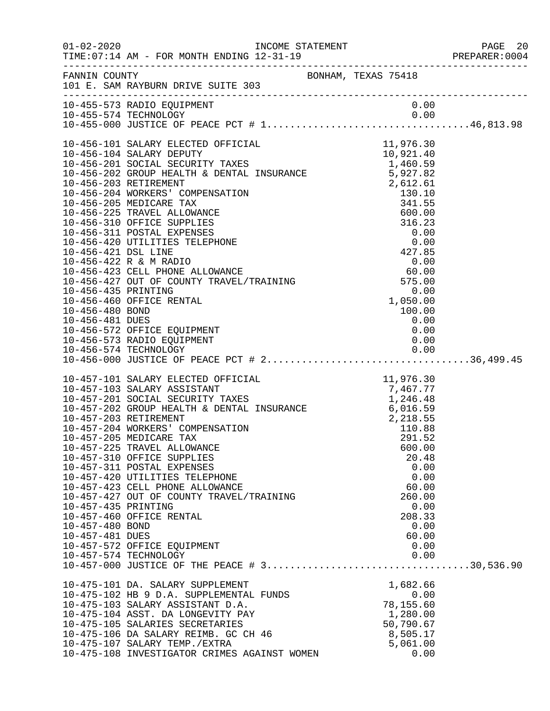|                                                           |                                                                                                                                                                                                                                                                                                                                                                                                                                                                                                             |                                                                        | PAGE 20<br>PREPARER:0004                                                |
|-----------------------------------------------------------|-------------------------------------------------------------------------------------------------------------------------------------------------------------------------------------------------------------------------------------------------------------------------------------------------------------------------------------------------------------------------------------------------------------------------------------------------------------------------------------------------------------|------------------------------------------------------------------------|-------------------------------------------------------------------------|
|                                                           | FANNIN COUNTY <b>EXAS</b> 75418<br>101 E. SAM RAYBURN DRIVE SUITE 303                                                                                                                                                                                                                                                                                                                                                                                                                                       |                                                                        |                                                                         |
|                                                           | 10-455-573 RADIO EQUIPMENT                                                                                                                                                                                                                                                                                                                                                                                                                                                                                  |                                                                        | 0.00                                                                    |
|                                                           | $10-456-101 \mbox{ SALARY ELECTED OFFICIAL} \noindent 10,921.40\n10-456-104 \mbox{ SALARY EECTED OFFICIAL} \noindent 10,921.40\n10-456-201 \mbox{SOCIAL SECRITY TAKES} \noindent 1,460.59\n10-456-201 \mbox{SOCIAL SECRITY TAKES} \noindent 1,460.59\n10-456-201 \mbox{ RICITENT T AKES} \noindent 2,612.61\n10-456-203 \mbox{ RETIREMENT} \noindent 2,6$                                                                                                                                                   |                                                                        |                                                                         |
| 10-457-435 PRINTING<br>10-457-480 BOND<br>10-457-481 DUES | 10-457-101 SALARY ELECTED OFFICIAL<br>10-457-103 SALARY ASSISTANT<br>10-457-201 SOCIAL SECURITY TAXES<br>10-457-202 GROUP HEALTH & DENTAL INSURANCE<br>10-457-202 GROUP HEALTH & DENTAL INSURANCE<br>10-457-203 RETIREMENT<br>10-457-204 W<br>10-457-310 OFFICE SUPPLIES<br>10-457-311 POSTAL EXPENSES<br>10-457-420 UTILITIES TELEPHONE<br>10-457-423 CELL PHONE ALLOWANCE<br>10-457-427 OUT OF COUNTY TRAVEL/TRAINING<br>10-457-460 OFFICE RENTAL<br>10-457-572 OFFICE EQUIPMENT<br>10-457-574 TECHNOLOGY | 260.00<br>208.33                                                       | 20.48<br>0.00<br>0.00<br>60.00<br>0.00<br>0.00<br>60.00<br>0.00<br>0.00 |
|                                                           | 10-475-101 DA. SALARY SUPPLEMENT<br>10-475-102 HB 9 D.A. SUPPLEMENTAL FUNDS<br>10-475-103 SALARY ASSISTANT D.A.<br>10-475-104 ASST. DA LONGEVITY PAY<br>10-475-105 SALARIES SECRETARIES<br>10-475-106 DA SALARY REIMB. GC CH 46<br>10-475-107 SALARY TEMP./EXTRA<br>10-475-108 INVESTIGATOR CRIMES AGAINST WOMEN                                                                                                                                                                                            | 1,682.66<br>78,155.60<br>1,280.00<br>50,790.67<br>8,505.17<br>5,061.00 | 0.00<br>0.00                                                            |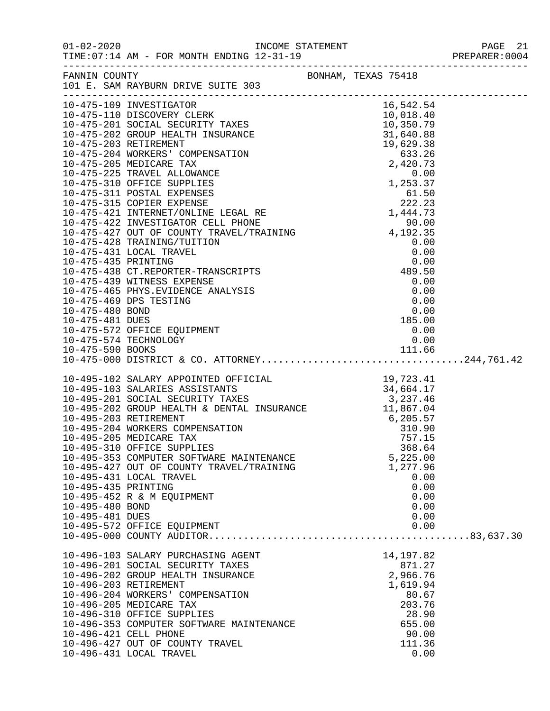|                                                           | FANNIN COUNTY<br>101 E. SAM RAYBURN DRIVE SUITE 303                                                                                                                                                                                                                                                                                                                                                                                                      | BONHAM, TEXAS 75418 |                                                                                                               |  |
|-----------------------------------------------------------|----------------------------------------------------------------------------------------------------------------------------------------------------------------------------------------------------------------------------------------------------------------------------------------------------------------------------------------------------------------------------------------------------------------------------------------------------------|---------------------|---------------------------------------------------------------------------------------------------------------|--|
|                                                           | $\begin{tabular}{l c c c} \hline 161 & 8300 RANDRIDRDRUR & 30178 & 30188 & 01018 & 01018 & 01018 & 01018 & 01018 & 01018 & 01018 & 01018 & 01018 & 01018 & 01018 & 01018 & 01018 & 01018 & 01018 & 01018 & 01018 & 01018 & 01018 & 01018 & 01018 & 01018 & 01018 & 01018 & 01$                                                                                                                                                                           |                     |                                                                                                               |  |
|                                                           |                                                                                                                                                                                                                                                                                                                                                                                                                                                          |                     |                                                                                                               |  |
| 10-495-435 PRINTING<br>10-495-480 BOND<br>10-495-481 DUES | 10-495-102 SALARY APPOINTED OFFICIAL<br>10-495-103 SALARIES ASSISTANTS<br>10-495-201 SOCIAL SECURITY TAXES<br>10-495-201 SOCIAL SECURITY TAXES<br>10-495-202 GROUP HEALTH & DENTAL INSURANCE<br>10-495-203 RETIREMENT<br>10-495-203 RETIRE<br>10-495-310 OFFICE SUPPLIES<br>10-495-353 COMPUTER SOFTWARE MAINTENANCE<br>10-495-427 OUT OF COUNTY TRAVEL/TRAINING<br>10-495-431 LOCAL TRAVEL<br>10-495-452 R & M EQUIPMENT<br>10-495-572 OFFICE EQUIPMENT |                     | 368.64<br>5,225.00<br>1,277.96<br>0.00<br>0.00<br>0.00<br>0.00<br>0.00<br>0.00                                |  |
|                                                           | 10-496-103 SALARY PURCHASING AGENT<br>10-496-201 SOCIAL SECURITY TAXES<br>10-496-202 GROUP HEALTH INSURANCE<br>10-496-203 RETIREMENT<br>10-496-204 WORKERS' COMPENSATION<br>10-496-205 MEDICARE TAX<br>10-496-310 OFFICE SUPPLIES<br>10-496-353 COMPUTER SOFTWARE MAINTENANCE<br>10-496-421 CELL PHONE<br>10-496-427 OUT OF COUNTY TRAVEL<br>10-496-431 LOCAL TRAVEL                                                                                     |                     | 14, 197.82<br>871.27<br>2,966.76<br>1,619.94<br>80.67<br>203.76<br>28.90<br>655.00<br>90.00<br>111.36<br>0.00 |  |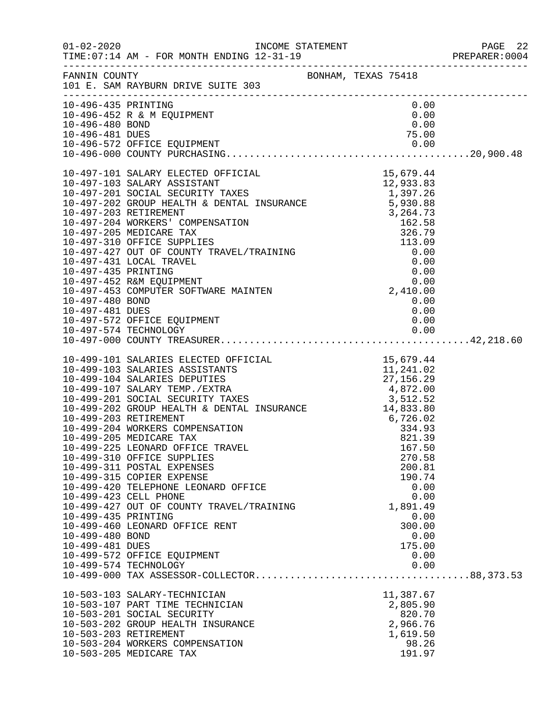|                     |                                                                                                                                                                                                                                                                                                                                                                               |                | PAGE 22<br>PREPARER:0004 |
|---------------------|-------------------------------------------------------------------------------------------------------------------------------------------------------------------------------------------------------------------------------------------------------------------------------------------------------------------------------------------------------------------------------|----------------|--------------------------|
|                     | FANNIN COUNTY<br>101 E. SAM RAYBURN DRIVE SUITE 303                                                                                                                                                                                                                                                                                                                           |                |                          |
| 10-496-435 PRINTING |                                                                                                                                                                                                                                                                                                                                                                               | 0.00           |                          |
|                     | 10-496-452 R & M EQUIPMENT                                                                                                                                                                                                                                                                                                                                                    | 0.00           |                          |
|                     |                                                                                                                                                                                                                                                                                                                                                                               |                |                          |
|                     |                                                                                                                                                                                                                                                                                                                                                                               |                |                          |
|                     |                                                                                                                                                                                                                                                                                                                                                                               |                |                          |
|                     | $\begin{tabular}{lllllllllllllllllllllllllllllllllllllllllllll} & & & & 10-497-101 & \text{SALARY ELECTED OFFICIAL} & & & 15,679.44\\ 10-497-103 & \text{SALARY ASSISTANT} & & & 12,933.83\\ 10-497-201 & \text{SOCIAL SECURITY TAXES} & & 1,397.26\\ 10-497-202 & \text{GROUP HEALTH & \text{DENTAL INSURANCE} & & 5,930.88\\ 10-497-203 & \text{RETIREMENT} & & 3,264.73\\$ |                |                          |
|                     |                                                                                                                                                                                                                                                                                                                                                                               |                |                          |
|                     |                                                                                                                                                                                                                                                                                                                                                                               |                |                          |
|                     |                                                                                                                                                                                                                                                                                                                                                                               |                |                          |
|                     |                                                                                                                                                                                                                                                                                                                                                                               |                |                          |
|                     |                                                                                                                                                                                                                                                                                                                                                                               |                |                          |
|                     |                                                                                                                                                                                                                                                                                                                                                                               |                |                          |
|                     |                                                                                                                                                                                                                                                                                                                                                                               |                |                          |
|                     |                                                                                                                                                                                                                                                                                                                                                                               |                |                          |
|                     |                                                                                                                                                                                                                                                                                                                                                                               |                |                          |
|                     |                                                                                                                                                                                                                                                                                                                                                                               |                |                          |
|                     |                                                                                                                                                                                                                                                                                                                                                                               |                |                          |
| 10-497-480 BOND     |                                                                                                                                                                                                                                                                                                                                                                               | 0.00           |                          |
|                     |                                                                                                                                                                                                                                                                                                                                                                               |                |                          |
|                     |                                                                                                                                                                                                                                                                                                                                                                               |                |                          |
|                     |                                                                                                                                                                                                                                                                                                                                                                               |                |                          |
|                     | 10-499-101 SALARIES ELECTED OFFICIAL<br>10-499-103 SALARIES ASSISTANTS<br>10-499-104 SALARIES DEPUTIES<br>10-499-107 SALARIES DEPUTIES<br>10-499-201 SOCIAL SECURITY TAXES<br>10-499-201 SOCIAL SECURITY TAXES<br>10-499-202 GROUP HEALTH                                                                                                                                     |                |                          |
|                     |                                                                                                                                                                                                                                                                                                                                                                               |                |                          |
|                     |                                                                                                                                                                                                                                                                                                                                                                               |                |                          |
|                     |                                                                                                                                                                                                                                                                                                                                                                               |                |                          |
|                     |                                                                                                                                                                                                                                                                                                                                                                               |                |                          |
|                     |                                                                                                                                                                                                                                                                                                                                                                               |                |                          |
|                     |                                                                                                                                                                                                                                                                                                                                                                               |                |                          |
|                     |                                                                                                                                                                                                                                                                                                                                                                               | 821.39         |                          |
|                     | 10-499-225 LEONARD OFFICE TRAVEL                                                                                                                                                                                                                                                                                                                                              | 167.50         |                          |
|                     | 10-499-310 OFFICE SUPPLIES                                                                                                                                                                                                                                                                                                                                                    | 270.58         |                          |
|                     | 10-499-311 POSTAL EXPENSES                                                                                                                                                                                                                                                                                                                                                    | 200.81         |                          |
|                     | 10-499-315 COPIER EXPENSE<br>10-499-420 TELEPHONE LEONARD OFFICE                                                                                                                                                                                                                                                                                                              | 190.74<br>0.00 |                          |
|                     | 10-499-423 CELL PHONE                                                                                                                                                                                                                                                                                                                                                         | 0.00           |                          |
|                     | 10-499-427 OUT OF COUNTY TRAVEL/TRAINING                                                                                                                                                                                                                                                                                                                                      | 1,891.49       |                          |
| 10-499-435 PRINTING |                                                                                                                                                                                                                                                                                                                                                                               | 0.00           |                          |
|                     | 10-499-460 LEONARD OFFICE RENT                                                                                                                                                                                                                                                                                                                                                | 300.00         |                          |
| 10-499-480 BOND     |                                                                                                                                                                                                                                                                                                                                                                               | 0.00           |                          |
| 10-499-481 DUES     |                                                                                                                                                                                                                                                                                                                                                                               | 175.00         |                          |
|                     | 10-499-572 OFFICE EQUIPMENT                                                                                                                                                                                                                                                                                                                                                   | 0.00           |                          |
|                     | 10-499-574 TECHNOLOGY                                                                                                                                                                                                                                                                                                                                                         | 0.00           |                          |
|                     | 10-503-103 SALARY-TECHNICIAN                                                                                                                                                                                                                                                                                                                                                  | 11,387.67      |                          |
|                     | 10-503-107 PART TIME TECHNICIAN                                                                                                                                                                                                                                                                                                                                               | 2,805.90       |                          |
|                     | 10-503-201 SOCIAL SECURITY                                                                                                                                                                                                                                                                                                                                                    | 820.70         |                          |
|                     | 10-503-202 GROUP HEALTH INSURANCE                                                                                                                                                                                                                                                                                                                                             | 2,966.76       |                          |
|                     | 10-503-203 RETIREMENT                                                                                                                                                                                                                                                                                                                                                         | 1,619.50       |                          |
|                     | 10-503-204 WORKERS COMPENSATION                                                                                                                                                                                                                                                                                                                                               | 98.26          |                          |
|                     | 10-503-205 MEDICARE TAX                                                                                                                                                                                                                                                                                                                                                       | 191.97         |                          |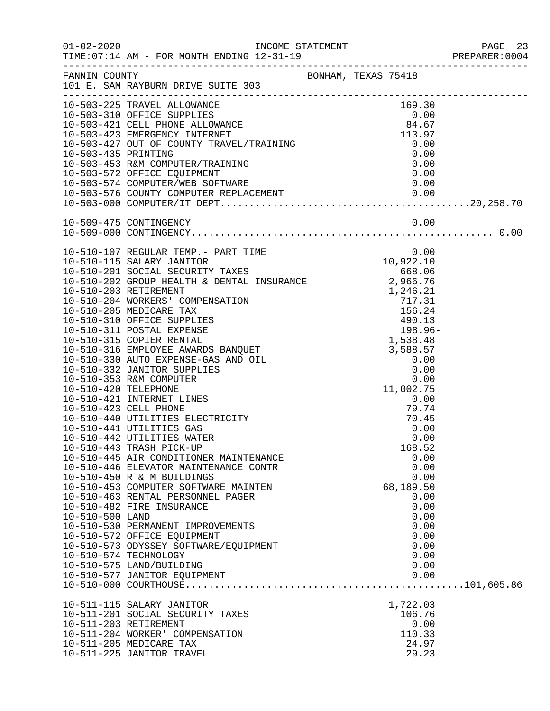|                 |                                                                                                                                                                                                                                              |  |           |              | PREPARER: 0004 |  |
|-----------------|----------------------------------------------------------------------------------------------------------------------------------------------------------------------------------------------------------------------------------------------|--|-----------|--------------|----------------|--|
|                 | FANNIN COUNTY<br>101 E. SAM RAYBURN DRIVE SUITE 303                                                                                                                                                                                          |  |           |              |                |  |
|                 | 10-503-225 TRAVEL ALLOWANCE                                                                                                                                                                                                                  |  | 169.30    |              |                |  |
|                 | 10-503-225 IRAVEL ALLOWANCE<br>10-503-310 OFFICE SUPPLIES<br>10-503-421 CELL PHONE ALLOWANCE<br>10-503-423 EMERGENCY INTERNET<br>10-503-427 OUT OF COUNTY TRAVEL/TRAINING<br>10-503-435 PRINTING<br>10-503-453 R&M COMPUTER/TRAINING<br>10-5 |  |           |              |                |  |
|                 |                                                                                                                                                                                                                                              |  |           |              |                |  |
|                 |                                                                                                                                                                                                                                              |  |           |              |                |  |
|                 |                                                                                                                                                                                                                                              |  |           |              |                |  |
|                 |                                                                                                                                                                                                                                              |  |           |              |                |  |
|                 |                                                                                                                                                                                                                                              |  |           |              |                |  |
|                 | 10-503-574 COMPUTER/WEB SOFTWARE                                                                                                                                                                                                             |  | 0.00      |              |                |  |
|                 |                                                                                                                                                                                                                                              |  |           |              |                |  |
|                 |                                                                                                                                                                                                                                              |  |           |              |                |  |
|                 |                                                                                                                                                                                                                                              |  |           |              |                |  |
|                 |                                                                                                                                                                                                                                              |  |           |              |                |  |
|                 |                                                                                                                                                                                                                                              |  |           |              |                |  |
|                 |                                                                                                                                                                                                                                              |  |           |              |                |  |
|                 |                                                                                                                                                                                                                                              |  |           |              |                |  |
|                 |                                                                                                                                                                                                                                              |  |           |              |                |  |
|                 |                                                                                                                                                                                                                                              |  |           |              |                |  |
|                 |                                                                                                                                                                                                                                              |  |           |              |                |  |
|                 |                                                                                                                                                                                                                                              |  |           |              |                |  |
|                 |                                                                                                                                                                                                                                              |  | 198.96-   |              |                |  |
|                 |                                                                                                                                                                                                                                              |  |           |              |                |  |
|                 |                                                                                                                                                                                                                                              |  |           |              |                |  |
|                 |                                                                                                                                                                                                                                              |  |           |              |                |  |
|                 |                                                                                                                                                                                                                                              |  |           |              |                |  |
|                 |                                                                                                                                                                                                                                              |  |           |              |                |  |
|                 | 10-510-421 INTERNET LINES                                                                                                                                                                                                                    |  | 0.00      |              |                |  |
|                 | 10-510-423 CELL PHONE                                                                                                                                                                                                                        |  | 79.74     |              |                |  |
|                 | 10-510-440 UTILITIES ELECTRICITY                                                                                                                                                                                                             |  | 70.45     |              |                |  |
|                 | 10-510-441 UTILITIES GAS                                                                                                                                                                                                                     |  | 0.00      |              |                |  |
|                 | 10-510-442 UTILITIES WATER                                                                                                                                                                                                                   |  | 0.00      |              |                |  |
|                 | 10-510-443 TRASH PICK-UP                                                                                                                                                                                                                     |  | 168.52    |              |                |  |
|                 | 10-510-445 AIR CONDITIONER MAINTENANCE                                                                                                                                                                                                       |  |           | 0.00         |                |  |
|                 | 10-510-446 ELEVATOR MAINTENANCE CONTR<br>10-510-450 R & M BUILDINGS                                                                                                                                                                          |  |           | 0.00<br>0.00 |                |  |
|                 | 10-510-453 COMPUTER SOFTWARE MAINTEN                                                                                                                                                                                                         |  | 68,189.50 |              |                |  |
|                 | 10-510-463 RENTAL PERSONNEL PAGER                                                                                                                                                                                                            |  | 0.00      |              |                |  |
|                 | 10-510-482 FIRE INSURANCE                                                                                                                                                                                                                    |  |           | 0.00         |                |  |
| 10-510-500 LAND |                                                                                                                                                                                                                                              |  |           | 0.00         |                |  |
|                 | 10-510-530 PERMANENT IMPROVEMENTS                                                                                                                                                                                                            |  |           | 0.00         |                |  |
|                 | 10-510-572 OFFICE EQUIPMENT                                                                                                                                                                                                                  |  |           | 0.00         |                |  |
|                 | 10-510-573 ODYSSEY SOFTWARE/EQUIPMENT                                                                                                                                                                                                        |  | 0.00      |              |                |  |
|                 | 10-510-574 TECHNOLOGY                                                                                                                                                                                                                        |  | 0.00      |              |                |  |
|                 | 10-510-575 LAND/BUILDING                                                                                                                                                                                                                     |  | 0.00      |              |                |  |
|                 | 10-510-577 JANITOR EQUIPMENT                                                                                                                                                                                                                 |  |           | 0.00         |                |  |
|                 |                                                                                                                                                                                                                                              |  |           |              |                |  |
|                 | 10-511-115 SALARY JANITOR                                                                                                                                                                                                                    |  | 1,722.03  |              |                |  |
|                 | 10-511-201 SOCIAL SECURITY TAXES                                                                                                                                                                                                             |  | 106.76    |              |                |  |
|                 | 10-511-203 RETIREMENT                                                                                                                                                                                                                        |  | 0.00      |              |                |  |
|                 | 10-511-204 WORKER' COMPENSATION                                                                                                                                                                                                              |  | 110.33    |              |                |  |
|                 | 10-511-205 MEDICARE TAX                                                                                                                                                                                                                      |  | 24.97     |              |                |  |
|                 | 10-511-225 JANITOR TRAVEL                                                                                                                                                                                                                    |  | 29.23     |              |                |  |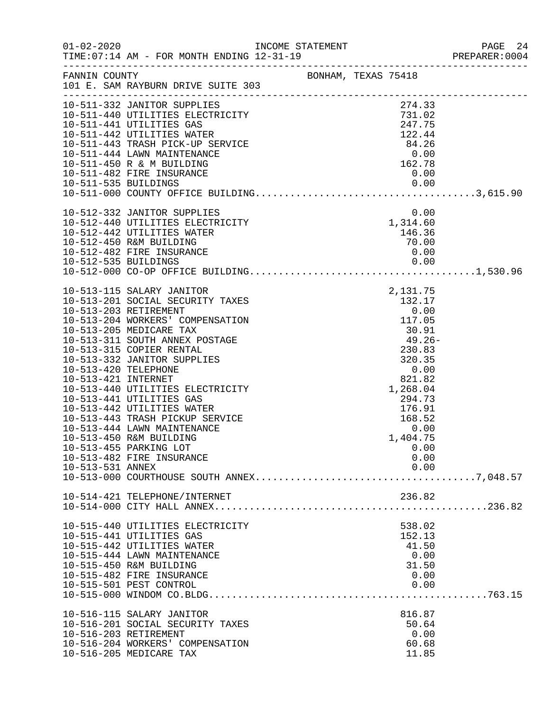|                                             |                                                        |                     |                           | PREPARER: 0004 |
|---------------------------------------------|--------------------------------------------------------|---------------------|---------------------------|----------------|
| FANNIN COUNTY                               | 101 E. SAM RAYBURN DRIVE SUITE 303                     | BONHAM, TEXAS 75418 |                           |                |
|                                             | 10-511-332 JANITOR SUPPLIES                            |                     | 274.33                    |                |
|                                             | 10-511-440 UTILITIES ELECTRICITY                       |                     | 731.02                    |                |
|                                             | 10-511-441 UTILITIES GAS                               |                     | 247.75                    |                |
|                                             | 10-511-442 UTILITIES WATER                             |                     | 122.44                    |                |
|                                             | 10-511-443 TRASH PICK-UP SERVICE                       |                     | 84.26                     |                |
|                                             | 10-511-444 LAWN MAINTENANCE                            |                     | 0.00                      |                |
|                                             | 10-511-450 R & M BUILDING<br>10-511-482 FIRE INSURANCE |                     | 162.78<br>0.00            |                |
| 10-511-535 BUILDINGS                        |                                                        |                     | 0.00                      |                |
|                                             |                                                        |                     |                           |                |
|                                             | 10-512-332 JANITOR SUPPLIES                            |                     | 0.00                      |                |
|                                             | 10-512-440 UTILITIES ELECTRICITY                       |                     | $0.00$<br>1,314.60        |                |
|                                             | 10-512-442 UTILITIES WATER                             |                     | 146.36                    |                |
|                                             | 10-512-450 R&M BUILDING                                |                     | 70.00                     |                |
|                                             | 10-512-482 FIRE INSURANCE                              |                     | 0.00                      |                |
|                                             |                                                        |                     |                           |                |
|                                             |                                                        |                     |                           |                |
|                                             | 10-513-115 SALARY JANITOR                              |                     | $\frac{2,131.75}{132.17}$ |                |
|                                             | 10-513-201 SOCIAL SECURITY TAXES                       |                     |                           |                |
|                                             | 10-513-203 RETIREMENT                                  |                     | $0.00$<br>$117.05$        |                |
|                                             | 10-513-204 WORKERS' COMPENSATION                       |                     |                           |                |
|                                             | 10-513-205 MEDICARE TAX                                |                     |                           |                |
|                                             | 10-513-311 SOUTH ANNEX POSTAGE                         |                     | 30.91<br>49.26-<br>230.83 |                |
|                                             | 10-513-315 COPIER RENTAL                               |                     |                           |                |
|                                             | 10-513-332 JANITOR SUPPLIES                            |                     | 320.35                    |                |
| 10-513-420 TELEPHONE<br>10-513-421 INTERNET |                                                        |                     | 0.00<br>821.82            |                |
|                                             | 10-513-440 UTILITIES ELECTRICITY                       |                     | 1,268.04                  |                |
|                                             | 10-513-441 UTILITIES GAS                               |                     | 294.73                    |                |
|                                             | 10-513-442 UTILITIES WATER                             |                     | 176.91                    |                |
|                                             | 10-513-443 TRASH PICKUP SERVICE                        |                     | 168.52                    |                |
|                                             | 10-513-444 LAWN MAINTENANCE                            |                     | 0.00                      |                |
|                                             | 10-513-450 R&M BUILDING                                |                     | 1,404.75                  |                |
|                                             | 10-513-455 PARKING LOT                                 |                     | 0.00                      |                |
|                                             | 10-513-482 FIRE INSURANCE                              |                     | 0.00                      |                |
| 10-513-531 ANNEX                            |                                                        |                     | 0.00                      |                |
|                                             |                                                        |                     |                           |                |
|                                             | 10-514-421 TELEPHONE/INTERNET                          |                     | 236.82                    |                |
|                                             |                                                        |                     |                           |                |
|                                             | 10-515-440 UTILITIES ELECTRICITY                       |                     | 538.02                    |                |
|                                             | 10-515-441 UTILITIES GAS                               |                     | 152.13                    |                |
|                                             | 10-515-442 UTILITIES WATER                             |                     | 41.50                     |                |
|                                             | 10-515-444 LAWN MAINTENANCE                            |                     | 0.00                      |                |
|                                             | 10-515-450 R&M BUILDING                                |                     | 31.50                     |                |
|                                             | 10-515-482 FIRE INSURANCE                              |                     | 0.00                      |                |
|                                             | 10-515-501 PEST CONTROL                                |                     | 0.00                      |                |
|                                             |                                                        |                     |                           |                |
|                                             | 10-516-115 SALARY JANITOR                              |                     | 816.87                    |                |
|                                             | 10-516-201 SOCIAL SECURITY TAXES                       |                     | 50.64                     |                |
|                                             | 10-516-203 RETIREMENT                                  |                     | 0.00                      |                |
|                                             | 10-516-204 WORKERS' COMPENSATION                       |                     | 60.68                     |                |
|                                             | 10-516-205 MEDICARE TAX                                |                     | 11.85                     |                |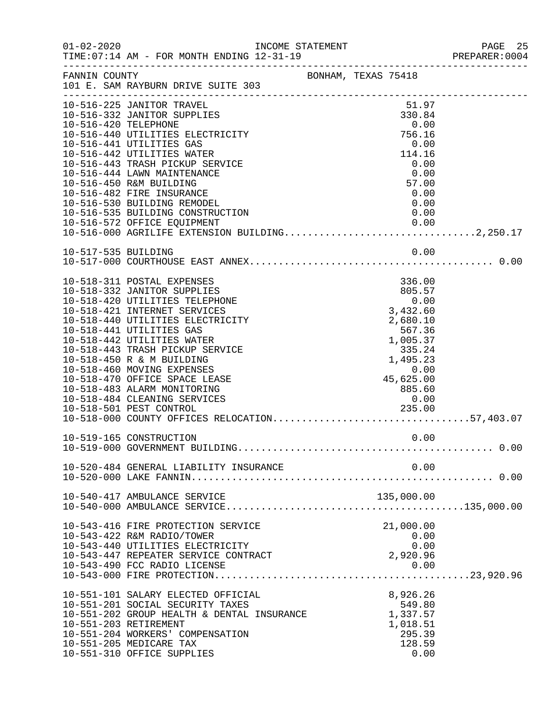| $01 - 02 - 2020$     | INCOME STATEMENT<br>AM - FOR MONTH ENDING 12-31-19                                                   |                                                               |            |                               |      | PAGE 25<br>PREPARER: 0004 |
|----------------------|------------------------------------------------------------------------------------------------------|---------------------------------------------------------------|------------|-------------------------------|------|---------------------------|
|                      | FANNIN COUNTY<br>101 E. SAM RAYBURN DRIVE SUITE 303                                                  | BONHAM, TEXAS 75418                                           |            |                               |      |                           |
|                      | 10-516-225 JANITOR TRAVEL<br>10-516-332 JANITOR SUPPLIES                                             |                                                               |            | 51.97<br>330.84               |      |                           |
| 10-516-420 TELEPHONE |                                                                                                      |                                                               |            | 0.00                          |      |                           |
|                      | 10-516-440 UTILITIES ELECTRICITY                                                                     |                                                               |            | 756.16                        |      |                           |
|                      | 10-516-441 UTILITIES GAS                                                                             |                                                               |            | 0.00                          |      |                           |
|                      | 10-516-442 UTILITIES WATER                                                                           |                                                               |            | 114.16                        |      |                           |
|                      | 10-516-443 TRASH PICKUP SERVICE<br>10-516-444 LAWN MAINTENANCE                                       |                                                               |            | 0.00<br>0.00                  |      |                           |
|                      | 10-516-450 R&M BUILDING                                                                              |                                                               |            | 57.00                         |      |                           |
|                      | 10-516-482 FIRE INSURANCE                                                                            |                                                               |            | 0.00                          |      |                           |
|                      | 10-516-530 BUILDING REMODEL                                                                          |                                                               |            | 0.00                          |      |                           |
|                      | 10-516-535 BUILDING CONSTRUCTION                                                                     |                                                               |            |                               | 0.00 |                           |
|                      | 10-516-572 OFFICE EQUIPMENT<br>10-516-000 AGRILIFE EXTENSION BUILDING2,250.17                        |                                                               |            |                               |      |                           |
|                      |                                                                                                      |                                                               |            |                               |      |                           |
| 10-517-535 BUILDING  |                                                                                                      |                                                               |            |                               | 0.00 |                           |
|                      |                                                                                                      |                                                               |            |                               |      |                           |
|                      | 10-518-311 POSTAL EXPENSES                                                                           |                                                               |            | 336.00                        |      |                           |
|                      | 10-518-332 JANITOR SUPPLIES                                                                          |                                                               |            | 805.57                        |      |                           |
|                      | 10-518-420 UTILITIES TELEPHONE                                                                       |                                                               |            | 0.00                          |      |                           |
|                      | 10-518-421 INTERNET SERVICES                                                                         |                                                               |            | 3,432.60                      |      |                           |
|                      | 10-518-440 UTILITIES ELECTRICITY                                                                     |                                                               |            | 2,680.10                      |      |                           |
|                      | 10-518-441 UTILITIES GAS                                                                             |                                                               |            | 567.36                        |      |                           |
|                      | 10-518-442 UTILITIES WATER<br>10-518-443 TRASH PICKUP SERVICE                                        | $1,005.37$<br>$335.24$<br>$1,495.23$<br>$0.00$<br>$45,625.00$ |            |                               |      |                           |
|                      | 10-518-450 R & M BUILDING                                                                            |                                                               |            |                               |      |                           |
|                      | 10-518-460 MOVING EXPENSES                                                                           |                                                               |            |                               |      |                           |
|                      | 10-518-470 OFFICE SPACE LEASE                                                                        |                                                               |            |                               |      |                           |
|                      | 10-518-483 ALARM MONITORING                                                                          |                                                               |            | 00.cs v, c.<br>885.60<br>0.00 |      |                           |
|                      | 10-518-484 CLEANING SERVICES                                                                         |                                                               |            |                               |      |                           |
|                      | ES DE CONTRACTORES DE CONTRACTORES DE CONTRACTORES DE CONTRACTORES DE CONTRACTORES DE CONTRACTORES D |                                                               |            |                               |      |                           |
|                      | 10-518-501 PEST CONTROL 235.00<br>10-518-000 COUNTY OFFICES RELOCATION57,403.07                      |                                                               |            |                               |      |                           |
|                      | 10-519-165 CONSTRUCTION                                                                              |                                                               |            |                               | 0.00 |                           |
|                      |                                                                                                      |                                                               |            |                               |      |                           |
|                      | 10-520-484 GENERAL LIABILITY INSURANCE                                                               |                                                               |            |                               | 0.00 |                           |
|                      |                                                                                                      |                                                               |            |                               |      |                           |
|                      | 10-540-417 AMBULANCE SERVICE                                                                         |                                                               | 135,000.00 |                               |      |                           |
|                      |                                                                                                      |                                                               |            |                               |      |                           |
|                      | 10-543-416 FIRE PROTECTION SERVICE                                                                   |                                                               |            | 21,000.00                     |      |                           |
|                      | 10-543-422 R&M RADIO/TOWER                                                                           |                                                               |            | 0.00                          |      |                           |
|                      | 10-543-440 UTILITIES ELECTRICITY                                                                     |                                                               |            |                               | 0.00 |                           |
|                      | 10-543-447 REPEATER SERVICE CONTRACT                                                                 |                                                               | 2,920.96   |                               |      |                           |
|                      | 10-543-490 FCC RADIO LICENSE                                                                         |                                                               |            | 0.00                          |      |                           |
|                      |                                                                                                      |                                                               |            |                               |      |                           |
|                      | 10-551-101 SALARY ELECTED OFFICIAL                                                                   |                                                               |            | 8,926.26                      |      |                           |
|                      | 10-551-201 SOCIAL SECURITY TAXES                                                                     |                                                               |            | 549.80                        |      |                           |
|                      | 10-551-202 GROUP HEALTH & DENTAL INSURANCE                                                           |                                                               |            | 1,337.57                      |      |                           |
|                      | 10-551-203 RETIREMENT                                                                                |                                                               |            | 1,018.51                      |      |                           |
|                      | 10-551-204 WORKERS' COMPENSATION                                                                     |                                                               |            | 295.39                        |      |                           |
|                      | 10-551-205 MEDICARE TAX                                                                              |                                                               |            | 128.59                        |      |                           |
|                      | 10-551-310 OFFICE SUPPLIES                                                                           |                                                               |            |                               | 0.00 |                           |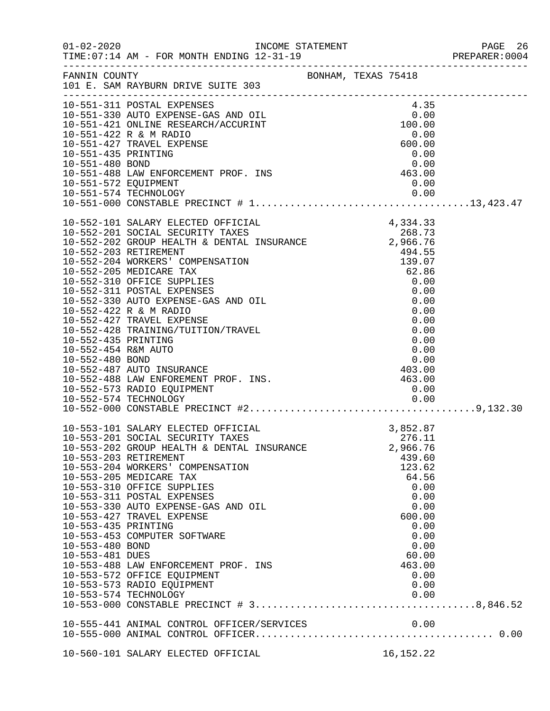|                                                           |                                                                                                                                                                                                                                                                                                                                                                                                                                                                                                            |  |                                                                                                                                                                  | PAGE 26<br>PREPARER:0004 |
|-----------------------------------------------------------|------------------------------------------------------------------------------------------------------------------------------------------------------------------------------------------------------------------------------------------------------------------------------------------------------------------------------------------------------------------------------------------------------------------------------------------------------------------------------------------------------------|--|------------------------------------------------------------------------------------------------------------------------------------------------------------------|--------------------------|
|                                                           | FANNIN COUNTY SAN BONHAM, TEXAS 75418<br>101 E. SAM RAYBURN DRIVE SUITE 303                                                                                                                                                                                                                                                                                                                                                                                                                                |  |                                                                                                                                                                  |                          |
|                                                           | 10-551-311 POSTAL EXPENSES<br>10-551-311 POSTAL EXPENSES<br>10-551-330 AUTO EXPENSE-GAS AND OIL<br>10-551-421 ONLINE RESEARCH/ACCURINT<br>10-551-422 R & M RADIO<br>10-551-427 TRAVEL EXPENSE<br>10-551-435 PRINTING<br>10-551-480 BOND<br>10-551-488 LAW ENFORCEMENT PROF                                                                                                                                                                                                                                 |  |                                                                                                                                                                  |                          |
|                                                           |                                                                                                                                                                                                                                                                                                                                                                                                                                                                                                            |  |                                                                                                                                                                  |                          |
| 10-551-572 EQUIPMENT                                      |                                                                                                                                                                                                                                                                                                                                                                                                                                                                                                            |  | 0.00<br>0.00                                                                                                                                                     |                          |
|                                                           |                                                                                                                                                                                                                                                                                                                                                                                                                                                                                                            |  |                                                                                                                                                                  |                          |
|                                                           |                                                                                                                                                                                                                                                                                                                                                                                                                                                                                                            |  |                                                                                                                                                                  |                          |
|                                                           |                                                                                                                                                                                                                                                                                                                                                                                                                                                                                                            |  |                                                                                                                                                                  |                          |
| 10-553-435 PRINTING<br>10-553-480 BOND<br>10-553-481 DUES | 10-553-101 SALARY ELECTED OFFICIAL<br>10-553-201 SOCIAL SECURITY TAXES<br>10-553-202 GROUP HEALTH & DENTAL INSURANCE<br>10-553-203 RETIREMENT<br>10-553-204 WORKERS' COMPENSATION<br>10-553-205 MEDICARE TAX<br>10-553-310 OFFICE SUPPLIES<br>10-553-311 POSTAL EXPENSES<br>10-553-330 AUTO EXPENSE-GAS AND OIL<br>10-553-427 TRAVEL EXPENSE<br>10-553-453 COMPUTER SOFTWARE<br>10-553-488 LAW ENFORCEMENT PROF. INS<br>10-553-572 OFFICE EQUIPMENT<br>10-553-573 RADIO EQUIPMENT<br>10-553-574 TECHNOLOGY |  | 3,852.87<br>276.11<br>2,966.76<br>439.60<br>123.62<br>64.56<br>0.00<br>0.00<br>0.00<br>600.00<br>0.00<br>0.00<br>0.00<br>60.00<br>463.00<br>0.00<br>0.00<br>0.00 |                          |
|                                                           |                                                                                                                                                                                                                                                                                                                                                                                                                                                                                                            |  |                                                                                                                                                                  |                          |
|                                                           | 10-560-101 SALARY ELECTED OFFICIAL                                                                                                                                                                                                                                                                                                                                                                                                                                                                         |  | 16, 152. 22                                                                                                                                                      |                          |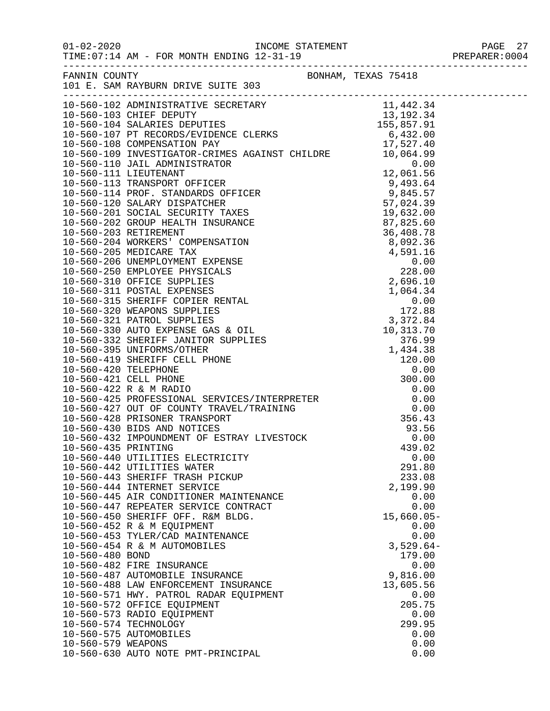01-02-2020<br>PAGE 27 DAGE 27 INCOME STATEMENT PREPARER:0004<br>PREPARER:0004 TIME:  $07:14$  AM - FOR MONTH ENDING  $12-31-19$ 

| FANNIN COUNTY<br>101 E. SAM RAYBURN DRIVE SUITE 303<br>10-560-102 ADMINISTRATIVE SECRETARY<br>10-560-103 CHIEF DEPUTY<br>10-560-104 SALARIES DEPUTIES<br>10-560-107 PT RECORDS/EVIDENCE CLERKS<br>10-560-107 PT RECORDS/EVIDENCE CLERKS<br>10-560-108 COMPENSATION PAY<br>10-560-108 COMPENSATION<br>291.80<br>10-560-442 UTILITIES WATER<br>10-560-443 SHERIFF TRASH PICKUP<br>233.08<br>10-560-444 INTERNET SERVICE<br>2,199.90<br>10-560-445 AIR CONDITIONER MAINTENANCE<br>0.00<br>0.00<br>10-560-447 REPEATER SERVICE CONTRACT<br>10-560-450 SHERIFF OFF. R&M BLDG.<br>$15,660.05-$<br>10-560-452 R & M EQUIPMENT<br>0.00<br>10-560-453 TYLER/CAD MAINTENANCE<br>0.00<br>10-560-454 R & M AUTOMOBILES<br>$3,529.64-$<br>179.00<br>10-560-480 BOND<br>10-560-482 FIRE INSURANCE<br>0.00<br>10-560-487 AUTOMOBILE INSURANCE<br>9,816.00<br>10-560-488 LAW ENFORCEMENT INSURANCE<br>13,605.56<br>10-560-571 HWY. PATROL RADAR EQUIPMENT<br>0.00<br>205.75<br>10-560-572 OFFICE EQUIPMENT<br>10-560-573 RADIO EQUIPMENT<br>0.00<br>10-560-574 TECHNOLOGY<br>299.95<br>10-560-575 AUTOMOBILES<br>0.00 |                    |      |  |
|-------------------------------------------------------------------------------------------------------------------------------------------------------------------------------------------------------------------------------------------------------------------------------------------------------------------------------------------------------------------------------------------------------------------------------------------------------------------------------------------------------------------------------------------------------------------------------------------------------------------------------------------------------------------------------------------------------------------------------------------------------------------------------------------------------------------------------------------------------------------------------------------------------------------------------------------------------------------------------------------------------------------------------------------------------------------------------------------------------|--------------------|------|--|
|                                                                                                                                                                                                                                                                                                                                                                                                                                                                                                                                                                                                                                                                                                                                                                                                                                                                                                                                                                                                                                                                                                       |                    |      |  |
|                                                                                                                                                                                                                                                                                                                                                                                                                                                                                                                                                                                                                                                                                                                                                                                                                                                                                                                                                                                                                                                                                                       |                    |      |  |
|                                                                                                                                                                                                                                                                                                                                                                                                                                                                                                                                                                                                                                                                                                                                                                                                                                                                                                                                                                                                                                                                                                       |                    |      |  |
|                                                                                                                                                                                                                                                                                                                                                                                                                                                                                                                                                                                                                                                                                                                                                                                                                                                                                                                                                                                                                                                                                                       |                    |      |  |
|                                                                                                                                                                                                                                                                                                                                                                                                                                                                                                                                                                                                                                                                                                                                                                                                                                                                                                                                                                                                                                                                                                       |                    |      |  |
|                                                                                                                                                                                                                                                                                                                                                                                                                                                                                                                                                                                                                                                                                                                                                                                                                                                                                                                                                                                                                                                                                                       |                    |      |  |
|                                                                                                                                                                                                                                                                                                                                                                                                                                                                                                                                                                                                                                                                                                                                                                                                                                                                                                                                                                                                                                                                                                       |                    |      |  |
|                                                                                                                                                                                                                                                                                                                                                                                                                                                                                                                                                                                                                                                                                                                                                                                                                                                                                                                                                                                                                                                                                                       |                    |      |  |
|                                                                                                                                                                                                                                                                                                                                                                                                                                                                                                                                                                                                                                                                                                                                                                                                                                                                                                                                                                                                                                                                                                       |                    |      |  |
|                                                                                                                                                                                                                                                                                                                                                                                                                                                                                                                                                                                                                                                                                                                                                                                                                                                                                                                                                                                                                                                                                                       |                    |      |  |
|                                                                                                                                                                                                                                                                                                                                                                                                                                                                                                                                                                                                                                                                                                                                                                                                                                                                                                                                                                                                                                                                                                       |                    |      |  |
|                                                                                                                                                                                                                                                                                                                                                                                                                                                                                                                                                                                                                                                                                                                                                                                                                                                                                                                                                                                                                                                                                                       |                    |      |  |
|                                                                                                                                                                                                                                                                                                                                                                                                                                                                                                                                                                                                                                                                                                                                                                                                                                                                                                                                                                                                                                                                                                       |                    |      |  |
|                                                                                                                                                                                                                                                                                                                                                                                                                                                                                                                                                                                                                                                                                                                                                                                                                                                                                                                                                                                                                                                                                                       |                    |      |  |
|                                                                                                                                                                                                                                                                                                                                                                                                                                                                                                                                                                                                                                                                                                                                                                                                                                                                                                                                                                                                                                                                                                       |                    |      |  |
|                                                                                                                                                                                                                                                                                                                                                                                                                                                                                                                                                                                                                                                                                                                                                                                                                                                                                                                                                                                                                                                                                                       |                    |      |  |
|                                                                                                                                                                                                                                                                                                                                                                                                                                                                                                                                                                                                                                                                                                                                                                                                                                                                                                                                                                                                                                                                                                       |                    |      |  |
|                                                                                                                                                                                                                                                                                                                                                                                                                                                                                                                                                                                                                                                                                                                                                                                                                                                                                                                                                                                                                                                                                                       |                    |      |  |
|                                                                                                                                                                                                                                                                                                                                                                                                                                                                                                                                                                                                                                                                                                                                                                                                                                                                                                                                                                                                                                                                                                       |                    |      |  |
|                                                                                                                                                                                                                                                                                                                                                                                                                                                                                                                                                                                                                                                                                                                                                                                                                                                                                                                                                                                                                                                                                                       |                    |      |  |
|                                                                                                                                                                                                                                                                                                                                                                                                                                                                                                                                                                                                                                                                                                                                                                                                                                                                                                                                                                                                                                                                                                       |                    |      |  |
|                                                                                                                                                                                                                                                                                                                                                                                                                                                                                                                                                                                                                                                                                                                                                                                                                                                                                                                                                                                                                                                                                                       |                    |      |  |
|                                                                                                                                                                                                                                                                                                                                                                                                                                                                                                                                                                                                                                                                                                                                                                                                                                                                                                                                                                                                                                                                                                       |                    |      |  |
|                                                                                                                                                                                                                                                                                                                                                                                                                                                                                                                                                                                                                                                                                                                                                                                                                                                                                                                                                                                                                                                                                                       |                    |      |  |
|                                                                                                                                                                                                                                                                                                                                                                                                                                                                                                                                                                                                                                                                                                                                                                                                                                                                                                                                                                                                                                                                                                       |                    |      |  |
|                                                                                                                                                                                                                                                                                                                                                                                                                                                                                                                                                                                                                                                                                                                                                                                                                                                                                                                                                                                                                                                                                                       |                    |      |  |
|                                                                                                                                                                                                                                                                                                                                                                                                                                                                                                                                                                                                                                                                                                                                                                                                                                                                                                                                                                                                                                                                                                       |                    |      |  |
|                                                                                                                                                                                                                                                                                                                                                                                                                                                                                                                                                                                                                                                                                                                                                                                                                                                                                                                                                                                                                                                                                                       |                    |      |  |
|                                                                                                                                                                                                                                                                                                                                                                                                                                                                                                                                                                                                                                                                                                                                                                                                                                                                                                                                                                                                                                                                                                       |                    |      |  |
|                                                                                                                                                                                                                                                                                                                                                                                                                                                                                                                                                                                                                                                                                                                                                                                                                                                                                                                                                                                                                                                                                                       |                    |      |  |
|                                                                                                                                                                                                                                                                                                                                                                                                                                                                                                                                                                                                                                                                                                                                                                                                                                                                                                                                                                                                                                                                                                       |                    |      |  |
|                                                                                                                                                                                                                                                                                                                                                                                                                                                                                                                                                                                                                                                                                                                                                                                                                                                                                                                                                                                                                                                                                                       |                    |      |  |
|                                                                                                                                                                                                                                                                                                                                                                                                                                                                                                                                                                                                                                                                                                                                                                                                                                                                                                                                                                                                                                                                                                       |                    |      |  |
|                                                                                                                                                                                                                                                                                                                                                                                                                                                                                                                                                                                                                                                                                                                                                                                                                                                                                                                                                                                                                                                                                                       |                    |      |  |
|                                                                                                                                                                                                                                                                                                                                                                                                                                                                                                                                                                                                                                                                                                                                                                                                                                                                                                                                                                                                                                                                                                       |                    |      |  |
|                                                                                                                                                                                                                                                                                                                                                                                                                                                                                                                                                                                                                                                                                                                                                                                                                                                                                                                                                                                                                                                                                                       |                    |      |  |
|                                                                                                                                                                                                                                                                                                                                                                                                                                                                                                                                                                                                                                                                                                                                                                                                                                                                                                                                                                                                                                                                                                       |                    |      |  |
|                                                                                                                                                                                                                                                                                                                                                                                                                                                                                                                                                                                                                                                                                                                                                                                                                                                                                                                                                                                                                                                                                                       |                    |      |  |
|                                                                                                                                                                                                                                                                                                                                                                                                                                                                                                                                                                                                                                                                                                                                                                                                                                                                                                                                                                                                                                                                                                       |                    |      |  |
|                                                                                                                                                                                                                                                                                                                                                                                                                                                                                                                                                                                                                                                                                                                                                                                                                                                                                                                                                                                                                                                                                                       |                    |      |  |
|                                                                                                                                                                                                                                                                                                                                                                                                                                                                                                                                                                                                                                                                                                                                                                                                                                                                                                                                                                                                                                                                                                       |                    |      |  |
|                                                                                                                                                                                                                                                                                                                                                                                                                                                                                                                                                                                                                                                                                                                                                                                                                                                                                                                                                                                                                                                                                                       |                    |      |  |
|                                                                                                                                                                                                                                                                                                                                                                                                                                                                                                                                                                                                                                                                                                                                                                                                                                                                                                                                                                                                                                                                                                       |                    |      |  |
|                                                                                                                                                                                                                                                                                                                                                                                                                                                                                                                                                                                                                                                                                                                                                                                                                                                                                                                                                                                                                                                                                                       |                    |      |  |
|                                                                                                                                                                                                                                                                                                                                                                                                                                                                                                                                                                                                                                                                                                                                                                                                                                                                                                                                                                                                                                                                                                       |                    |      |  |
|                                                                                                                                                                                                                                                                                                                                                                                                                                                                                                                                                                                                                                                                                                                                                                                                                                                                                                                                                                                                                                                                                                       |                    |      |  |
|                                                                                                                                                                                                                                                                                                                                                                                                                                                                                                                                                                                                                                                                                                                                                                                                                                                                                                                                                                                                                                                                                                       |                    |      |  |
|                                                                                                                                                                                                                                                                                                                                                                                                                                                                                                                                                                                                                                                                                                                                                                                                                                                                                                                                                                                                                                                                                                       |                    |      |  |
|                                                                                                                                                                                                                                                                                                                                                                                                                                                                                                                                                                                                                                                                                                                                                                                                                                                                                                                                                                                                                                                                                                       |                    |      |  |
|                                                                                                                                                                                                                                                                                                                                                                                                                                                                                                                                                                                                                                                                                                                                                                                                                                                                                                                                                                                                                                                                                                       |                    |      |  |
|                                                                                                                                                                                                                                                                                                                                                                                                                                                                                                                                                                                                                                                                                                                                                                                                                                                                                                                                                                                                                                                                                                       |                    |      |  |
|                                                                                                                                                                                                                                                                                                                                                                                                                                                                                                                                                                                                                                                                                                                                                                                                                                                                                                                                                                                                                                                                                                       |                    |      |  |
|                                                                                                                                                                                                                                                                                                                                                                                                                                                                                                                                                                                                                                                                                                                                                                                                                                                                                                                                                                                                                                                                                                       |                    |      |  |
|                                                                                                                                                                                                                                                                                                                                                                                                                                                                                                                                                                                                                                                                                                                                                                                                                                                                                                                                                                                                                                                                                                       |                    |      |  |
|                                                                                                                                                                                                                                                                                                                                                                                                                                                                                                                                                                                                                                                                                                                                                                                                                                                                                                                                                                                                                                                                                                       |                    |      |  |
|                                                                                                                                                                                                                                                                                                                                                                                                                                                                                                                                                                                                                                                                                                                                                                                                                                                                                                                                                                                                                                                                                                       | 10-560-579 WEAPONS | 0.00 |  |
| 10-560-630 AUTO NOTE PMT-PRINCIPAL<br>0.00                                                                                                                                                                                                                                                                                                                                                                                                                                                                                                                                                                                                                                                                                                                                                                                                                                                                                                                                                                                                                                                            |                    |      |  |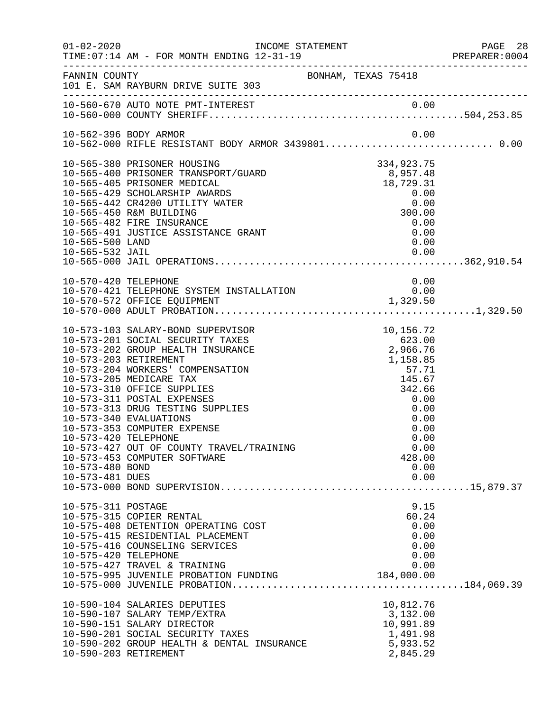| $01 - 02 - 2020$                                           | TIME: 07:14 AM - FOR MONTH ENDING 12-31-19                                                                                                                                                                                                                                                                                                                                                                                              | INCOME STATEMENT    |                                                                                                                                                    | PAGE 28<br>PREPARER:0004 |
|------------------------------------------------------------|-----------------------------------------------------------------------------------------------------------------------------------------------------------------------------------------------------------------------------------------------------------------------------------------------------------------------------------------------------------------------------------------------------------------------------------------|---------------------|----------------------------------------------------------------------------------------------------------------------------------------------------|--------------------------|
| FANNIN COUNTY                                              | 101 E. SAM RAYBURN DRIVE SUITE 303                                                                                                                                                                                                                                                                                                                                                                                                      | BONHAM, TEXAS 75418 |                                                                                                                                                    |                          |
|                                                            |                                                                                                                                                                                                                                                                                                                                                                                                                                         |                     |                                                                                                                                                    |                          |
|                                                            | 10-562-396 BODY ARMOR<br>10-562-000 RIFLE RESISTANT BODY ARMOR 3439801 0.00                                                                                                                                                                                                                                                                                                                                                             |                     | 0.00                                                                                                                                               |                          |
| 10-565-500 LAND                                            | 10-565-380 PRISONER HOUSING<br>10-565-400 PRISONER TRANSPORT/GUARD<br>10-565-405 PRISONER MEDICAL<br>10-565-429 SCHOLARSHIP AWARDS<br>10-565-442 CR4200 UTILITY WATER<br>10-565-450 R&M BUILDING<br>10-565-482 FIRE INSURANCE<br>10-565-491 JUSTICE ASSISTANCE GRANT                                                                                                                                                                    |                     | 334,923.75<br>8,957.48<br>$10, 729.31$<br>0.00<br>300.00<br>0.00<br>0.00<br>0.00                                                                   |                          |
| 10-570-420 TELEPHONE                                       |                                                                                                                                                                                                                                                                                                                                                                                                                                         |                     | 0.00                                                                                                                                               |                          |
|                                                            | 10-570-421 TELEPHONE SYSTEM INSTALLATION                                                                                                                                                                                                                                                                                                                                                                                                |                     |                                                                                                                                                    |                          |
| 10-573-420 TELEPHONE<br>10-573-480 BOND<br>10-573-481 DUES | 10-573-103 SALARY-BOND SUPERVISOR<br>10-573-201 SOCIAL SECURITY TAXES<br>10-573-202 GROUP HEALTH INSURANCE<br>10-573-203 RETIREMENT<br>10-573-204 WORKERS' COMPENSATION<br>10-573-205 MEDICARE TAX<br>10-573-310 OFFICE SUPPLIES<br>10-573-311 POSTAL EXPENSES<br>10-573-313 DRUG TESTING SUPPLIES<br>10-573-340 EVALUATIONS<br>10-573-353 COMPUTER EXPENSE<br>10-573-427 OUT OF COUNTY TRAVEL/TRAINING<br>10-573-453 COMPUTER SOFTWARE |                     | 10,156.72<br>623.00<br>2,966.76<br>1,158.85<br>57.71<br>145.67<br>342.66<br>0.00<br>0.00<br>0.00<br>0.00<br>0.00<br>0.00<br>428.00<br>0.00<br>0.00 |                          |
| 10-575-311 POSTAGE<br>10-575-420 TELEPHONE                 | 10-575-315 COPIER RENTAL<br>10-575-408 DETENTION OPERATING COST<br>10-575-415 RESIDENTIAL PLACEMENT<br>10-575-416 COUNSELING SERVICES<br>10-575-427 TRAVEL & TRAINING<br>10-575-995 JUVENILE PROBATION FUNDING                                                                                                                                                                                                                          |                     | 9.15<br>60.24<br>0.00<br>0.00<br>0.00<br>0.00<br>0.00<br>184,000.00                                                                                |                          |
|                                                            | 10-590-104 SALARIES DEPUTIES<br>10-590-107 SALARY TEMP/EXTRA<br>10-590-151 SALARY DIRECTOR<br>10-590-201 SOCIAL SECURITY TAXES<br>10-590-202 GROUP HEALTH & DENTAL INSURANCE<br>10-590-203 RETIREMENT                                                                                                                                                                                                                                   |                     | 10,812.76<br>3,132.00<br>10,991.89<br>1,491.98<br>5,933.52<br>2,845.29                                                                             |                          |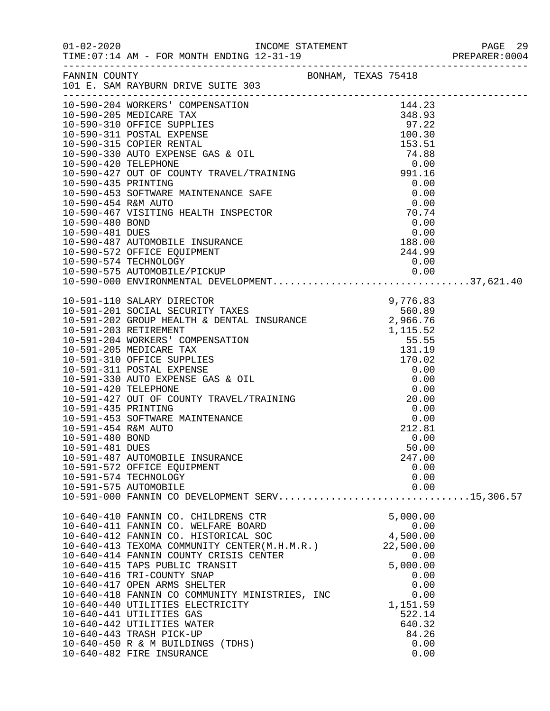| FANNIN COUNTY       | 101 E. SAM RAYBURN DRIVE SUITE 303                                                                                                                                                                                                           | BONHAM, TEXAS 75418 |  |
|---------------------|----------------------------------------------------------------------------------------------------------------------------------------------------------------------------------------------------------------------------------------------|---------------------|--|
|                     | 10-590-204 WORKERS' COMPENSATION                                                                                                                                                                                                             | 144.23              |  |
|                     |                                                                                                                                                                                                                                              |                     |  |
|                     |                                                                                                                                                                                                                                              |                     |  |
|                     |                                                                                                                                                                                                                                              |                     |  |
|                     |                                                                                                                                                                                                                                              |                     |  |
|                     |                                                                                                                                                                                                                                              |                     |  |
|                     |                                                                                                                                                                                                                                              |                     |  |
|                     |                                                                                                                                                                                                                                              |                     |  |
|                     |                                                                                                                                                                                                                                              |                     |  |
|                     |                                                                                                                                                                                                                                              |                     |  |
|                     |                                                                                                                                                                                                                                              |                     |  |
|                     |                                                                                                                                                                                                                                              |                     |  |
|                     |                                                                                                                                                                                                                                              |                     |  |
|                     |                                                                                                                                                                                                                                              |                     |  |
|                     |                                                                                                                                                                                                                                              |                     |  |
|                     | 10-590-574 TECHNOLOGY                                                                                                                                                                                                                        | 0.00                |  |
|                     |                                                                                                                                                                                                                                              |                     |  |
|                     |                                                                                                                                                                                                                                              |                     |  |
|                     | 9,776.83<br>10-591-201 SOCIAL SECURITY TAXES<br>10-591-202 GROUP HEALTH & DENTAL INSURANCE<br>2,966.76<br>10-591-203 RETIREMENT                                                                                                              |                     |  |
|                     |                                                                                                                                                                                                                                              |                     |  |
|                     |                                                                                                                                                                                                                                              |                     |  |
|                     |                                                                                                                                                                                                                                              |                     |  |
|                     |                                                                                                                                                                                                                                              |                     |  |
|                     | 10-591-204 GROUP HEALIH & DENIAL INSURANCE<br>10-591-204 RORKERS' COMPENSATION<br>10-591-204 WORKERS' COMPENSATION<br>10-591-310 OFFICE SUPPLIES<br>10-591-310 OFFICE SUPPLIES<br>10-591-310 OFFICE SUPPLIES<br>10-591-420 TELEPHONE<br>10-5 |                     |  |
|                     |                                                                                                                                                                                                                                              |                     |  |
|                     |                                                                                                                                                                                                                                              |                     |  |
|                     |                                                                                                                                                                                                                                              |                     |  |
|                     |                                                                                                                                                                                                                                              |                     |  |
|                     |                                                                                                                                                                                                                                              |                     |  |
|                     |                                                                                                                                                                                                                                              |                     |  |
| 10-591-454 R&M AUTO |                                                                                                                                                                                                                                              | 212.81              |  |
| 10-591-480 BOND     |                                                                                                                                                                                                                                              | 0.00                |  |
| 10-591-481 DUES     |                                                                                                                                                                                                                                              | 50.00               |  |
|                     | 10-591-487 AUTOMOBILE INSURANCE                                                                                                                                                                                                              | 247.00              |  |
|                     | 10-591-572 OFFICE EQUIPMENT                                                                                                                                                                                                                  | 0.00                |  |
|                     | 10-591-574 TECHNOLOGY                                                                                                                                                                                                                        | 0.00                |  |
|                     | 10-591-575 AUTOMOBILE<br>10-591-000 FANNIN CO DEVELOPMENT SERV15,306.57                                                                                                                                                                      | 0.00                |  |
|                     |                                                                                                                                                                                                                                              |                     |  |
|                     | 10-640-410 FANNIN CO. CHILDRENS CTR                                                                                                                                                                                                          | 5,000.00            |  |
|                     | 10-640-411 FANNIN CO. WELFARE BOARD                                                                                                                                                                                                          | 0.00                |  |
|                     |                                                                                                                                                                                                                                              | $0.00$<br>4,500.00  |  |
|                     | 10-640-412 FANNIN CO. HISTORICAL SOC<br>10-640-413 TEXOMA COMMUNITY CENTER(M.H.M.R.)                                                                                                                                                         | 22,500.00           |  |
|                     | 10-640-414 FANNIN COUNTY CRISIS CENTER                                                                                                                                                                                                       | 0.00                |  |
|                     | 10-640-415 TAPS PUBLIC TRANSIT                                                                                                                                                                                                               | 5,000.00            |  |
|                     | 10-640-416 TRI-COUNTY SNAP                                                                                                                                                                                                                   | 0.00                |  |
|                     | 10-640-417 OPEN ARMS SHELTER                                                                                                                                                                                                                 | 0.00                |  |
|                     | 10-640-418 FANNIN CO COMMUNITY MINISTRIES, INC                                                                                                                                                                                               | 0.00                |  |
|                     | 10-640-440 UTILITIES ELECTRICITY<br>10-640-441 UTILITIES GAS                                                                                                                                                                                 | 1,151.59<br>522.14  |  |
|                     | 10-640-442 UTILITIES WATER                                                                                                                                                                                                                   | 640.32              |  |
|                     | 10-640-443 TRASH PICK-UP                                                                                                                                                                                                                     | 84.26               |  |
|                     | 10-640-450 R & M BUILDINGS (TDHS)                                                                                                                                                                                                            | 0.00                |  |
|                     | 10-640-482 FIRE INSURANCE                                                                                                                                                                                                                    | 0.00                |  |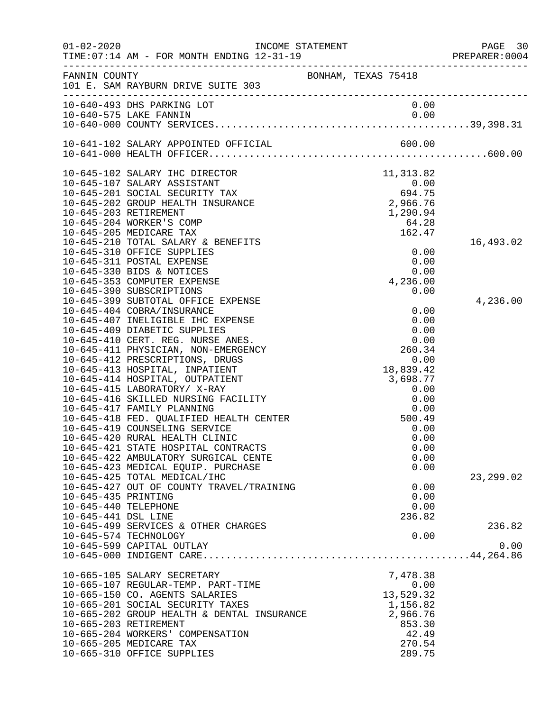| $01 - 02 - 2020$     |                                            | INCOME STATEMENT    |            | PAGE 30<br>PREPARER:0004 |
|----------------------|--------------------------------------------|---------------------|------------|--------------------------|
| FANNIN COUNTY        | 101 E. SAM RAYBURN DRIVE SUITE 303         | BONHAM, TEXAS 75418 |            |                          |
|                      | 10-640-493 DHS PARKING LOT                 |                     | 0.00       |                          |
|                      |                                            |                     |            |                          |
|                      |                                            |                     |            |                          |
|                      |                                            |                     |            |                          |
|                      | 10-645-102 SALARY IHC DIRECTOR             |                     | 11, 313.82 |                          |
|                      | 10-645-107 SALARY ASSISTANT                |                     | 0.00       |                          |
|                      | 10-645-201 SOCIAL SECURITY TAX             |                     | 694.75     |                          |
|                      | 10-645-202 GROUP HEALTH INSURANCE          |                     | 2,966.76   |                          |
|                      | 10-645-203 RETIREMENT                      |                     | 1,290.94   |                          |
|                      | 10-645-204 WORKER'S COMP                   |                     | 64.28      |                          |
|                      | 10-645-205 MEDICARE TAX                    |                     | 162.47     |                          |
|                      | 10-645-210 TOTAL SALARY & BENEFITS         |                     |            | 16,493.02                |
|                      | 10-645-310 OFFICE SUPPLIES                 |                     | 0.00       |                          |
|                      | 10-645-311 POSTAL EXPENSE                  |                     | 0.00       |                          |
|                      | 10-645-330 BIDS & NOTICES                  |                     | 0.00       |                          |
|                      | 10-645-353 COMPUTER EXPENSE                |                     | 4,236.00   |                          |
|                      | 10-645-390 SUBSCRIPTIONS                   |                     | 0.00       |                          |
|                      | 10-645-399 SUBTOTAL OFFICE EXPENSE         |                     |            | 4,236.00                 |
|                      | 10-645-404 COBRA/INSURANCE                 |                     | 0.00       |                          |
|                      | 10-645-407 INELIGIBLE IHC EXPENSE          |                     | 0.00       |                          |
|                      | 10-645-409 DIABETIC SUPPLIES               |                     | 0.00       |                          |
|                      | 10-645-410 CERT. REG. NURSE ANES.          |                     | 0.00       |                          |
|                      | 10-645-411 PHYSICIAN, NON-EMERGENCY        |                     | 260.34     |                          |
|                      | 10-645-412 PRESCRIPTIONS, DRUGS            |                     | 0.00       |                          |
|                      | 10-645-413 HOSPITAL, INPATIENT             |                     | 18,839.42  |                          |
|                      | 10-645-414 HOSPITAL, OUTPATIENT            |                     | 3,698.77   |                          |
|                      | 10-645-415 LABORATORY/ X-RAY               |                     | 0.00       |                          |
|                      | 10-645-416 SKILLED NURSING FACILITY        |                     | 0.00       |                          |
|                      | 10-645-417 FAMILY PLANNING                 |                     | 0.00       |                          |
|                      | 10-645-418 FED. QUALIFIED HEALTH CENTER    |                     | 500.49     |                          |
|                      | 10-645-419 COUNSELING SERVICE              |                     | 0.00       |                          |
|                      | 10-645-420 RURAL HEALTH CLINIC             |                     | 0.00       |                          |
|                      | 10-645-421 STATE HOSPITAL CONTRACTS        |                     | 0.00       |                          |
|                      | 10-645-422 AMBULATORY SURGICAL CENTE       |                     | 0.00       |                          |
|                      | 10-645-423 MEDICAL EQUIP. PURCHASE         |                     | 0.00       |                          |
|                      | 10-645-425 TOTAL MEDICAL/IHC               |                     |            | 23, 299.02               |
|                      | 10-645-427 OUT OF COUNTY TRAVEL/TRAINING   |                     | 0.00       |                          |
| 10-645-435 PRINTING  |                                            |                     | 0.00       |                          |
| 10-645-440 TELEPHONE |                                            |                     | 0.00       |                          |
| 10-645-441 DSL LINE  | 10-645-499 SERVICES & OTHER CHARGES        |                     | 236.82     |                          |
|                      |                                            |                     |            | 236.82                   |
|                      | 10-645-574 TECHNOLOGY                      |                     | 0.00       |                          |
|                      | 10-645-599 CAPITAL OUTLAY                  |                     |            | 0.00                     |
|                      |                                            |                     |            |                          |
|                      | 10-665-105 SALARY SECRETARY                |                     | 7,478.38   |                          |
|                      | 10-665-107 REGULAR-TEMP. PART-TIME         |                     | 0.00       |                          |
|                      | 10-665-150 CO. AGENTS SALARIES             |                     | 13,529.32  |                          |
|                      | 10-665-201 SOCIAL SECURITY TAXES           |                     | 1,156.82   |                          |
|                      | 10-665-202 GROUP HEALTH & DENTAL INSURANCE |                     | 2,966.76   |                          |
|                      | 10-665-203 RETIREMENT                      |                     | 853.30     |                          |
|                      | 10-665-204 WORKERS' COMPENSATION           |                     | 42.49      |                          |
|                      | 10-665-205 MEDICARE TAX                    |                     | 270.54     |                          |
|                      | 10-665-310 OFFICE SUPPLIES                 |                     | 289.75     |                          |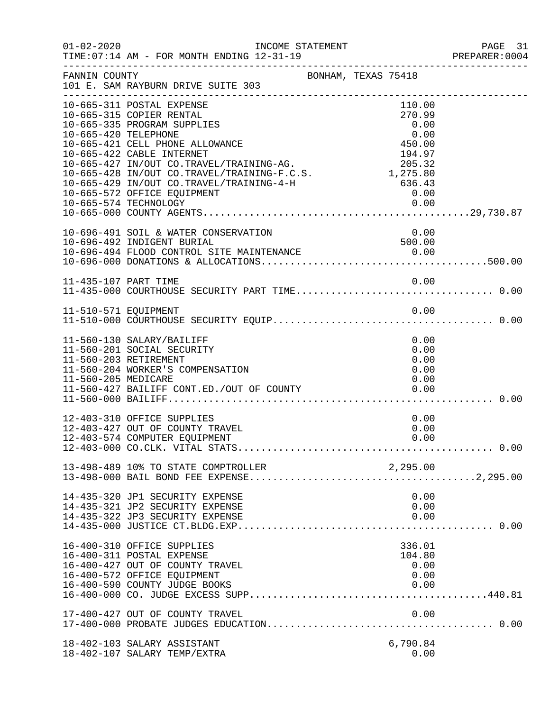| $01 - 02 - 2020$     | INCOME STATEMENT<br>TIME: 07:14 AM - FOR MONTH ENDING 12-31-19                                                                                                                                                                                                                                                                                      |                                                                                                      | PAGE 31<br>PREPARER:0004 |
|----------------------|-----------------------------------------------------------------------------------------------------------------------------------------------------------------------------------------------------------------------------------------------------------------------------------------------------------------------------------------------------|------------------------------------------------------------------------------------------------------|--------------------------|
| FANNIN COUNTY        | BONHAM, TEXAS 75418<br>101 E. SAM RAYBURN DRIVE SUITE 303                                                                                                                                                                                                                                                                                           |                                                                                                      |                          |
| 10-665-420 TELEPHONE | 10-665-311 POSTAL EXPENSE<br>10-665-315 COPIER RENTAL<br>10-665-335 PROGRAM SUPPLIES<br>10-665-421 CELL PHONE ALLOWANCE<br>10-665-422 CABLE INTERNET<br>10-665-427 IN/OUT CO.TRAVEL/TRAINING-AG.<br>10-665-428 IN/OUT CO.TRAVEL/TRAINING-F.C.S.<br>10-665-429 IN/OUT CO.TRAVEL/TRAINING-4-H<br>10-665-572 OFFICE EQUIPMENT<br>10-665-574 TECHNOLOGY | 110.00<br>270.99<br>0.00<br>0.00<br>450.00<br>194.97<br>205.32<br>1,275.80<br>636.43<br>0.00<br>0.00 |                          |
|                      | 10-696-491 SOIL & WATER CONSERVATION<br>10-696-492 INDIGENT BURIAL                                                                                                                                                                                                                                                                                  | 0.00<br>500.00                                                                                       |                          |
| 11-435-107 PART TIME |                                                                                                                                                                                                                                                                                                                                                     | 0.00                                                                                                 |                          |
| 11-510-571 EQUIPMENT |                                                                                                                                                                                                                                                                                                                                                     | 0.00                                                                                                 |                          |
| 11-560-205 MEDICARE  | 11-560-130 SALARY/BAILIFF<br>11-560-201 SOCIAL SECURITY<br>11-560-203 RETIREMENT<br>11-560-204 WORKER'S COMPENSATION<br>11-560-427 BAILIFF CONT.ED./OUT OF COUNTY                                                                                                                                                                                   | 0.00<br>0.00<br>0.00<br>0.00<br>0.00<br>0.00                                                         |                          |
|                      | 12-403-310 OFFICE SUPPLIES<br>12-403-427 OUT OF COUNTY TRAVEL<br>12-403-574 COMPUTER EQUIPMENT                                                                                                                                                                                                                                                      | 0.00<br>0.00<br>0.00                                                                                 |                          |
|                      | 13-498-489 10% TO STATE COMPTROLLER                                                                                                                                                                                                                                                                                                                 | 2,295.00                                                                                             |                          |
|                      | 14-435-320 JP1 SECURITY EXPENSE<br>14-435-321 JP2 SECURITY EXPENSE<br>14-435-322 JP3 SECURITY EXPENSE                                                                                                                                                                                                                                               | 0.00<br>0.00<br>0.00                                                                                 |                          |
|                      | 16-400-310 OFFICE SUPPLIES<br>16-400-311 POSTAL EXPENSE<br>16-400-427 OUT OF COUNTY TRAVEL<br>16-400-572 OFFICE EQUIPMENT<br>16-400-590 COUNTY JUDGE BOOKS                                                                                                                                                                                          | 336.01<br>104.80<br>0.00<br>0.00<br>0.00                                                             |                          |
|                      | 17-400-427 OUT OF COUNTY TRAVEL                                                                                                                                                                                                                                                                                                                     | 0.00                                                                                                 |                          |
|                      | 18-402-103 SALARY ASSISTANT<br>18-402-107 SALARY TEMP/EXTRA                                                                                                                                                                                                                                                                                         | 6,790.84<br>0.00                                                                                     |                          |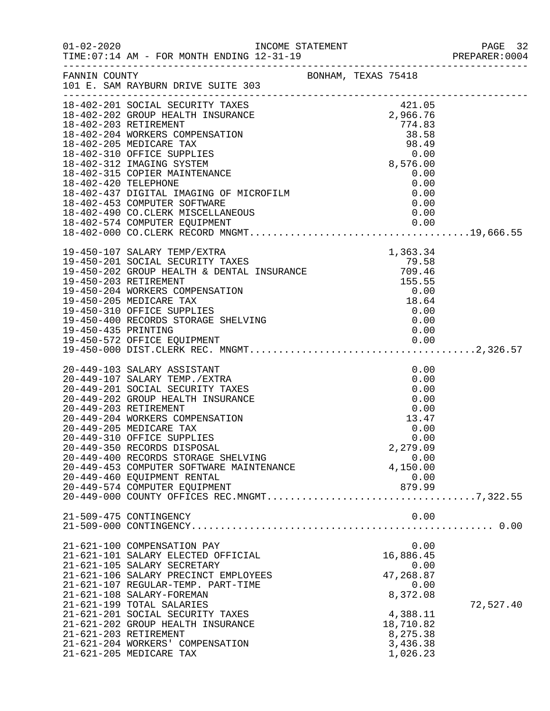|                     |                                                                                                                                                                                                                                                                                                                                                                                                                                                                                                                                                                                                                                                                                       |  |                                                                                                                         | PREPARER: 0004 |
|---------------------|---------------------------------------------------------------------------------------------------------------------------------------------------------------------------------------------------------------------------------------------------------------------------------------------------------------------------------------------------------------------------------------------------------------------------------------------------------------------------------------------------------------------------------------------------------------------------------------------------------------------------------------------------------------------------------------|--|-------------------------------------------------------------------------------------------------------------------------|----------------|
|                     | FANNIN COUNTY<br>101 E. SAM RAYBURN DRIVE SUITE 303 BONHAM, TEXAS 75418                                                                                                                                                                                                                                                                                                                                                                                                                                                                                                                                                                                                               |  |                                                                                                                         |                |
|                     | 18-402-201 SOCIAL SECURITY TAXES<br>18-402-202 GROUP HEALTH INSURANCE<br>18-402-202 GROUP HEALTH INSURANCE<br>18-402-203 RETIREMENT<br>18-402-204 WORKERS COMPENSATION<br>18-402-205 MEDICARE TAX<br>18-402-310 OFFICE SUPPLIES<br>18-402-312 IMAGING SYSTEM<br>18-402-315 COPIER MAINTENANCE<br>18-402-420 TELEPHONE<br>18-402-437 DIGITAL IMAGING OF MICROFILM<br>18-402-453 COMPUTER SOFTWARE<br>18-402-490 CO.CLERK MISCELLANEOUS<br>19-450-107 SALARY TEMP/EXTRA<br>19-450-201 SOCIAL SECURITY TAXES<br>19-450-202 GROUP HEALTH & DENTAL INSURANCE<br>19-450-203 RETIREMENT<br>19-450-204 WORKERS COMPENSATION<br>19-450-205 MEDICARE TAX<br>19-450-205 MEDICARE TAX<br>19-450-3 |  | 421.05<br>2,966.76<br>774.83<br>$774.83$<br>38.58<br>98.49<br>9.00<br>8,576.00<br>0.00<br>0.00<br>0.00<br>0.00          |                |
| 19-450-435 PRINTING | 19-450-400 RECORDS STORAGE SHELVING                                                                                                                                                                                                                                                                                                                                                                                                                                                                                                                                                                                                                                                   |  | 0.00<br>0.00<br>0.00                                                                                                    |                |
|                     | 20-449-103 SALARY ASSISTANT<br>20-449-107 SALARY TEMP./EXTRA<br>20-449-201 SOCIAL SECURITY TAXES<br>20-449-202 GROUP HEALTH INSURANCE<br>20-449-203 RETIREMENT<br>20-449-204 WORKERS COMPENSATION<br>20-449-205 MEDICARE TAX<br>20-449-310 OFFICE SUPPLIES<br>20-449-350 RECORDS DISPOSAL<br>20-449-400 RECORDS STORAGE SHELVING<br>20-449-453 COMPUTER SOFTWARE MAINTENANCE<br>20-449-460 EQUIPMENT RENTAL<br>20-449-574 COMPUTER EQUIPMENT                                                                                                                                                                                                                                          |  | 0.00<br>0.00<br>0.00<br>0.00<br>0.00<br>13.47<br>0.00<br>0.00<br>2,279.09<br>0.00<br>4,150.00<br>0.00<br>879.99         |                |
|                     | 21-509-475 CONTINGENCY                                                                                                                                                                                                                                                                                                                                                                                                                                                                                                                                                                                                                                                                |  | 0.00                                                                                                                    |                |
|                     | 21-621-100 COMPENSATION PAY<br>21-621-101 SALARY ELECTED OFFICIAL<br>21-621-105 SALARY SECRETARY<br>21-621-106 SALARY PRECINCT EMPLOYEES<br>21-621-107 REGULAR-TEMP. PART-TIME<br>21-621-108 SALARY-FOREMAN<br>21-621-199 TOTAL SALARIES<br>21-621-201 SOCIAL SECURITY TAXES<br>21-621-202 GROUP HEALTH INSURANCE<br>21-621-203 RETIREMENT<br>21-621-204 WORKERS' COMPENSATION<br>21-621-205 MEDICARE TAX                                                                                                                                                                                                                                                                             |  | 0.00<br>16,886.45<br>0.00<br>47,268.87<br>0.00<br>8,372.08<br>4,388.11<br>18,710.82<br>8,275.38<br>3,436.38<br>1,026.23 | 72,527.40      |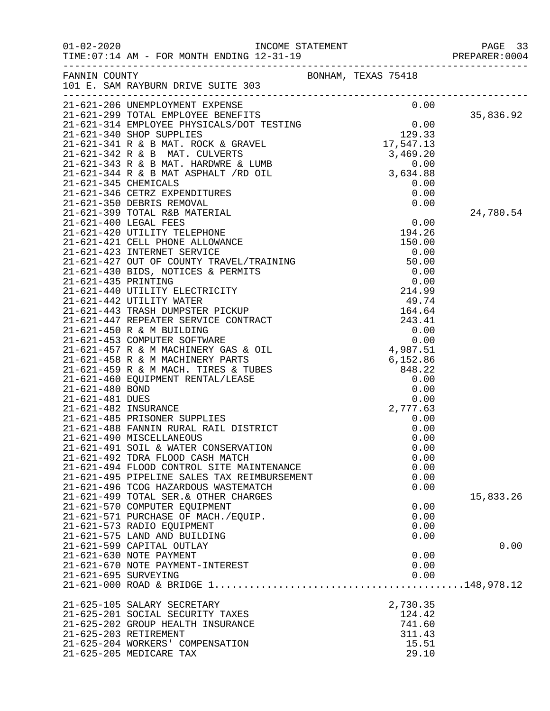|                      |                                                                                                                                                                                                                                            |                     |                  | PREPARER: 0004 |
|----------------------|--------------------------------------------------------------------------------------------------------------------------------------------------------------------------------------------------------------------------------------------|---------------------|------------------|----------------|
|                      | FANNIN COUNTY<br>101 E. SAM RAYBURN DRIVE SUITE 303                                                                                                                                                                                        | BONHAM, TEXAS 75418 |                  |                |
|                      | 101 E. SAM RAILLON.<br>21-621-206 UNEMPLOYMENT EXPENSE<br>21-621-299 TOTAL EMPLOYEE BENEFITS<br>21-621-314 EMPLOYEE PHYSICALS/DOT TESTING<br>21-621-340 SHOP SUPPLIES<br>21-621-342 R & B MAT. ROCK & GRAVEL<br>21-621-342 R & B MAT. CULV |                     |                  |                |
|                      |                                                                                                                                                                                                                                            |                     |                  |                |
|                      |                                                                                                                                                                                                                                            |                     |                  | 35,836.92      |
|                      |                                                                                                                                                                                                                                            |                     |                  |                |
|                      |                                                                                                                                                                                                                                            |                     |                  |                |
|                      |                                                                                                                                                                                                                                            |                     |                  |                |
|                      |                                                                                                                                                                                                                                            |                     |                  |                |
|                      |                                                                                                                                                                                                                                            |                     |                  |                |
|                      |                                                                                                                                                                                                                                            |                     |                  |                |
|                      | 21-621-346 CETRZ EXPENDITURES                                                                                                                                                                                                              |                     | 0.00             |                |
|                      | 21-621-350 DEBRIS REMOVAL                                                                                                                                                                                                                  |                     | 0.00             |                |
|                      |                                                                                                                                                                                                                                            |                     |                  | 24,780.54      |
|                      |                                                                                                                                                                                                                                            |                     |                  |                |
|                      |                                                                                                                                                                                                                                            |                     |                  |                |
|                      |                                                                                                                                                                                                                                            |                     |                  |                |
|                      |                                                                                                                                                                                                                                            |                     |                  |                |
|                      |                                                                                                                                                                                                                                            |                     |                  |                |
|                      |                                                                                                                                                                                                                                            |                     |                  |                |
|                      |                                                                                                                                                                                                                                            |                     |                  |                |
|                      |                                                                                                                                                                                                                                            |                     |                  |                |
|                      |                                                                                                                                                                                                                                            |                     |                  |                |
|                      |                                                                                                                                                                                                                                            |                     |                  |                |
|                      |                                                                                                                                                                                                                                            |                     |                  |                |
|                      |                                                                                                                                                                                                                                            |                     |                  |                |
|                      |                                                                                                                                                                                                                                            |                     |                  |                |
|                      |                                                                                                                                                                                                                                            |                     |                  |                |
|                      |                                                                                                                                                                                                                                            |                     |                  |                |
|                      |                                                                                                                                                                                                                                            |                     |                  |                |
|                      |                                                                                                                                                                                                                                            |                     |                  |                |
|                      |                                                                                                                                                                                                                                            |                     |                  |                |
|                      | 21-621-485 PRISONER SUPPLIES                                                                                                                                                                                                               |                     | 0.00             |                |
|                      | 21-621-488 FANNIN RURAL RAIL DISTRICT                                                                                                                                                                                                      |                     | 0.00             |                |
|                      | 21-621-490 MISCELLANEOUS<br>21-621-491 SOIL & WATER CONSERVATION                                                                                                                                                                           |                     | 0.00<br>0.00     |                |
|                      | 21-621-492 TDRA FLOOD CASH MATCH                                                                                                                                                                                                           |                     | 0.00             |                |
|                      | 21-621-494 FLOOD CONTROL SITE MAINTENANCE                                                                                                                                                                                                  |                     | 0.00             |                |
|                      | 21-621-495 PIPELINE SALES TAX REIMBURSEMENT                                                                                                                                                                                                |                     | 0.00             |                |
|                      | 21-621-496 TCOG HAZARDOUS WASTEMATCH                                                                                                                                                                                                       |                     | 0.00             |                |
|                      | 21-621-499 TOTAL SER. & OTHER CHARGES                                                                                                                                                                                                      |                     |                  | 15,833.26      |
|                      | 21-621-570 COMPUTER EQUIPMENT                                                                                                                                                                                                              |                     | 0.00             |                |
|                      | 21-621-571 PURCHASE OF MACH./EQUIP.                                                                                                                                                                                                        |                     | 0.00             |                |
|                      | 21-621-573 RADIO EQUIPMENT<br>21-621-575 LAND AND BUILDING                                                                                                                                                                                 |                     | 0.00             |                |
|                      | 21-621-599 CAPITAL OUTLAY                                                                                                                                                                                                                  |                     | 0.00             | 0.00           |
|                      | 21-621-630 NOTE PAYMENT                                                                                                                                                                                                                    |                     | 0.00             |                |
|                      | 21-621-670 NOTE PAYMENT-INTEREST                                                                                                                                                                                                           |                     | 0.00             |                |
| 21-621-695 SURVEYING |                                                                                                                                                                                                                                            |                     | 0.00             |                |
|                      |                                                                                                                                                                                                                                            |                     |                  |                |
|                      |                                                                                                                                                                                                                                            |                     |                  |                |
|                      | 21-625-105 SALARY SECRETARY                                                                                                                                                                                                                |                     | 2,730.35         |                |
|                      | 21-625-201 SOCIAL SECURITY TAXES                                                                                                                                                                                                           |                     | 124.42<br>741.60 |                |
|                      | 21-625-202 GROUP HEALTH INSURANCE<br>21-625-203 RETIREMENT                                                                                                                                                                                 |                     | 311.43           |                |
|                      | 21-625-204 WORKERS' COMPENSATION                                                                                                                                                                                                           |                     | 15.51            |                |
|                      | 21-625-205 MEDICARE TAX                                                                                                                                                                                                                    |                     | 29.10            |                |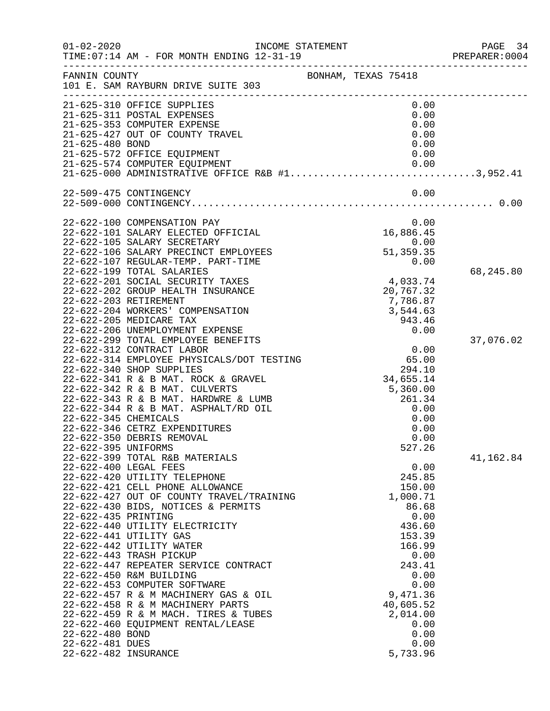| $01 - 02 - 2020$     | INCOME STATEMENT                                                                                                  |                       | PAGE 34<br>PREPARER: 0004 |
|----------------------|-------------------------------------------------------------------------------------------------------------------|-----------------------|---------------------------|
| FANNIN COUNTY        | 101 E. SAM RAYBURN DRIVE SUITE 303                                                                                | BONHAM, TEXAS 75418   |                           |
|                      | 21-625-310 OFFICE SUPPLIES<br>21-625-311 POSTAL EXPENSES                                                          | 0.00<br>0.00          |                           |
|                      | 21-625-353 COMPUTER EXPENSE                                                                                       | 0.00                  |                           |
|                      | 21-625-427 OUT OF COUNTY TRAVEL                                                                                   | 0.00                  |                           |
| 21-625-480 BOND      |                                                                                                                   | 0.00                  |                           |
|                      | 21-625-572 OFFICE EQUIPMENT                                                                                       | 0.00                  |                           |
|                      | 21-625-574 COMPUTER EQUIPMENT<br>21-025-574 COMPOIER EQUIPMENT<br>21-625-000 ADMINISTRATIVE OFFICE R&B #13,952.41 | 0.00                  |                           |
|                      |                                                                                                                   |                       |                           |
|                      | 22-509-475 CONTINGENCY                                                                                            | 0.00                  |                           |
|                      |                                                                                                                   |                       |                           |
|                      | 22-622-100 COMPENSATION PAY                                                                                       | 0.00                  |                           |
|                      | 22-622-101 SALARY ELECTED OFFICIAL                                                                                | 16,886.45             |                           |
|                      | 22-622-105 SALARY SECRETARY                                                                                       | 0.00                  |                           |
|                      | 22-622-106 SALARY PRECINCT EMPLOYEES                                                                              | 51,359.35             |                           |
|                      | 22-622-107 REGULAR-TEMP. PART-TIME                                                                                | 0.00                  |                           |
|                      | 22-622-199 TOTAL SALARIES<br>22-622-201 SOCIAL SECURITY TAXES                                                     |                       | 68,245.80                 |
|                      | 22-622-202 GROUP HEALTH INSURANCE                                                                                 | 4,033.74<br>20,767.32 |                           |
|                      | 22-622-203 RETIREMENT                                                                                             | 7,786.87              |                           |
|                      | 22-622-204 WORKERS' COMPENSATION                                                                                  | 3,544.63              |                           |
|                      | 22-622-205 MEDICARE TAX                                                                                           | 943.46                |                           |
|                      | 22-622-206 UNEMPLOYMENT EXPENSE                                                                                   | 0.00                  |                           |
|                      | 22-622-299 TOTAL EMPLOYEE BENEFITS                                                                                |                       | 37,076.02                 |
|                      | 22-622-312 CONTRACT LABOR                                                                                         | 0.00                  |                           |
|                      | 22-622-314 EMPLOYEE PHYSICALS/DOT TESTING<br>22-622-340 SHOP SUPPLIES                                             | 65.00<br>294.10       |                           |
|                      | 22-622-341 R & B MAT. ROCK & GRAVEL                                                                               | 34,655.14             |                           |
|                      | 22-622-342 R & B MAT. CULVERTS                                                                                    | 5,360.00              |                           |
|                      | 22-622-343 R & B MAT. HARDWRE & LUMB                                                                              | 261.34                |                           |
|                      | 22-622-344 R & B MAT. ASPHALT/RD OIL                                                                              | 0.00                  |                           |
| 22-622-345 CHEMICALS |                                                                                                                   | 0.00                  |                           |
|                      | 22-622-346 CETRZ EXPENDITURES                                                                                     | 0.00                  |                           |
|                      | 22-622-350 DEBRIS REMOVAL                                                                                         | 0.00                  |                           |
| 22-622-395 UNIFORMS  | 22-622-399 TOTAL R&B MATERIALS                                                                                    | 527.26                | 41,162.84                 |
|                      | 22-622-400 LEGAL FEES                                                                                             | 0.00                  |                           |
|                      | 22-622-420 UTILITY TELEPHONE                                                                                      | 245.85                |                           |
|                      | 22-622-421 CELL PHONE ALLOWANCE                                                                                   | 150.00                |                           |
|                      | 22-622-427 OUT OF COUNTY TRAVEL/TRAINING                                                                          | 1,000.71              |                           |
|                      | 22-622-430 BIDS, NOTICES & PERMITS                                                                                | 86.68                 |                           |
| 22-622-435 PRINTING  |                                                                                                                   | 0.00                  |                           |
|                      | 22-622-440 UTILITY ELECTRICITY                                                                                    | 436.60                |                           |
|                      | 22-622-441 UTILITY GAS<br>22-622-442 UTILITY WATER                                                                | 153.39<br>166.99      |                           |
|                      | 22-622-443 TRASH PICKUP                                                                                           | 0.00                  |                           |
|                      | 22-622-447 REPEATER SERVICE CONTRACT                                                                              | 243.41                |                           |
|                      | 22-622-450 R&M BUILDING                                                                                           | 0.00                  |                           |
|                      | 22-622-453 COMPUTER SOFTWARE                                                                                      | 0.00                  |                           |
|                      | 22-622-457 R & M MACHINERY GAS & OIL                                                                              | 9,471.36              |                           |
|                      | 22-622-458 R & M MACHINERY PARTS                                                                                  | 40,605.52             |                           |
|                      | 22-622-459 R & M MACH. TIRES & TUBES                                                                              | 2,014.00              |                           |
| 22-622-480 BOND      | 22-622-460 EQUIPMENT RENTAL/LEASE                                                                                 | 0.00<br>0.00          |                           |
| 22-622-481 DUES      |                                                                                                                   | 0.00                  |                           |
| 22-622-482 INSURANCE |                                                                                                                   | 5,733.96              |                           |
|                      |                                                                                                                   |                       |                           |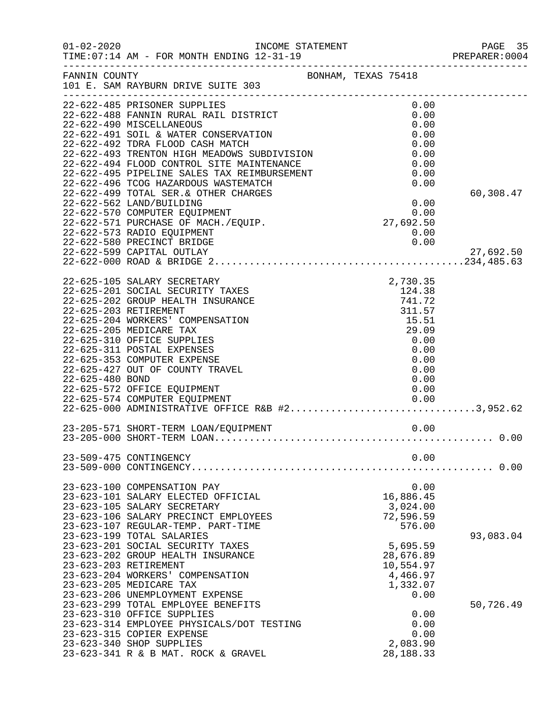|                 | INCOME STATEMENT                                                                                                                                                                                                                                 |                                                                    | PREPARER: 0004 |
|-----------------|--------------------------------------------------------------------------------------------------------------------------------------------------------------------------------------------------------------------------------------------------|--------------------------------------------------------------------|----------------|
| FANNIN COUNTY   | BONHAM, TEXAS 75418<br>101 E. SAM RAYBURN DRIVE SUITE 303                                                                                                                                                                                        |                                                                    |                |
|                 | 22-622-485 PRISONER SUPPLIES<br>22-622-488 FANNIN RURAL RAIL DISTRICT<br>22-622-490 MISCELLANEOUS                                                                                                                                                | 0.00<br>0.00<br>0.00                                               |                |
|                 | 22-622-491 SOIL & WATER CONSERVATION<br>22-622-492 TDRA FLOOD CASH MATCH                                                                                                                                                                         | 0.00<br>0.00                                                       |                |
|                 | 22-622-493 TRENTON HIGH MEADOWS SUBDIVISION<br>22-622-494 FLOOD CONTROL SITE MAINTENANCE<br>22-622-495 PIPELINE SALES TAX REIMBURSEMENT                                                                                                          | 0.00<br>0.00<br>0.00                                               |                |
|                 | 22-622-496 TCOG HAZARDOUS WASTEMATCH<br>22-622-499 TOTAL SER. & OTHER CHARGES<br>22-622-562 LAND/BUILDING                                                                                                                                        | 0.00<br>0.00                                                       | 60,308.47      |
|                 | 22-622-570 COMPUTER EQUIPMENT<br>22-622-571 PURCHASE OF MACH./EQUIP.<br>22-622-573 RADIO EQUIPMENT<br>22-622-580 PRECINCT BRIDGE                                                                                                                 | 0.00<br>27,692.50<br>0.00<br>0.00                                  |                |
|                 | 22-622-599 CAPITAL OUTLAY                                                                                                                                                                                                                        |                                                                    | 27,692.50      |
|                 | 22-625-105 SALARY SECRETARY<br>22-625-201 SOCIAL SECURITY TAXES<br>22-625-202 GROUP HEALTH INSURANCE<br>22-625-203 RETIREMENT<br>22-625-204 WORKERS' COMPENSATION<br>22-625-205 MEDICARE TAX<br>22-625-310 OFFICE SUPPLIES                       | 2,730.35<br>124.38<br>741.72<br>311.57<br>15.51<br>29.09<br>0.00   |                |
| 22-625-480 BOND | 22-625-311 POSTAL EXPENSES<br>22-625-353 COMPUTER EXPENSE<br>22-625-427 OUT OF COUNTY TRAVEL<br>22-625-572 OFFICE EQUIPMENT<br>22-625-574 COMPUTER EQUIPMENT<br>22-625-574 COMPUTER EQUIPMENT<br>22-625-000 ADMINISTRATIVE OFFICE R&B #23,952.62 | 0.00<br>0.00<br>0.00<br>0.00<br>0.00<br>0.00                       |                |
|                 |                                                                                                                                                                                                                                                  |                                                                    |                |
|                 | 23-509-475 CONTINGENCY                                                                                                                                                                                                                           | 0.00                                                               | . 0.00         |
|                 | 23-623-100 COMPENSATION PAY<br>23-623-101 SALARY ELECTED OFFICIAL<br>23-623-105 SALARY SECRETARY<br>23-623-106 SALARY PRECINCT EMPLOYEES<br>23-623-107 REGULAR-TEMP. PART-TIME<br>23-623-199 TOTAL SALARIES                                      | 0.00<br>16,886.45<br>3,024.00<br>72,596.59<br>576.00               | 93,083.04      |
|                 | 23-623-201 SOCIAL SECURITY TAXES<br>23-623-202 GROUP HEALTH INSURANCE<br>23-623-203 RETIREMENT<br>23-623-204 WORKERS' COMPENSATION<br>23-623-205 MEDICARE TAX<br>23-623-206 UNEMPLOYMENT EXPENSE                                                 | 5,695.59<br>28,676.89<br>10,554.97<br>4,466.97<br>1,332.07<br>0.00 |                |
|                 | 23-623-299 TOTAL EMPLOYEE BENEFITS<br>23-623-310 OFFICE SUPPLIES<br>23-623-314 EMPLOYEE PHYSICALS/DOT TESTING<br>23-623-315 COPIER EXPENSE<br>23-623-340 SHOP SUPPLIES<br>23-623-341 R & B MAT. ROCK & GRAVEL                                    | 0.00<br>0.00<br>0.00<br>2,083.90<br>28, 188. 33                    | 50,726.49      |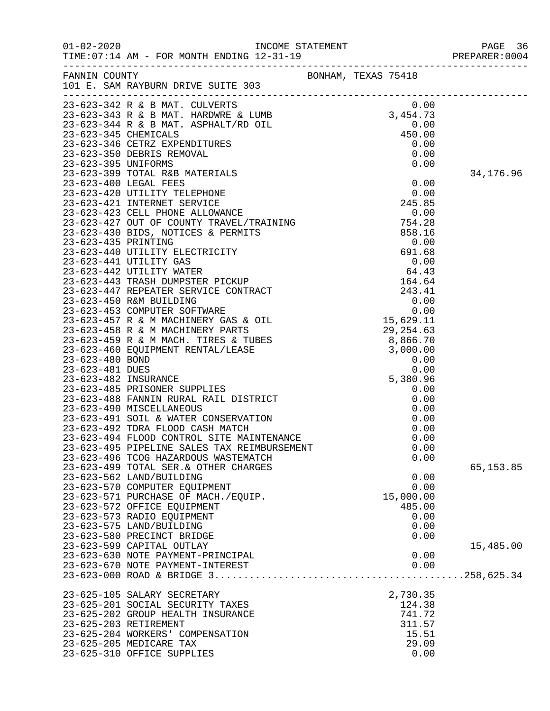| $01 - 02 - 2020$ | TIME: 07:14 AM - FOR MONTH ENDING 12-31-19                                                                                                                                                                                                     |                     |           |            |
|------------------|------------------------------------------------------------------------------------------------------------------------------------------------------------------------------------------------------------------------------------------------|---------------------|-----------|------------|
| FANNIN COUNTY    | 101 E. SAM RAYBURN DRIVE SUITE 303                                                                                                                                                                                                             | BONHAM, TEXAS 75418 |           |            |
|                  | 23-623-342 R & B MAT. CULVERTS                                                                                                                                                                                                                 |                     | 0.00      |            |
|                  |                                                                                                                                                                                                                                                |                     |           |            |
|                  | 23-023-343 R & B MAT. HARDWRE & LUMB<br>23-623-343 R & B MAT. HARDWRE & LUMB<br>23-623-344 R & B MAT. ASPHALT/RD OIL<br>23-623-345 CHEMICALS<br>23-623-346 CETRZ EXPENDITURES<br>23-623-350 DEBRIS REMOVAL<br>23-623-395 UNIFORMS<br>0.00<br>2 |                     |           |            |
|                  |                                                                                                                                                                                                                                                |                     |           |            |
|                  |                                                                                                                                                                                                                                                |                     |           |            |
|                  |                                                                                                                                                                                                                                                |                     |           |            |
|                  |                                                                                                                                                                                                                                                |                     |           |            |
|                  | 23-623-399 TOTAL R&B MATERIALS                                                                                                                                                                                                                 |                     |           | 34,176.96  |
|                  | 0.00<br>23-623-420 UTILITY TELEPHONE<br>23-623-421 INTERNET SERVICE<br>23-623-423 CELL PHONE ALLOWANCE<br>23-623-427 OUT OF COUNTY TRAVEL/TRAINING<br>23-623-430 BIDS, NOTICES & PERMITS<br>23-623-435 PRINTING<br>23-623-435 PRINTING<br>23-6 |                     |           |            |
|                  |                                                                                                                                                                                                                                                |                     |           |            |
|                  |                                                                                                                                                                                                                                                |                     |           |            |
|                  |                                                                                                                                                                                                                                                |                     |           |            |
|                  |                                                                                                                                                                                                                                                |                     |           |            |
|                  |                                                                                                                                                                                                                                                |                     |           |            |
|                  |                                                                                                                                                                                                                                                |                     |           |            |
|                  |                                                                                                                                                                                                                                                |                     |           |            |
|                  |                                                                                                                                                                                                                                                |                     |           |            |
|                  |                                                                                                                                                                                                                                                |                     |           |            |
|                  |                                                                                                                                                                                                                                                |                     |           |            |
|                  |                                                                                                                                                                                                                                                |                     |           |            |
|                  |                                                                                                                                                                                                                                                |                     |           |            |
|                  |                                                                                                                                                                                                                                                |                     |           |            |
|                  |                                                                                                                                                                                                                                                |                     |           |            |
|                  |                                                                                                                                                                                                                                                |                     |           |            |
|                  |                                                                                                                                                                                                                                                |                     |           |            |
|                  |                                                                                                                                                                                                                                                |                     |           |            |
|                  |                                                                                                                                                                                                                                                |                     |           |            |
|                  |                                                                                                                                                                                                                                                |                     |           |            |
|                  |                                                                                                                                                                                                                                                |                     |           |            |
|                  |                                                                                                                                                                                                                                                |                     |           |            |
|                  | 23-623-485 PRISONER SUPPLIES<br>23-623-488 FANNIN RURAL RAIL DISTRICT<br>23-623-490 MISCELLANEOUS<br>23-623-490 MISCELLANEOUS                                                                                                                  |                     | 0.00      |            |
|                  | 23-623-491 SOIL & WATER CONSERVATION                                                                                                                                                                                                           |                     | 0.00      |            |
|                  | 23-623-492 TDRA FLOOD CASH MATCH                                                                                                                                                                                                               |                     | 0.00      |            |
|                  | 23-623-494 FLOOD CONTROL SITE MAINTENANCE                                                                                                                                                                                                      |                     | 0.00      |            |
|                  | 23-623-495 PIPELINE SALES TAX REIMBURSEMENT                                                                                                                                                                                                    |                     | 0.00      |            |
|                  | 23-623-496 TCOG HAZARDOUS WASTEMATCH                                                                                                                                                                                                           |                     | 0.00      |            |
|                  | 23-623-499 TOTAL SER. & OTHER CHARGES                                                                                                                                                                                                          |                     |           | 65, 153.85 |
|                  | 23-623-562 LAND/BUILDING                                                                                                                                                                                                                       |                     | 0.00      |            |
|                  | 23-623-570 COMPUTER EQUIPMENT                                                                                                                                                                                                                  |                     | 0.00      |            |
|                  | 23-623-571 PURCHASE OF MACH./EQUIP.                                                                                                                                                                                                            |                     | 15,000.00 |            |
|                  | 23-623-572 OFFICE EQUIPMENT                                                                                                                                                                                                                    |                     | 485.00    |            |
|                  | 23-623-573 RADIO EQUIPMENT                                                                                                                                                                                                                     |                     | 0.00      |            |
|                  | 23-623-575 LAND/BUILDING                                                                                                                                                                                                                       |                     | 0.00      |            |
|                  | 23-623-580 PRECINCT BRIDGE                                                                                                                                                                                                                     |                     | 0.00      |            |
|                  | 23-623-599 CAPITAL OUTLAY                                                                                                                                                                                                                      |                     |           | 15,485.00  |
|                  | 23-623-630 NOTE PAYMENT-PRINCIPAL                                                                                                                                                                                                              |                     | 0.00      |            |
|                  | 23-623-670 NOTE PAYMENT-INTEREST                                                                                                                                                                                                               |                     | 0.00      |            |
|                  |                                                                                                                                                                                                                                                |                     |           |            |
|                  | 23-625-105 SALARY SECRETARY                                                                                                                                                                                                                    |                     | 2,730.35  |            |
|                  | 23-625-201 SOCIAL SECURITY TAXES                                                                                                                                                                                                               |                     | 124.38    |            |
|                  | 23-625-202 GROUP HEALTH INSURANCE                                                                                                                                                                                                              |                     | 741.72    |            |
|                  | 23-625-203 RETIREMENT                                                                                                                                                                                                                          |                     | 311.57    |            |
|                  | 23-625-204 WORKERS' COMPENSATION                                                                                                                                                                                                               |                     | 15.51     |            |
|                  | 23-625-205 MEDICARE TAX                                                                                                                                                                                                                        |                     | 29.09     |            |
|                  | 23-625-310 OFFICE SUPPLIES                                                                                                                                                                                                                     |                     | 0.00      |            |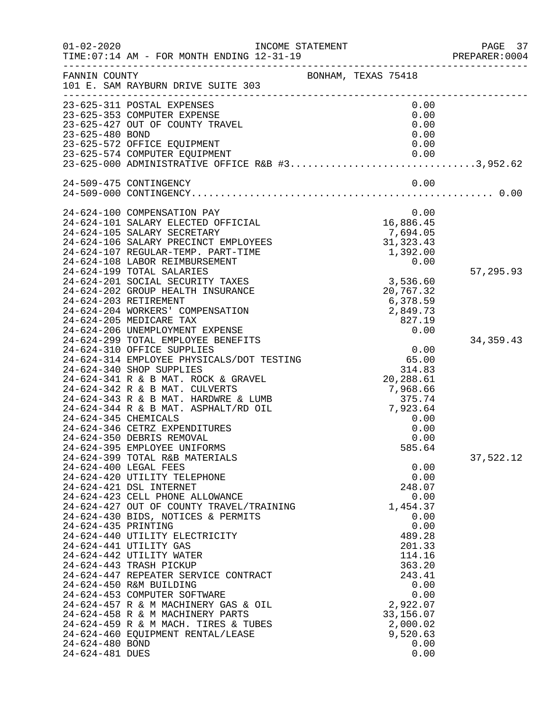| $01 - 02 - 2020$     | TIME: 07:14 AM - FOR MONTH ENDING 12-31-19                                                                        | INCOME STATEMENT    | ____________________________________   | PAGE 37<br>PREPARER:0004 |
|----------------------|-------------------------------------------------------------------------------------------------------------------|---------------------|----------------------------------------|--------------------------|
| FANNIN COUNTY        | 101 E. SAM RAYBURN DRIVE SUITE 303                                                                                | BONHAM, TEXAS 75418 |                                        |                          |
|                      | 23-625-311 POSTAL EXPENSES                                                                                        |                     | 0.00                                   |                          |
|                      | 23-625-353 COMPUTER EXPENSE                                                                                       |                     | 0.00                                   |                          |
|                      | 23-625-427 OUT OF COUNTY TRAVEL                                                                                   |                     | 0.00                                   |                          |
| 23-625-480 BOND      |                                                                                                                   |                     | 0.00                                   |                          |
|                      | 23-625-572 OFFICE EQUIPMENT                                                                                       |                     | 0.00                                   |                          |
|                      | 23-625-574 COMPUTER EQUIPMENT<br>23-625-574 COMPUTER EQUIPMENT<br>23-625-000 ADMINISTRATIVE OFFICE R&B #33,952.62 |                     | 0.00                                   |                          |
|                      |                                                                                                                   |                     |                                        |                          |
|                      | 24-509-475 CONTINGENCY                                                                                            |                     | 0.00                                   |                          |
|                      |                                                                                                                   |                     |                                        |                          |
|                      | 24-624-100 COMPENSATION PAY                                                                                       |                     | 0.00                                   |                          |
|                      | 24-624-101 SALARY ELECTED OFFICIAL                                                                                |                     | 16,886.45                              |                          |
|                      | 24-624-105 SALARY SECRETARY                                                                                       |                     | 7,694.05                               |                          |
|                      | 24-624-106 SALARY PRECINCT EMPLOYEES                                                                              |                     | 31, 323.43                             |                          |
|                      | 24-624-107 REGULAR-TEMP. PART-TIME<br>24-624-108 LABOR REIMBURSEMENT                                              |                     | 1,392.00<br>0.00                       |                          |
|                      | 24-624-199 TOTAL SALARIES                                                                                         |                     |                                        | 57,295.93                |
|                      | 24-624-201 SOCIAL SECURITY TAXES                                                                                  |                     | 3,536.60                               |                          |
|                      | 24-624-202 GROUP HEALTH INSURANCE                                                                                 |                     | 20,767.32                              |                          |
|                      | 24-624-203 RETIREMENT                                                                                             |                     | 6,378.59                               |                          |
|                      | 24-624-204 WORKERS' COMPENSATION                                                                                  |                     | 2,849.73                               |                          |
|                      | 24-624-205 MEDICARE TAX                                                                                           |                     | 827.19                                 |                          |
|                      | 24-624-206 UNEMPLOYMENT EXPENSE                                                                                   |                     | 0.00                                   |                          |
|                      | 24-624-299 TOTAL EMPLOYEE BENEFITS                                                                                |                     |                                        | 34, 359. 43              |
|                      | 24-624-310 OFFICE SUPPLIES                                                                                        |                     | $0.00$<br>65.00                        |                          |
|                      | 24-624-314 EMPLOYEE PHYSICALS/DOT TESTING                                                                         |                     |                                        |                          |
|                      | 24-624-340 SHOP SUPPLIES                                                                                          |                     | 314.83                                 |                          |
|                      | 24-624-341 R & B MAT. ROCK & GRAVEL                                                                               |                     | 20,288.61                              |                          |
|                      | 24-624-342 R & B MAT. CULVERTS<br>24-624-343 R & B MAT. HARDWRE & LUMB                                            |                     |                                        |                          |
|                      | 24-624-344 R & B MAT. ASPHALT/RD OIL                                                                              |                     | 7,968.00<br>375.74<br>7,923.64<br>0.00 |                          |
| 24-624-345 CHEMICALS |                                                                                                                   |                     | 0.00                                   |                          |
|                      | 24-624-346 CETRZ EXPENDITURES                                                                                     |                     | 0.00                                   |                          |
|                      | 24-624-350 DEBRIS REMOVAL                                                                                         |                     | 0.00                                   |                          |
|                      | 24-624-395 EMPLOYEE UNIFORMS                                                                                      |                     | 585.64                                 |                          |
|                      | 24-624-399 TOTAL R&B MATERIALS                                                                                    |                     |                                        | 37,522.12                |
|                      | 24-624-400 LEGAL FEES                                                                                             |                     | 0.00                                   |                          |
|                      | 24-624-420 UTILITY TELEPHONE                                                                                      |                     | 0.00                                   |                          |
|                      | 24-624-421 DSL INTERNET                                                                                           |                     | 248.07                                 |                          |
|                      | 24-624-423 CELL PHONE ALLOWANCE                                                                                   |                     | 0.00                                   |                          |
|                      | 24-624-427 OUT OF COUNTY TRAVEL/TRAINING                                                                          |                     | 1,454.37                               |                          |
|                      | 24-624-430 BIDS, NOTICES & PERMITS                                                                                |                     | 0.00                                   |                          |
| 24-624-435 PRINTING  | 24-624-440 UTILITY ELECTRICITY                                                                                    |                     | 0.00<br>489.28                         |                          |
|                      | 24-624-441 UTILITY GAS                                                                                            |                     | 201.33                                 |                          |
|                      | 24-624-442 UTILITY WATER                                                                                          |                     | 114.16                                 |                          |
|                      | 24-624-443 TRASH PICKUP                                                                                           |                     | 363.20                                 |                          |
|                      | 24-624-447 REPEATER SERVICE CONTRACT                                                                              |                     | 243.41                                 |                          |
|                      | 24-624-450 R&M BUILDING                                                                                           |                     | 0.00                                   |                          |
|                      | 24-624-453 COMPUTER SOFTWARE                                                                                      |                     | 0.00                                   |                          |
|                      | 24-624-457 R & M MACHINERY GAS & OIL                                                                              |                     | 2,922.07                               |                          |
|                      | 24-624-458 R & M MACHINERY PARTS                                                                                  |                     | 33, 156.07                             |                          |
|                      | 24-624-459 R & M MACH. TIRES & TUBES                                                                              |                     | 2,000.02                               |                          |
|                      | 24-624-460 EQUIPMENT RENTAL/LEASE                                                                                 |                     | 9,520.63                               |                          |
| 24-624-480 BOND      |                                                                                                                   |                     | 0.00                                   |                          |
| 24-624-481 DUES      |                                                                                                                   |                     | 0.00                                   |                          |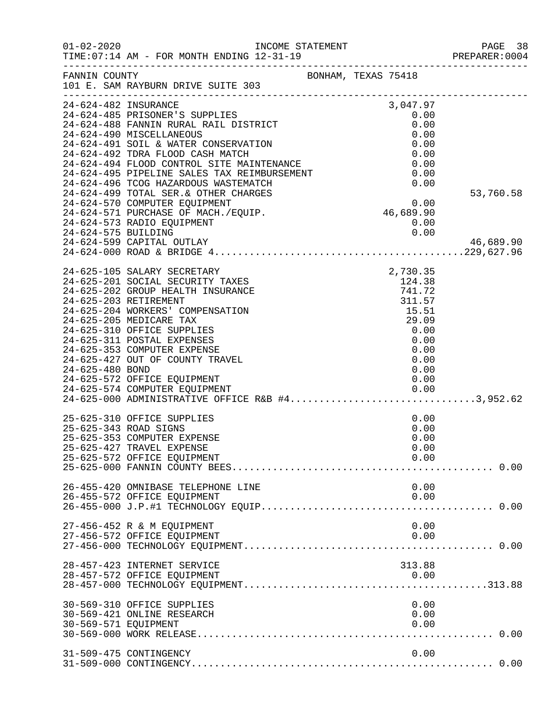| $01 - 02 - 2020$                            | INCOME STATEMENT<br>TIME: 07:14 AM - FOR MONTH ENDING 12-31-19                                                                                                                                                                                                                                                                                                                                                                                                                                |                                                                                                                 | PAGE 38<br>PREPARER:0004 |
|---------------------------------------------|-----------------------------------------------------------------------------------------------------------------------------------------------------------------------------------------------------------------------------------------------------------------------------------------------------------------------------------------------------------------------------------------------------------------------------------------------------------------------------------------------|-----------------------------------------------------------------------------------------------------------------|--------------------------|
| FANNIN COUNTY                               | 101 E. SAM RAYBURN DRIVE SUITE 303                                                                                                                                                                                                                                                                                                                                                                                                                                                            | BONHAM, TEXAS 75418                                                                                             |                          |
| 24-624-482 INSURANCE<br>24-624-575 BUILDING | 24-624-485 PRISONER'S SUPPLIES<br>24-624-488 FANNIN RURAL RAIL DISTRICT<br>24-624-490 MISCELLANEOUS<br>24-624-491 SOIL & WATER CONSERVATION<br>24-624-492 TDRA FLOOD CASH MATCH<br>24-624-492 TDRA FLOOD CARRI PRISIT.<br>24-624-494 FLOOD CONTROL SITE MAINTENANCE<br>24-624-495 PIPELINE SALES TAX REIMBURSEMENT<br>24-624-499 TOTAL SER.& OTHER CHARGES<br>24-624-570 COMPUTER EQUIPMENT<br>24-624-571 PURCHASE OF MACH./EQUIP.<br>24-624-573 RADIO EQUIPMENT<br>24-624-599 CAPITAL OUTLAY | 3,047.97<br>0.00<br>0.00<br>0.00<br>0.00<br>0.00<br>0.00<br>0.00<br>0.00<br>$0.00$<br>46,689.90<br>0.00<br>0.00 | 53,760.58<br>46,689.90   |
| 24-625-480 BOND                             | 24-625-105 SALARY SECRETARY<br>24-625-201 SOCIAL SECURITY TAXES<br>24-625-202 GROUP HEALTH INSURANCE<br>24-625-203 RETIREMENT<br>24-625-204 WORKERS' COMPENSATION<br>24-625-205 MEDICARE TAX<br>24-625-310 OFFICE SUPPLIES<br>24-625-311 POSTAL EXPENSES<br>24-625-353 COMPUTER EXPENSE<br>24-625-427 OUT OF COUNTY TRAVEL<br>24-625-572 OFFICE EQUIPMENT<br>24-625-574 COMPUTER EQUIPMENT<br>24-625-000 ADMINISTRATIVE OFFICE R&B #43,952.62                                                 | 2,730.35<br>124.38<br>741.72<br>311.57<br>15.51<br>29.09<br>0.00<br>0.00<br>0.00<br>0.00<br>0.00<br>0.00        |                          |
|                                             | 25-625-310 OFFICE SUPPLIES<br>25-625-343 ROAD SIGNS<br>25-625-353 COMPUTER EXPENSE<br>25-625-427 TRAVEL EXPENSE<br>25-625-572 OFFICE EQUIPMENT                                                                                                                                                                                                                                                                                                                                                | 0.00<br>0.00<br>0.00<br>0.00<br>0.00                                                                            |                          |
|                                             | 26-455-420 OMNIBASE TELEPHONE LINE<br>26-455-572 OFFICE EQUIPMENT                                                                                                                                                                                                                                                                                                                                                                                                                             | 0.00<br>0.00                                                                                                    |                          |
|                                             | 27-456-452 R & M EQUIPMENT<br>27-456-572 OFFICE EQUIPMENT                                                                                                                                                                                                                                                                                                                                                                                                                                     | 0.00<br>0.00                                                                                                    |                          |
|                                             | 28-457-423 INTERNET SERVICE<br>28-457-572 OFFICE EQUIPMENT                                                                                                                                                                                                                                                                                                                                                                                                                                    | 313.88<br>0.00                                                                                                  |                          |
| 30-569-571 EQUIPMENT                        | 30-569-310 OFFICE SUPPLIES<br>30-569-421 ONLINE RESEARCH                                                                                                                                                                                                                                                                                                                                                                                                                                      | 0.00<br>0.00<br>0.00                                                                                            |                          |
|                                             | 31-509-475 CONTINGENCY                                                                                                                                                                                                                                                                                                                                                                                                                                                                        | 0.00                                                                                                            |                          |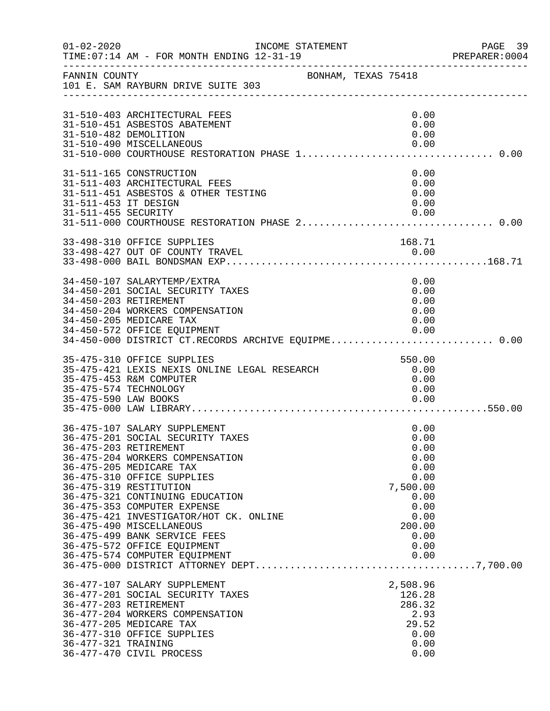| $01 - 02 - 2020$                            | INCOME STATEMENT<br>TIME: 07:14 AM - FOR MONTH ENDING 12-31-19                                                                                                                                                                                                                                                                                                                                                                                          | -------------------------------------                                                                              | PAGE 39<br>PREPARER: 0004 |
|---------------------------------------------|---------------------------------------------------------------------------------------------------------------------------------------------------------------------------------------------------------------------------------------------------------------------------------------------------------------------------------------------------------------------------------------------------------------------------------------------------------|--------------------------------------------------------------------------------------------------------------------|---------------------------|
| FANNIN COUNTY                               | BONHAM, TEXAS 75418<br>101 E. SAM RAYBURN DRIVE SUITE 303                                                                                                                                                                                                                                                                                                                                                                                               |                                                                                                                    |                           |
|                                             | 31-510-403 ARCHITECTURAL FEES<br>31-510-451 ASBESTOS ABATEMENT<br>31-510-482 DEMOLITION                                                                                                                                                                                                                                                                                                                                                                 | 0.00<br>0.00<br>0.00                                                                                               |                           |
| 31-511-453 IT DESIGN<br>31-511-455 SECURITY | 31-511-165 CONSTRUCTION<br>31-511-403 ARCHITECTURAL FEES<br>31-511-451 ASBESTOS & OTHER TESTING                                                                                                                                                                                                                                                                                                                                                         | 0.00<br>0.00<br>0.00<br>0.00<br>0.00                                                                               |                           |
|                                             | 33-498-310 OFFICE SUPPLIES                                                                                                                                                                                                                                                                                                                                                                                                                              | 168.71                                                                                                             |                           |
| 34-450-203 RETIREMENT                       | 34-450-107 SALARYTEMP/EXTRA<br>34-450-201 SOCIAL SECURITY TAXES<br>34-450-204 WORKERS COMPENSATION<br>34-450-205 MEDICARE TAX<br>34-450-572 OFFICE EQUIPMENT<br>34-450-000 DISTRICT CT.RECORDS ARCHIVE EQUIPME 0.00                                                                                                                                                                                                                                     | 0.00<br>0.00<br>0.00<br>0.00<br>0.00<br>0.00                                                                       |                           |
| 35-475-590 LAW BOOKS                        | 35-475-310 OFFICE SUPPLIES<br>35-475-421 LEXIS NEXIS ONLINE LEGAL RESEARCH<br>35-475-453 R&M COMPUTER<br>35-475-574 TECHNOLOGY                                                                                                                                                                                                                                                                                                                          | 550.00<br>0.00<br>0.00<br>0.00<br>0.00                                                                             |                           |
|                                             | 36-475-107 SALARY SUPPLEMENT<br>36-475-201 SOCIAL SECURITY TAXES<br>36-475-203 RETIREMENT<br>36-475-204 WORKERS COMPENSATION<br>36-475-205 MEDICARE TAX<br>36-475-310 OFFICE SUPPLIES<br>36-475-319 RESTITUTION<br>36-475-321 CONTINUING EDUCATION<br>36-475-353 COMPUTER EXPENSE<br>36-475-421 INVESTIGATOR/HOT CK. ONLINE<br>36-475-490 MISCELLANEOUS<br>36-475-499 BANK SERVICE FEES<br>36-475-572 OFFICE EQUIPMENT<br>36-475-574 COMPUTER EQUIPMENT | 0.00<br>0.00<br>0.00<br>0.00<br>0.00<br>0.00<br>7,500.00<br>0.00<br>0.00<br>0.00<br>200.00<br>0.00<br>0.00<br>0.00 |                           |
| 36-477-321 TRAINING                         | 36-477-107 SALARY SUPPLEMENT<br>36-477-201 SOCIAL SECURITY TAXES<br>36-477-203 RETIREMENT<br>36-477-204 WORKERS COMPENSATION<br>36-477-205 MEDICARE TAX<br>36-477-310 OFFICE SUPPLIES<br>36-477-470 CIVIL PROCESS                                                                                                                                                                                                                                       | 2,508.96<br>126.28<br>286.32<br>2.93<br>29.52<br>0.00<br>0.00<br>0.00                                              |                           |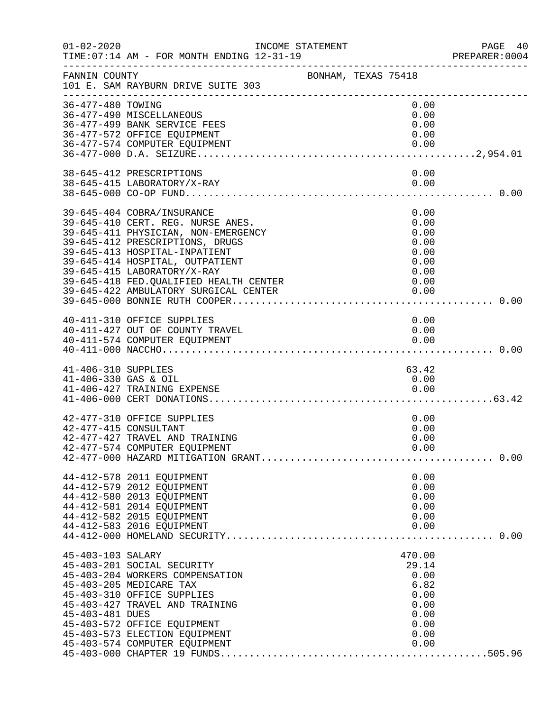| $01 - 02 - 2020$     | INCOME STATEMENT<br>TIME: 07:14 AM - FOR MONTH ENDING 12-31-19<br>----------------------------- |  |              | PAGE 40<br>PREPARER:0004 |
|----------------------|-------------------------------------------------------------------------------------------------|--|--------------|--------------------------|
| FANNIN COUNTY        | BONHAM, TEXAS 75418<br>101 E. SAM RAYBURN DRIVE SUITE 303                                       |  |              |                          |
| 36-477-480 TOWING    | 36-477-490 MISCELLANEOUS                                                                        |  | 0.00<br>0.00 |                          |
|                      | 36-477-499 BANK SERVICE FEES                                                                    |  | 0.00         |                          |
|                      | 36-477-572 OFFICE EQUIPMENT                                                                     |  | 0.00         |                          |
|                      | 36-477-574 COMPUTER EQUIPMENT                                                                   |  | 0.00         |                          |
|                      |                                                                                                 |  |              |                          |
|                      | 38-645-412 PRESCRIPTIONS                                                                        |  | 0.00         |                          |
|                      | 38-645-415 LABORATORY/X-RAY                                                                     |  | 0.00         |                          |
|                      |                                                                                                 |  |              |                          |
|                      | 39-645-404 COBRA/INSURANCE                                                                      |  | 0.00         |                          |
|                      | 39-645-410 CERT. REG. NURSE ANES.                                                               |  | 0.00         |                          |
|                      | 39-645-411 PHYSICIAN, NON-EMERGENCY                                                             |  | 0.00         |                          |
|                      | 39-645-412 PRESCRIPTIONS, DRUGS<br>39-645-413 HOSPITAL-INPATIENT                                |  | 0.00<br>0.00 |                          |
|                      | 39-645-414 HOSPITAL, OUTPATIENT                                                                 |  | 0.00         |                          |
|                      | 39-645-415 LABORATORY/X-RAY                                                                     |  | 0.00         |                          |
|                      | 39-645-418 FED. QUALIFIED HEALTH CENTER                                                         |  | 0.00         |                          |
|                      | 39-645-422 AMBULATORY SURGICAL CENTER                                                           |  | 0.00         |                          |
|                      |                                                                                                 |  |              |                          |
|                      | 40-411-310 OFFICE SUPPLIES                                                                      |  | 0.00         |                          |
|                      | 40-411-427 OUT OF COUNTY TRAVEL                                                                 |  | 0.00         |                          |
|                      | 40-411-574 COMPUTER EQUIPMENT                                                                   |  | 0.00         |                          |
|                      |                                                                                                 |  |              |                          |
| 41-406-310 SUPPLIES  |                                                                                                 |  | 63.42        |                          |
| 41-406-330 GAS & OIL |                                                                                                 |  | 0.00         |                          |
|                      | 41-406-427 TRAINING EXPENSE                                                                     |  | 0.00         |                          |
|                      |                                                                                                 |  |              |                          |
|                      | 42-477-310 OFFICE SUPPLIES                                                                      |  | 0.00         |                          |
|                      | 42-477-415 CONSULTANT                                                                           |  | 0.00         |                          |
|                      | 42-477-427 TRAVEL AND TRAINING                                                                  |  | 0.00         |                          |
|                      |                                                                                                 |  |              |                          |
|                      |                                                                                                 |  |              |                          |
|                      | 44-412-578 2011 EQUIPMENT                                                                       |  | 0.00         |                          |
|                      | 44-412-579 2012 EQUIPMENT                                                                       |  | 0.00         |                          |
|                      | 44-412-580 2013 EQUIPMENT                                                                       |  | 0.00         |                          |
|                      | 44-412-581 2014 EQUIPMENT<br>44-412-582 2015 EQUIPMENT                                          |  | 0.00<br>0.00 |                          |
|                      | 44-412-583 2016 EQUIPMENT                                                                       |  | 0.00         |                          |
|                      |                                                                                                 |  |              |                          |
| 45-403-103 SALARY    |                                                                                                 |  | 470.00       |                          |
|                      | 45-403-201 SOCIAL SECURITY                                                                      |  | 29.14        |                          |
|                      | 45-403-204 WORKERS COMPENSATION                                                                 |  | 0.00         |                          |
|                      | 45-403-205 MEDICARE TAX                                                                         |  | 6.82         |                          |
|                      | 45-403-310 OFFICE SUPPLIES                                                                      |  | 0.00         |                          |
|                      | 45-403-427 TRAVEL AND TRAINING                                                                  |  | 0.00         |                          |
| 45-403-481 DUES      |                                                                                                 |  | 0.00         |                          |
|                      | 45-403-572 OFFICE EQUIPMENT                                                                     |  | 0.00         |                          |
|                      | 45-403-573 ELECTION EQUIPMENT<br>45-403-574 COMPUTER EQUIPMENT                                  |  | 0.00<br>0.00 |                          |
|                      |                                                                                                 |  |              |                          |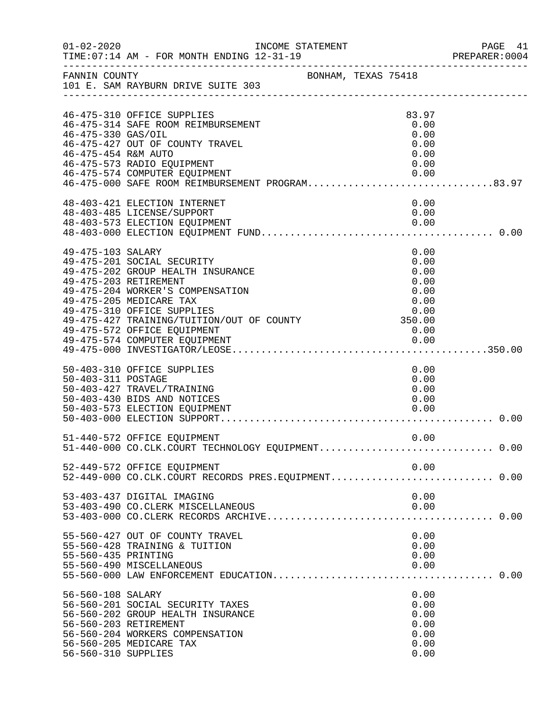| $01 - 02 - 2020$                          | INCOME STATEMENT<br>TIME: 07:14 AM - FOR MONTH ENDING 12-31-19                                                                                                                                                                                                           |                     |                                                      | PAGE 41<br>PREPARER: 0004 |
|-------------------------------------------|--------------------------------------------------------------------------------------------------------------------------------------------------------------------------------------------------------------------------------------------------------------------------|---------------------|------------------------------------------------------|---------------------------|
|                                           | FANNIN COUNTY<br>101 E. SAM RAYBURN DRIVE SUITE 303                                                                                                                                                                                                                      | BONHAM, TEXAS 75418 |                                                      |                           |
| 46-475-330 GAS/OIL<br>46-475-454 R&M AUTO | 46-475-310 OFFICE SUPPLIES<br>46-475-314 SAFE ROOM REIMBURSEMENT<br>46-475-427 OUT OF COUNTY TRAVEL                                                                                                                                                                      |                     | 83.97<br>0.00<br>0.00<br>0.00<br>0.00                |                           |
|                                           | 46-475-573 RADIO EQUIPMENT<br>46-475-574 COMPUTER EQUIPMENT<br>40 475-000 SAFE ROOM REIMBURSEMENT PROGRAM83.97                                                                                                                                                           |                     | 0.00<br>0.00                                         |                           |
|                                           | 48-403-421 ELECTION INTERNET<br>48-403-485 LICENSE/SUPPORT<br>48-403-573 ELECTION EQUIPMENT                                                                                                                                                                              |                     | 0.00<br>0.00                                         |                           |
| 49-475-103 SALARY                         | 49-475-201 SOCIAL SECURITY<br>49-475-202 GROUP HEALTH INSURANCE<br>49-475-203 RETIREMENT<br>49-475-204 WORKER'S COMPENSATION<br>49-475-205 MEDICARE TAX<br>49-475-310 OFFICE SUPPLIES<br>49-475-427 TRAINING/TUITION/OUT OF COUNTY 350.00<br>49-475-572 OFFICE EQUIPMENT |                     | 0.00<br>0.00<br>0.00<br>0.00<br>0.00<br>0.00<br>0.00 |                           |
| 50-403-311 POSTAGE                        | 50-403-310 OFFICE SUPPLIES<br>50-403-427 TRAVEL/TRAINING<br>50-403-430 BIDS AND NOTICES<br>50-403-573 ELECTION EQUIPMENT                                                                                                                                                 |                     | 0.00<br>0.00<br>0.00<br>0.00<br>0.00                 |                           |
|                                           | 51-440-572 OFFICE EQUIPMENT                                                                                                                                                                                                                                              |                     | 0.00                                                 |                           |
|                                           | 52-449-572 OFFICE EQUIPMENT<br>52-449-000 CO.CLK.COURT RECORDS PRES.EQUIPMENT 0.00                                                                                                                                                                                       |                     | 0.00                                                 |                           |
|                                           | 53-403-437 DIGITAL IMAGING<br>53-403-490 CO.CLERK MISCELLANEOUS                                                                                                                                                                                                          |                     | 0.00<br>0.00                                         |                           |
| 55-560-435 PRINTING                       | 55-560-427 OUT OF COUNTY TRAVEL<br>55-560-428 TRAINING & TUITION<br>55-560-490 MISCELLANEOUS                                                                                                                                                                             |                     | 0.00<br>0.00<br>0.00<br>0.00                         |                           |
| 56-560-108 SALARY<br>56-560-310 SUPPLIES  | 56-560-201 SOCIAL SECURITY TAXES<br>56-560-202 GROUP HEALTH INSURANCE<br>56-560-203 RETIREMENT<br>56-560-204 WORKERS COMPENSATION<br>56-560-205 MEDICARE TAX                                                                                                             |                     | 0.00<br>0.00<br>0.00<br>0.00<br>0.00<br>0.00<br>0.00 |                           |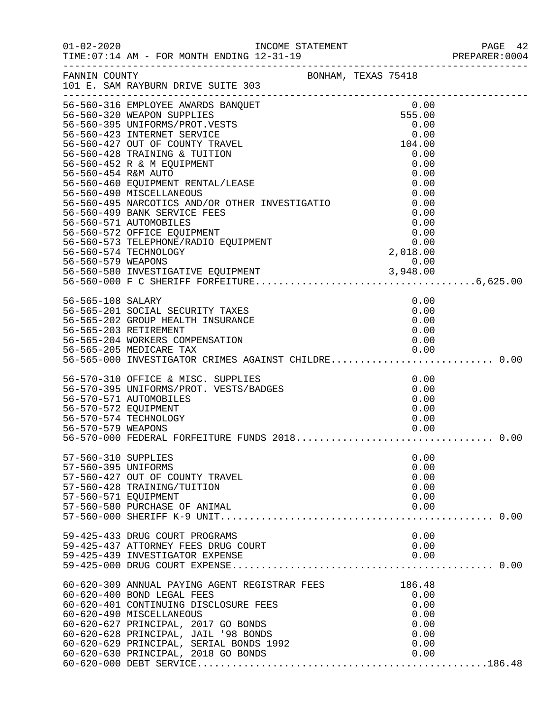|                                                                    |                                                                                                                                                                                                                                                                                                                                                                                                                                                                                                                                                                                                                                                                                          |  |                                                                | PAGE 42<br>PREPARER:0004 |
|--------------------------------------------------------------------|------------------------------------------------------------------------------------------------------------------------------------------------------------------------------------------------------------------------------------------------------------------------------------------------------------------------------------------------------------------------------------------------------------------------------------------------------------------------------------------------------------------------------------------------------------------------------------------------------------------------------------------------------------------------------------------|--|----------------------------------------------------------------|--------------------------|
|                                                                    | FANNIN COUNTY<br>101 E. SAM RAYBURN DRIVE SUITE 303                                                                                                                                                                                                                                                                                                                                                                                                                                                                                                                                                                                                                                      |  |                                                                |                          |
| 56-560-454 R&M AUTO                                                | 56-560-316 EMPLOYEE AWARDS BANQUET<br>ANQUET<br>TS 0.00<br>TS 555.00<br>0.00<br>0.00<br>0.00<br>0.00<br>0.00<br>0.00<br>0.00<br>0.00<br>0.00<br>0.00<br>0.00<br>0.00<br>0.00<br>0.00<br>0.00<br>0.00<br>56-560-320 WEAPON SUPPLIES<br>56-560-395 UNIFORMS/PROT.VESTS<br>56-560-423 INTERNET SERVICE<br>56-560-427 OUT OF COUNTY TRAVEL<br>56-560-428 TRAINING & TUITION<br>56-560-452 R & M EQUIPMENT<br>56-560-460 EQUIPMENT RENTAL/LEASE<br>56-560-490 MISCELLANEOUS<br>56-560-490 MISCELLANEOUS<br>56-560-495 NARCOTICS AND/OR OTHER INVESTIGATIO 0.00<br>56-560-499 BANK SERVICE FEES 0.00<br>56-560-571 AUTOMOBILES 0.00<br>56-560-572 OFFICE EQUIPMENT 0.00<br>56-560-573 TELEPHON |  |                                                                |                          |
|                                                                    | 56-565-108 SALARY<br>56-565-201 SOCIAL SECURITY TAXES<br>56-565-201 SOCIAL SECURITY TAXES<br>56-565-204 WORKERS COMPENSATION<br>56-565-205 MEDICARE TAX 0.00<br>56-565-000 INVESTIGATOR CRIMES AGAINST CHILDRE0.00                                                                                                                                                                                                                                                                                                                                                                                                                                                                       |  | 0.00<br>0.00<br>0.00<br>0.00<br>0.00                           |                          |
| 56-570-579 WEAPONS                                                 | 56-565-000 INVESTIGATOR CRIMINAL<br>56-570-310 OFFICE & MISC. SUPPLIES<br>56-570-395 UNIFORMS/PROT. VESTS/BADGES<br>56-570-571 AUTOMOBILES<br>56-570-574 TECHNOLOGY                                                                                                                                                                                                                                                                                                                                                                                                                                                                                                                      |  | 0.00<br>0.00<br>0.00<br>0.00<br>0.00<br>0.00                   |                          |
| 57-560-310 SUPPLIES<br>57-560-395 UNIFORMS<br>57-560-571 EQUIPMENT | 57-560-427 OUT OF COUNTY TRAVEL<br>57-560-428 TRAINING/TUITION<br>57-560-580 PURCHASE OF ANIMAL                                                                                                                                                                                                                                                                                                                                                                                                                                                                                                                                                                                          |  | 0.00<br>0.00<br>0.00<br>0.00<br>0.00<br>0.00                   |                          |
|                                                                    | 59-425-433 DRUG COURT PROGRAMS                                                                                                                                                                                                                                                                                                                                                                                                                                                                                                                                                                                                                                                           |  | 0.00                                                           |                          |
|                                                                    | 60-620-309 ANNUAL PAYING AGENT REGISTRAR FEES<br>60-620-400 BOND LEGAL FEES<br>60-620-401 CONTINUING DISCLOSURE FEES<br>60-620-490 MISCELLANEOUS<br>60-620-627 PRINCIPAL, 2017 GO BONDS<br>60-620-628 PRINCIPAL, JAIL '98 BONDS<br>60-620-629 PRINCIPAL, SERIAL BONDS 1992<br>60-620-630 PRINCIPAL, 2018 GO BONDS                                                                                                                                                                                                                                                                                                                                                                        |  | 186.48<br>0.00<br>0.00<br>0.00<br>0.00<br>0.00<br>0.00<br>0.00 |                          |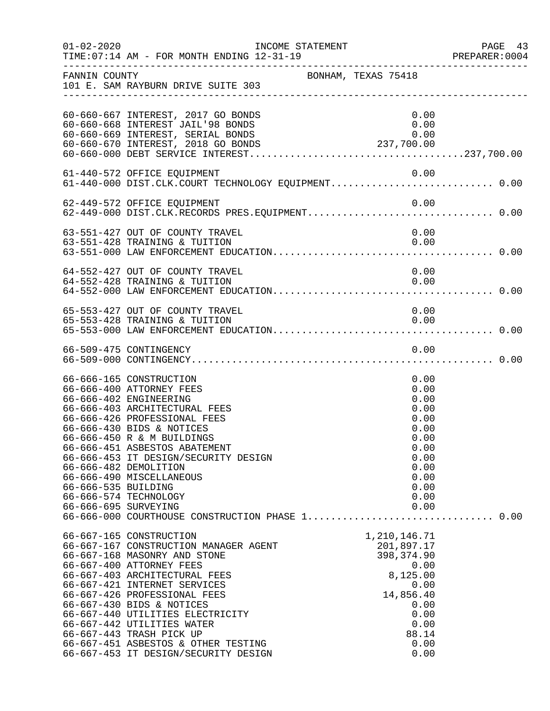| $01 - 02 - 2020$                            | INCOME STATEMENT<br>TIME: 07:14 AM - FOR MONTH ENDING 12-31-19                                                                                                                                                                                                                                                                                                                                                                          |                     |                                                                                                                                       | PAGE 43<br>PREPARER: 0004 |
|---------------------------------------------|-----------------------------------------------------------------------------------------------------------------------------------------------------------------------------------------------------------------------------------------------------------------------------------------------------------------------------------------------------------------------------------------------------------------------------------------|---------------------|---------------------------------------------------------------------------------------------------------------------------------------|---------------------------|
| FANNIN COUNTY                               | 101 E. SAM RAYBURN DRIVE SUITE 303                                                                                                                                                                                                                                                                                                                                                                                                      | BONHAM, TEXAS 75418 |                                                                                                                                       |                           |
|                                             | 60-660-667 INTEREST, 2017 GO BONDS<br>60-660-668 INTEREST JAIL'98 BONDS<br>60-660-669 INTEREST, SERIAL BONDS<br>60-660-670 INTEREST, 2018 GO BONDS                                                                                                                                                                                                                                                                                      |                     | 0.00<br>0.00<br>0.00<br>237,700.00                                                                                                    |                           |
|                                             | 61-440-572 OFFICE EQUIPMENT                                                                                                                                                                                                                                                                                                                                                                                                             |                     | 0.00                                                                                                                                  |                           |
|                                             | 62-449-572 OFFICE EQUIPMENT                                                                                                                                                                                                                                                                                                                                                                                                             |                     | 0.00                                                                                                                                  |                           |
|                                             | 63-551-427 OUT OF COUNTY TRAVEL<br>63-551-428 TRAINING & TUITION                                                                                                                                                                                                                                                                                                                                                                        |                     | 0.00<br>0.00                                                                                                                          |                           |
|                                             | 64-552-427 OUT OF COUNTY TRAVEL<br>64-552-428 TRAINING & TUITION                                                                                                                                                                                                                                                                                                                                                                        |                     | 0.00<br>0.00                                                                                                                          |                           |
|                                             | 65-553-427 OUT OF COUNTY TRAVEL<br>65-553-428 TRAINING & TUITION                                                                                                                                                                                                                                                                                                                                                                        |                     | 0.00<br>0.00                                                                                                                          |                           |
|                                             | 66-509-475 CONTINGENCY                                                                                                                                                                                                                                                                                                                                                                                                                  |                     | 0.00                                                                                                                                  |                           |
| 66-666-535 BUILDING<br>66-666-695 SURVEYING | 66-666-165 CONSTRUCTION<br>66-666-400 ATTORNEY FEES<br>66-666-402 ENGINEERING<br>66-666-403 ARCHITECTURAL FEES<br>66-666-426 PROFESSIONAL FEES<br>66-666-430 BIDS & NOTICES<br>66-666-450 R & M BUILDINGS<br>66-666-451 ASBESTOS ABATEMENT<br>66-666-453 IT DESIGN/SECURITY DESIGN<br>66-666-482 DEMOLITION<br>66-666-490 MISCELLANEOUS<br>66-666-574 TECHNOLOGY<br>66-666-000 COURTHOUSE CONSTRUCTION PHASE 1 0.00                     |                     | 0.00<br>0.00<br>0.00<br>0.00<br>0.00<br>0.00<br>0.00<br>0.00<br>0.00<br>0.00<br>0.00<br>0.00<br>0.00<br>0.00                          |                           |
|                                             | 66-667-165 CONSTRUCTION<br>66-667-167 CONSTRUCTION MANAGER AGENT<br>66-667-168 MASONRY AND STONE<br>66-667-400 ATTORNEY FEES<br>66-667-403 ARCHITECTURAL FEES<br>66-667-421 INTERNET SERVICES<br>66-667-426 PROFESSIONAL FEES<br>66-667-430 BIDS & NOTICES<br>66-667-440 UTILITIES ELECTRICITY<br>66-667-442 UTILITIES WATER<br>66-667-443 TRASH PICK UP<br>66-667-451 ASBESTOS & OTHER TESTING<br>66-667-453 IT DESIGN/SECURITY DESIGN |                     | 1, 210, 146.71<br>201,897.17<br>398, 374.90<br>0.00<br>8,125.00<br>0.00<br>14,856.40<br>0.00<br>0.00<br>0.00<br>88.14<br>0.00<br>0.00 |                           |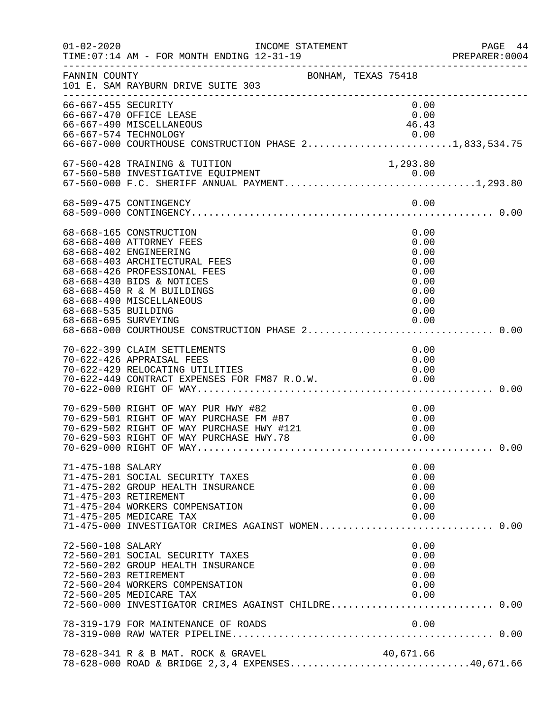| $01 - 02 - 2020$                            | INCOME STATEMENT<br>TIME: 07:14 AM - FOR MONTH ENDING 12-31-19                                                                                                                                                                        |                                                                              | PAGE 44<br>PREPARER:0004 |
|---------------------------------------------|---------------------------------------------------------------------------------------------------------------------------------------------------------------------------------------------------------------------------------------|------------------------------------------------------------------------------|--------------------------|
| FANNIN COUNTY                               | BONHAM, TEXAS 75418<br>101 E. SAM RAYBURN DRIVE SUITE 303                                                                                                                                                                             |                                                                              |                          |
| 66-667-455 SECURITY                         | 66-667-470 OFFICE LEASE<br>66-667-490 MISCELLANEOUS<br>0.00 0.00 0.00 0.00 0.00 0.00<br>66-667-000 COURTHOUSE CONSTRUCTION PHASE 21,833,534.75                                                                                        | 0.00<br>0.00<br>46.43                                                        |                          |
|                                             | 67-560-428 TRAINING & TUITION                                                                                                                                                                                                         | 1,293.80                                                                     |                          |
|                                             | 68-509-475 CONTINGENCY                                                                                                                                                                                                                | 0.00                                                                         |                          |
| 68-668-535 BUILDING<br>68-668-695 SURVEYING | 68-668-165 CONSTRUCTION<br>68-668-400 ATTORNEY FEES<br>68-668-402 ENGINEERING<br>68-668-403 ARCHITECTURAL FEES<br>68-668-426 PROFESSIONAL FEES<br>68-668-430 BIDS & NOTICES<br>68-668-450 R & M BUILDINGS<br>68-668-490 MISCELLANEOUS | 0.00<br>0.00<br>0.00<br>0.00<br>0.00<br>0.00<br>0.00<br>0.00<br>0.00<br>0.00 |                          |
|                                             | 70-622-399 CLAIM SETTLEMENTS<br>70-622-426 APPRAISAL FEES<br>70-622-429 RELOCATING UTILITIES<br>70-622-449 CONTRACT EXPENSES FOR FM87 R.O.W.                                                                                          | 0.00<br>0.00<br>0.00<br>0.00                                                 |                          |
|                                             | 70-629-500 RIGHT OF WAY PUR HWY #82<br>70-629-501 RIGHT OF WAY PURCHASE FM #87<br>70-629-502 RIGHT OF WAY PURCHASE HWY #121<br>70-629-503 RIGHT OF WAY PURCHASE HWY.78                                                                | 0.00<br>0.00<br>0.00<br>0.00                                                 |                          |
| 71-475-108 SALARY                           | 71-475-201 SOCIAL SECURITY TAXES<br>71-475-202 GROUP HEALTH INSURANCE<br>71-475-203 RETIREMENT<br>71-475-204 WORKERS COMPENSATION<br>71-475-205 MEDICARE TAX<br>71-475-000 INVESTIGATOR CRIMES AGAINST WOMEN 0.00                     | 0.00<br>0.00<br>0.00<br>0.00<br>0.00<br>0.00                                 |                          |
| 72-560-108 SALARY<br>72-560-203 RETIREMENT  | 72-560-201 SOCIAL SECURITY TAXES<br>72-560-202 GROUP HEALTH INSURANCE<br>72-560-204 WORKERS COMPENSATION<br>72-560-205 MEDICARE TAX<br>72-560-000 INVESTIGATOR CRIMES AGAINST CHILDRE 0.00                                            | 0.00<br>0.00<br>0.00<br>0.00<br>0.00<br>0.00                                 |                          |
|                                             | 78-319-179 FOR MAINTENANCE OF ROADS                                                                                                                                                                                                   | 0.00                                                                         |                          |
|                                             | 78-628-341 R & B MAT. ROCK & GRAVEL                                                                                                                                                                                                   | 40,671.66                                                                    |                          |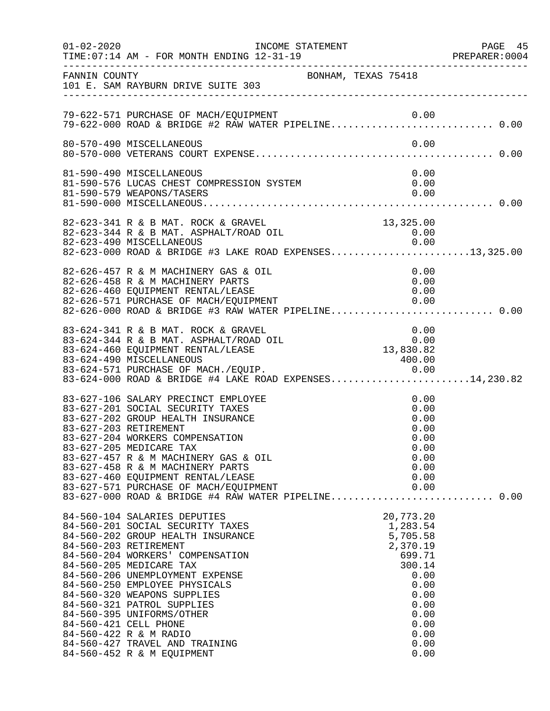| $01 - 02 - 2020$ | INCOME STATEMENT<br>TIME: 07:14 AM - FOR MONTH ENDING 12-31-19                                                                                                                                                                                                                                                                                                                                                                                                                 |                                                                                                                                           | PAGE 45<br>PREPARER:0004 |
|------------------|--------------------------------------------------------------------------------------------------------------------------------------------------------------------------------------------------------------------------------------------------------------------------------------------------------------------------------------------------------------------------------------------------------------------------------------------------------------------------------|-------------------------------------------------------------------------------------------------------------------------------------------|--------------------------|
| FANNIN COUNTY    | BONHAM, TEXAS 75418<br>101 E. SAM RAYBURN DRIVE SUITE 303                                                                                                                                                                                                                                                                                                                                                                                                                      |                                                                                                                                           |                          |
|                  | 79-622-571 PURCHASE OF MACH/EQUIPMENT 0.00<br>79-622-000 ROAD & BRIDGE #2 RAW WATER PIPELINE0.00                                                                                                                                                                                                                                                                                                                                                                               |                                                                                                                                           |                          |
|                  | 80-570-490 MISCELLANEOUS                                                                                                                                                                                                                                                                                                                                                                                                                                                       | 0.00                                                                                                                                      |                          |
|                  | 81-590-490 MISCELLANEOUS<br>81-590-576 LUCAS CHEST COMPRESSION SYSTEM                                                                                                                                                                                                                                                                                                                                                                                                          | 0.00<br>0.00                                                                                                                              |                          |
|                  | 82-623-341 R & B MAT. ROCK & GRAVEL<br>82-623-344 R & B MAT. ASPHALT/ROAD OIL<br>82-623-490 MISCELLANEOUS<br>82-623-000 ROAD & BRIDGE #3 LAKE ROAD EXPENSES13,325.00                                                                                                                                                                                                                                                                                                           | $13,325.00$<br>$0.00$<br>$0.00$                                                                                                           |                          |
|                  | 82-626-457 R & M MACHINERY GAS & OIL<br>82-626-458 R & M MACHINERY PARTS<br>82-626-460 EQUIPMENT RENTAL/LEASE<br>82-626-571 PURCHASE OF MACH/EQUIPMENT 0.00<br>82-626-000 ROAD & BRIDGE #3 RAW WATER PIPELINE0.00                                                                                                                                                                                                                                                              | 0.00<br>0.00<br>0.00                                                                                                                      |                          |
|                  | 83-624-341 R & B MAT. ROCK & GRAVEL<br>83-624-344 R & B MAT. ASPHALT/ROAD OIL<br>83-624-460 EQUIPMENT RENTAL/LEASE<br>83-624-490 MISCELLANEOUS                                                                                                                                                                                                                                                                                                                                 | $0.00$<br>0.00<br>13,830.82<br>400.00                                                                                                     |                          |
|                  | 83-627-106 SALARY PRECINCT EMPLOYEE<br>83-627-201 SOCIAL SECURITY TAXES<br>83-627-202 GROUP HEALTH INSURANCE<br>83-627-203 RETIREMENT<br>83-627-204 WORKERS COMPENSATION<br>83-627-205 MEDICARE TAX<br>83-627-457 R & M MACHINERY GAS & OIL<br>83-627-458 R & M MACHINERY PARTS<br>83-627-460 EQUIPMENT RENTAL/LEASE<br>83-627-571 PURCHASE OF MACH/EQUIPMENT                                                                                                                  | 0.00<br>0.00<br>0.00<br>0.00<br>0.00<br>0.00<br>0.00<br>0.00<br>0.00<br>0.00                                                              |                          |
|                  | 84-560-104 SALARIES DEPUTIES<br>84-560-201 SOCIAL SECURITY TAXES<br>84-560-202 GROUP HEALTH INSURANCE<br>84-560-203 RETIREMENT<br>84-560-204 WORKERS' COMPENSATION<br>84-560-205 MEDICARE TAX<br>84-560-206 UNEMPLOYMENT EXPENSE<br>84-560-250 EMPLOYEE PHYSICALS<br>84-560-320 WEAPONS SUPPLIES<br>84-560-321 PATROL SUPPLIES<br>84-560-395 UNIFORMS/OTHER<br>84-560-421 CELL PHONE<br>84-560-422 R & M RADIO<br>84-560-427 TRAVEL AND TRAINING<br>84-560-452 R & M EQUIPMENT | 20,773.20<br>1,283.54<br>5,705.58<br>2,370.19<br>699.71<br>300.14<br>0.00<br>0.00<br>0.00<br>0.00<br>0.00<br>0.00<br>0.00<br>0.00<br>0.00 |                          |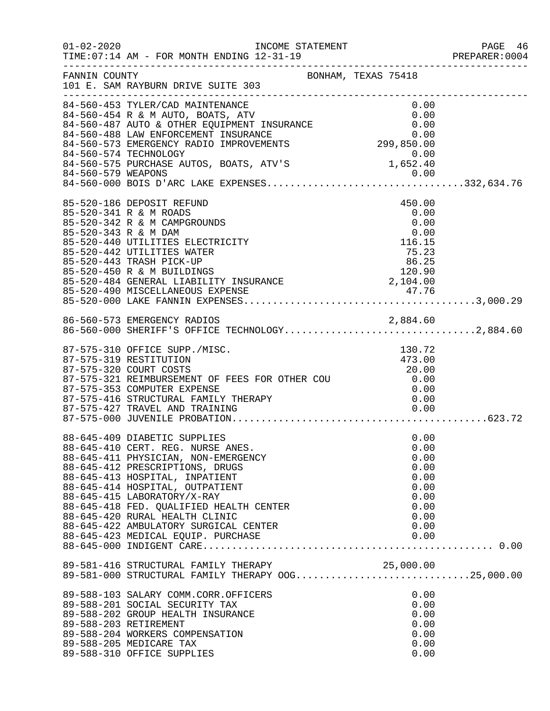| $01 - 02 - 2020$     | INCOME STATEMENT<br>TIME: 07:14 AM - FOR MONTH ENDING 12-31-19                                                                                                                                                                                                                                                               |                                                                                  | PAGE 46<br>PREPARER:0004 |
|----------------------|------------------------------------------------------------------------------------------------------------------------------------------------------------------------------------------------------------------------------------------------------------------------------------------------------------------------------|----------------------------------------------------------------------------------|--------------------------|
| FANNIN COUNTY        | 101 E. SAM RAYBURN DRIVE SUITE 303                                                                                                                                                                                                                                                                                           | BONHAM, TEXAS 75418                                                              |                          |
|                      | 84-560-487 AUTO & OTHER EQUIPMENT INSURANCE<br>84-560-488 LAW ENFORCEMENT INSURANCE 0.00<br>84-560-573 EMERGENCY RADIO IMPROVEMENTS 299,850.00                                                                                                                                                                               | 0.00<br>0.00                                                                     |                          |
| 85-520-343 R & M DAM | 85-520-186 DEPOSIT REFUND<br>85-520-341 R & M ROADS<br>85-520-342 R & M CAMPGROUNDS<br>85-520-440 UTILITIES ELECTRICITY<br>85-520-442 UTILITIES WATER<br>85-520-443 TRASH PICK-UP<br>85-520-450 R & M BUILDINGS<br>85-520-484 GENERAL LIABILITY INSURANCE                                                                    | 450.00<br>0.00<br>0.00<br>0.00<br>116.15<br>75.23<br>86.25<br>120.90<br>2,104.00 |                          |
|                      | 86-560-573 EMERGENCY RADIOS<br>86-560-573 EMERGENCY RADIOS 2,884.60<br>86-560-000 SHERIFF'S OFFICE TECHNOLOGY2,884.60                                                                                                                                                                                                        |                                                                                  |                          |
|                      | 87-575-310 OFFICE SUPP./MISC.<br>87-575-319 RESTITUTION<br>87-575-321 REIMBURSEMENT OF FEES FOR OTHER COU 20.00<br>87-575-353 COMPUTER EXPENSE                                                                                                                                                                               | 130.72<br>473.00                                                                 |                          |
|                      | 88-645-409 DIABETIC SUPPLIES<br>88-645-410 CERT. REG. NURSE ANES.<br>88-645-411 PHYSICIAN, NON-EMERGENCY<br>88-645-412 PRESCRIPTIONS, DRUGS<br>88-645-413 HOSPITAL, INPATIENT<br>88-645-414 HOSPITAL, OUTPATIENT<br>88-645-415 LABORATORY/X-RAY<br>88-645-418 FED. QUALIFIED HEALTH CENTER<br>88-645-420 RURAL HEALTH CLINIC | 0.00<br>0.00<br>0.00<br>0.00<br>0.00<br>0.00<br>0.00<br>0.00<br>0.00             |                          |
|                      | 89-581-416 STRUCTURAL FAMILY THERAPY 25,000.00<br>89-581-000 STRUCTURAL FAMILY THERAPY OOG25,000.00                                                                                                                                                                                                                          |                                                                                  |                          |
|                      | 89-588-103 SALARY COMM.CORR.OFFICERS<br>89-588-201 SOCIAL SECURITY TAX<br>89-588-202 GROUP HEALTH INSURANCE<br>89-588-203 RETIREMENT<br>89-588-204 WORKERS COMPENSATION<br>89-588-205 MEDICARE TAX<br>89-588-310 OFFICE SUPPLIES                                                                                             | 0.00<br>0.00<br>0.00<br>0.00<br>0.00<br>0.00<br>0.00                             |                          |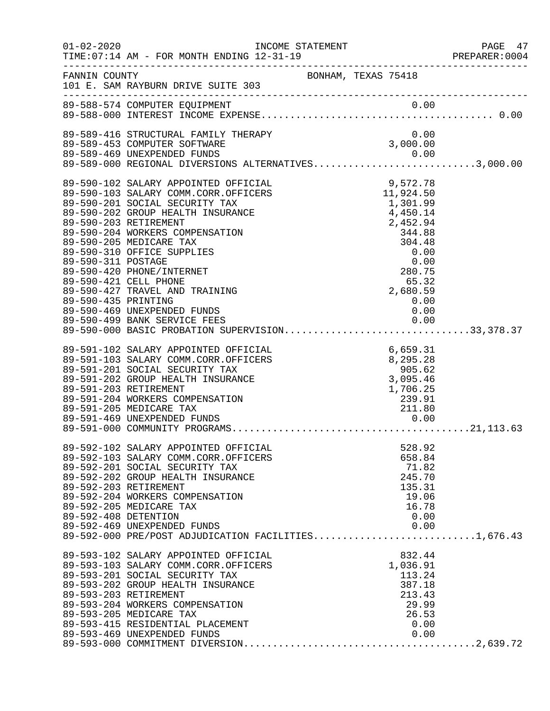| $01 - 02 - 2020$                          | TIME: 07:14 AM - FOR MONTH ENDING 12-31-19<br>--------------------------------                                                                                                                                                                                                                                                                                                                                                                                                                                                           | INCOME STATEMENT |                                                                                                                                                      | PAGE 47<br>PREPARER: 0004 |
|-------------------------------------------|------------------------------------------------------------------------------------------------------------------------------------------------------------------------------------------------------------------------------------------------------------------------------------------------------------------------------------------------------------------------------------------------------------------------------------------------------------------------------------------------------------------------------------------|------------------|------------------------------------------------------------------------------------------------------------------------------------------------------|---------------------------|
| FANNIN COUNTY                             | BONHAM, TEXAS 75418<br>101 E. SAM RAYBURN DRIVE SUITE 303                                                                                                                                                                                                                                                                                                                                                                                                                                                                                |                  |                                                                                                                                                      |                           |
|                                           |                                                                                                                                                                                                                                                                                                                                                                                                                                                                                                                                          |                  |                                                                                                                                                      |                           |
|                                           | 89-589-416 STRUCTURAL FAMILY THERAPY<br>89-589-453 COMPUTER SOFTWARE                                                                                                                                                                                                                                                                                                                                                                                                                                                                     |                  | 0.00<br>3,000.00                                                                                                                                     |                           |
|                                           | 89-589-469 UNEXPENDED FUNDS<br>89-589-000 REGIONAL DIVERSIONS ALTERNATIVES3,000.00                                                                                                                                                                                                                                                                                                                                                                                                                                                       |                  |                                                                                                                                                      |                           |
| 89-590-311 POSTAGE<br>89-590-435 PRINTING | 89-590-102 SALARY APPOINTED OFFICIAL<br>89-590-103 SALARY COMM.CORR.OFFICERS<br>89-590-201 SOCIAL SECURITY TAX<br>89-590-202 GROUP HEALTH INSURANCE<br>89-590-203 RETIREMENT<br>89-590-204 WORKERS COMPENSATION<br>89-590-205 MEDICARE TAX<br>89-590-310 OFFICE SUPPLIES<br>89-590-420 PHONE/INTERNET<br>89-590-421 CELL PHONE<br>89-590-427 TRAVEL AND TRAINING<br>89-590-469 UNEXPENDED FUNDS<br>89-590-499 BANK SERVICE FEES<br>89-590-499 BANK SERVICE FEES                  0.00<br>89-590-000 BASIC PROBATION SUPERVISION33,378.37 |                  | 9,572.78<br>11,924.50<br>1,301.99<br>4,450.14<br>2,452.94<br>344.88<br>304.48<br>0.00<br>0.00<br>280.75<br>65.32<br>2,680.59<br>0.00<br>0.00<br>0.00 |                           |
|                                           | 89-591-102 SALARY APPOINTED OFFICIAL<br>89-591-103 SALARY COMM.CORR.OFFICERS<br>89-591-201 SOCIAL SECURITY TAX<br>89-591-202 GROUP HEALTH INSURANCE<br>89-591-203 RETIREMENT<br>89-591-204 WORKERS COMPENSATION<br>89-591-205 MEDICARE TAX<br>89-591-469 UNEXPENDED FUNDS                                                                                                                                                                                                                                                                |                  | 6,659.31<br>8,295.28<br>905.62<br>3,095.46<br>1,706.25<br>239.91<br>211.80<br>0.00                                                                   |                           |
| 89-592-408 DETENTION                      | 89-592-102 SALARY APPOINTED OFFICIAL<br>89-592-103 SALARY COMM.CORR.OFFICERS<br>89-592-201 SOCIAL SECURITY TAX<br>89-592-202 GROUP HEALTH INSURANCE<br>89-592-203 RETIREMENT<br>89-592-204 WORKERS COMPENSATION<br>89-592-205 MEDICARE TAX<br>89-592-469 UNEXPENDED FUNDS<br>89-592-000 PRE/POST ADJUDICATION FACILITIES1,676.43                                                                                                                                                                                                         |                  | 528.92<br>658.84<br>71.82<br>245.70<br>135.31<br>19.06<br>16.78<br>0.00                                                                              |                           |
|                                           | 89-593-102 SALARY APPOINTED OFFICIAL<br>89-593-103 SALARY COMM.CORR.OFFICERS<br>89-593-201 SOCIAL SECURITY TAX<br>89-593-202 GROUP HEALTH INSURANCE<br>89-593-203 RETIREMENT<br>89-593-204 WORKERS COMPENSATION<br>89-593-205 MEDICARE TAX<br>89-593-415 RESIDENTIAL PLACEMENT                                                                                                                                                                                                                                                           |                  | 832.44<br>1,036.91<br>113.24<br>387.18<br>213.43<br>29.99<br>26.53<br>0.00                                                                           |                           |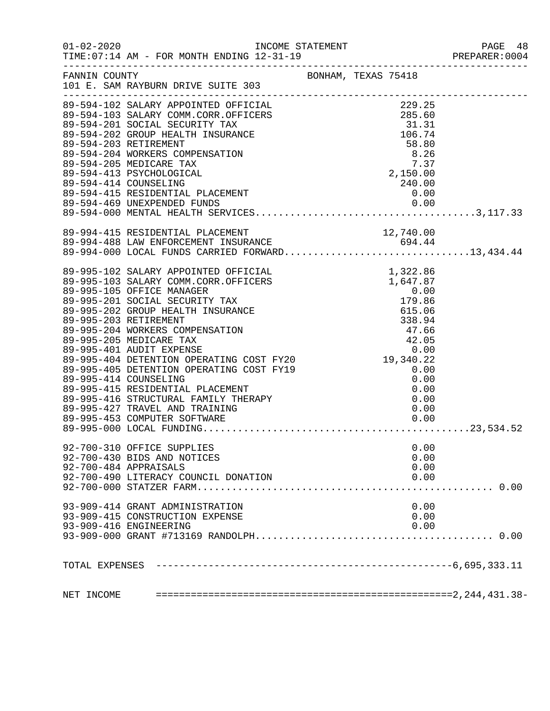|            |                                                                                                                                                                                                                                                                                                                                                                        |                     |                              | PAGE 48<br>PREPARER:0004 |
|------------|------------------------------------------------------------------------------------------------------------------------------------------------------------------------------------------------------------------------------------------------------------------------------------------------------------------------------------------------------------------------|---------------------|------------------------------|--------------------------|
|            | FANNIN COUNTY<br>101 E. SAM RAYBURN DRIVE SUITE 303                                                                                                                                                                                                                                                                                                                    | BONHAM, TEXAS 75418 |                              |                          |
|            | 89-594-102 SALARY APPOINTED OFFICIAL<br>89-594-102 SALARY APPOINTED OFFICIAL<br>89-594-103 SALARY COMM.CORR.OFFICERS<br>89-594-201 SOCIAL SECURITY TAX<br>89-594-201 SOCIAL SECURITY TAX<br>89-594-202 GROUP HEALTH INSURANCE<br>89-594-20                                                                                                                             |                     | 240.00                       |                          |
|            | 89-994-415 RESIDENTIAL PLACEMENT<br>89-994-488 LAW ENFORCEMENT INSURANCE<br>89-994-000 LOCAL FUNDS CARRIED FORWARD13,434.44                                                                                                                                                                                                                                            |                     |                              |                          |
|            | 39–995–103 SALARY APPOINTED OFFICIAL 1.322.86<br>89–995–103 SALARY COMM.CORR.OFFICEAL 1.322.86<br>89–995–103 SALARY COMM.CORR.OFFICERS 1.647.87<br>89–995–201 SOCIAL SECURITY TAX 0.00<br>89–995–201 SOCIAL SECURITY TAX 179.86<br>89–99<br>92-700-310 OFFICE SUPPLIES<br>92-700-430 BIDS AND NOTICES<br>92-700-484 APPRAISALS<br>92-700-490 LITERACY COUNCIL DONATION |                     | 0.00<br>0.00<br>0.00<br>0.00 | . 0.00                   |
|            | 93-909-414 GRANT ADMINISTRATION<br>93-909-415 CONSTRUCTION EXPENSE<br>93-909-416 ENGINEERING                                                                                                                                                                                                                                                                           |                     | 0.00<br>0.00<br>0.00         |                          |
|            |                                                                                                                                                                                                                                                                                                                                                                        |                     |                              |                          |
| NET INCOME |                                                                                                                                                                                                                                                                                                                                                                        |                     |                              |                          |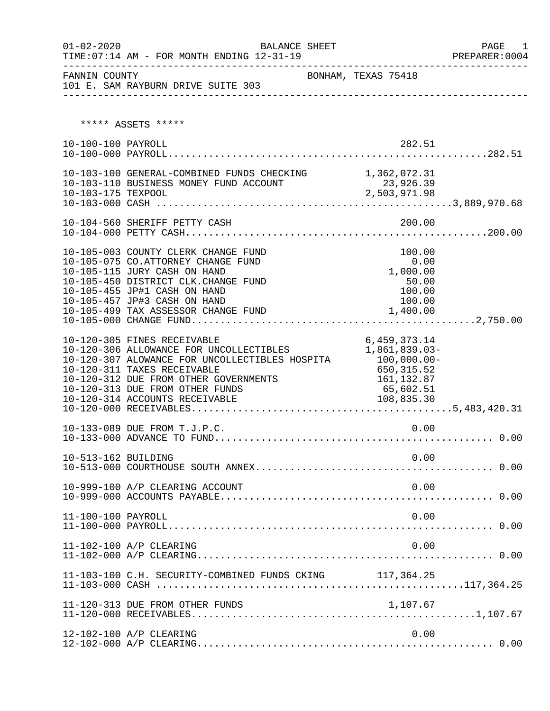| $01 - 02 - 2020$    | <b>BALANCE SHEET</b><br>TIME: 07:14 AM - FOR MONTH ENDING 12-31-19                                                                                                                                                                              |                                                                             | PAGE 1<br>PREPARER: 0004 |
|---------------------|-------------------------------------------------------------------------------------------------------------------------------------------------------------------------------------------------------------------------------------------------|-----------------------------------------------------------------------------|--------------------------|
| FANNIN COUNTY       | 101 E. SAM RAYBURN DRIVE SUITE 303                                                                                                                                                                                                              | BONHAM, TEXAS 75418                                                         |                          |
|                     | ***** ASSETS *****                                                                                                                                                                                                                              |                                                                             |                          |
| 10-100-100 PAYROLL  |                                                                                                                                                                                                                                                 | 282.51                                                                      |                          |
| 10-103-175 TEXPOOL  | 10-103-100 GENERAL-COMBINED FUNDS CHECKING 1,362,072.31<br>10-103-110 BUSINESS MONEY FUND ACCOUNT                                                                                                                                               | 23,926.39<br>2,503,971.98                                                   |                          |
|                     |                                                                                                                                                                                                                                                 |                                                                             |                          |
|                     | 10-105-003 COUNTY CLERK CHANGE FUND<br>10-105-075 CO.ATTORNEY CHANGE FUND<br>10-105-115 JURY CASH ON HAND<br>10-105-450 DISTRICT CLK.CHANGE FUND<br>10-105-455 JP#1 CASH ON HAND<br>10-105-457 JP#3 CASH ON HAND                                | 100.00<br>0.00<br>1,000.00<br>50.00<br>100.00<br>100.00                     |                          |
|                     | 10-120-305 FINES RECEIVABLE<br>10-120-306 ALLOWANCE FOR UNCOLLECTIBLES<br>10-120-307 ALOWANCE FOR UNCOLLECTIBLES HOSPITA 100,000.00-<br>10-120-311 TAXES RECEIVABLE<br>10-120-312 DUE FROM OTHER GOVERNMENTS<br>10-120-313 DUE FROM OTHER FUNDS | 6, 459, 373. 14<br>1,861,839.03-<br>650, 315.52<br>161, 132.87<br>65,602.51 |                          |
|                     | 10-133-089 DUE FROM T.J.P.C.                                                                                                                                                                                                                    | 0.00                                                                        |                          |
| 10-513-162 BUILDING |                                                                                                                                                                                                                                                 | 0.00                                                                        |                          |
|                     | 10-999-100 A/P CLEARING ACCOUNT                                                                                                                                                                                                                 | 0.00                                                                        |                          |
| 11-100-100 PAYROLL  |                                                                                                                                                                                                                                                 | 0.00                                                                        |                          |
|                     | 11-102-100 A/P CLEARING                                                                                                                                                                                                                         | 0.00                                                                        |                          |
|                     | 11-103-100 C.H. SECURITY-COMBINED FUNDS CKING 117,364.25                                                                                                                                                                                        |                                                                             |                          |
|                     | 11-120-313 DUE FROM OTHER FUNDS                                                                                                                                                                                                                 | 1,107.67                                                                    |                          |
|                     | 12-102-100 A/P CLEARING                                                                                                                                                                                                                         | 0.00                                                                        |                          |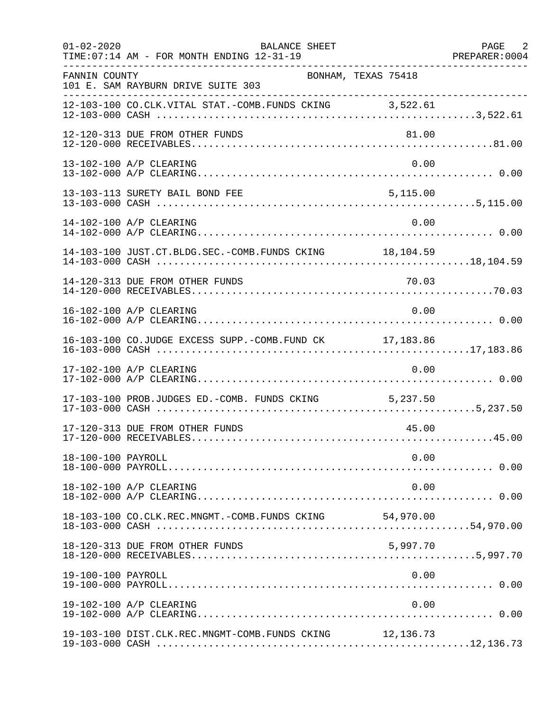| $01 - 02 - 2020$   | BALANCE SHEET<br>TIME: 07:14 AM - FOR MONTH ENDING 12-31-19<br>. _ _ _ _ _ _ _ _ _ _ _ _ _ _ _ _ |           | PAGE 2 |
|--------------------|--------------------------------------------------------------------------------------------------|-----------|--------|
| FANNIN COUNTY      | BONHAM, TEXAS 75418<br>101 E. SAM RAYBURN DRIVE SUITE 303                                        |           |        |
|                    | 12-103-100 CO.CLK.VITAL STAT.-COMB.FUNDS CKING 3,522.61                                          |           |        |
|                    | 12-120-313 DUE FROM OTHER FUNDS                                                                  | 81.00     |        |
|                    | 13-102-100 A/P CLEARING                                                                          | 0.00      |        |
|                    | 13-103-113 SURETY BAIL BOND FEE                                                                  | 5,115.00  |        |
|                    | 14-102-100 A/P CLEARING                                                                          | 0.00      |        |
|                    | 14-103-100 JUST.CT.BLDG.SEC.-COMB.FUNDS CKING 18, 104.59                                         |           |        |
|                    |                                                                                                  |           |        |
|                    | 16-102-100 A/P CLEARING                                                                          | 0.00      |        |
|                    | 16-103-100 CO.JUDGE EXCESS SUPP.-COMB.FUND CK 17,183.86                                          |           |        |
|                    | 17-102-100 A/P CLEARING                                                                          | 0.00      |        |
|                    | 17-103-100 PROB.JUDGES ED.-COMB. FUNDS CKING 5,237.50                                            |           |        |
|                    | 17-120-313 DUE FROM OTHER FUNDS                                                                  | 45.00     |        |
| 18-100-100 PAYROLL |                                                                                                  | 0.00      |        |
|                    | 18-102-100 A/P CLEARING                                                                          | 0.00      |        |
|                    | 18-103-100 CO.CLK.REC.MNGMT.-COMB.FUNDS CKING                                                    | 54,970.00 |        |
|                    | 18-120-313 DUE FROM OTHER FUNDS                                                                  | 5,997.70  |        |
| 19-100-100 PAYROLL |                                                                                                  | 0.00      |        |
|                    | 19-102-100 A/P CLEARING                                                                          | 0.00      |        |
|                    | 19-103-100 DIST.CLK.REC.MNGMT-COMB.FUNDS CKING                                                   | 12,136.73 |        |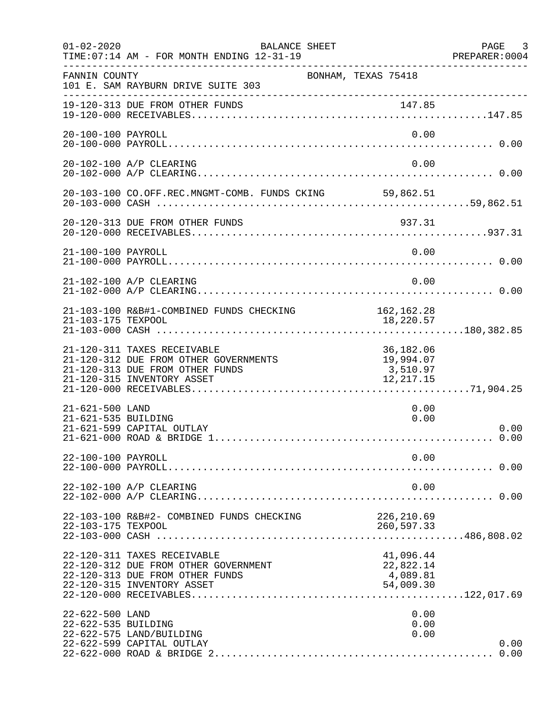| $01 - 02 - 2020$                       | BALANCE SHEET<br>TIME: 07:14 AM - FOR MONTH ENDING 12-31-19                                                                           |                                                 | PAGE 3<br>PREPARER: 0004 |
|----------------------------------------|---------------------------------------------------------------------------------------------------------------------------------------|-------------------------------------------------|--------------------------|
| FANNIN COUNTY                          | BONHAM, TEXAS 75418<br>101 E. SAM RAYBURN DRIVE SUITE 303                                                                             |                                                 |                          |
|                                        | 19-120-313 DUE FROM OTHER FUNDS                                                                                                       |                                                 |                          |
| 20-100-100 PAYROLL                     |                                                                                                                                       | 0.00                                            |                          |
|                                        | 20-102-100 A/P CLEARING                                                                                                               | 0.00                                            |                          |
|                                        | 20-103-100 CO.OFF.REC.MNGMT-COMB. FUNDS CKING 59,862.51                                                                               |                                                 |                          |
|                                        |                                                                                                                                       |                                                 |                          |
| 21-100-100 PAYROLL                     |                                                                                                                                       | 0.00                                            |                          |
|                                        | 21-102-100 A/P CLEARING                                                                                                               | 0.00                                            |                          |
| 21-103-175 TEXPOOL                     | 21-103-100 R&B#1-COMBINED FUNDS CHECKING 162,162.28                                                                                   | 18,220.57                                       |                          |
|                                        | 21-120-311 TAXES RECEIVABLE<br>21-120-312 DUE FROM OTHER GOVERNMENTS<br>21-120-313 DUE FROM OTHER FUNDS<br>21-120-315 INVENTORY ASSET | 36,182.06<br>19,994.07<br>3,510.97<br>12,217.15 |                          |
| 21-621-500 LAND<br>21-621-535 BUILDING | 21-621-599 CAPITAL OUTLAY                                                                                                             | 0.00<br>0.00                                    | 0.00<br>0.00             |
| 22-100-100 PAYROLL                     |                                                                                                                                       | 0.00                                            |                          |
|                                        | 22-102-100 A/P CLEARING                                                                                                               | 0.00                                            |                          |
| 22-103-175 TEXPOOL                     | 22-103-100 R&B#2- COMBINED FUNDS CHECKING                                                                                             | 226,210.69<br>260,597.33                        |                          |
|                                        | 22-120-311 TAXES RECEIVABLE<br>22-120-312 DUE FROM OTHER GOVERNMENT<br>22-120-313 DUE FROM OTHER FUNDS<br>22-120-315 INVENTORY ASSET  | 41,096.44<br>22,822.14<br>4,089.81<br>54,009.30 |                          |
| 22-622-500 LAND<br>22-622-535 BUILDING | 22-622-575 LAND/BUILDING<br>22-622-599 CAPITAL OUTLAY                                                                                 | 0.00<br>0.00<br>0.00                            | 0.00<br>0.00             |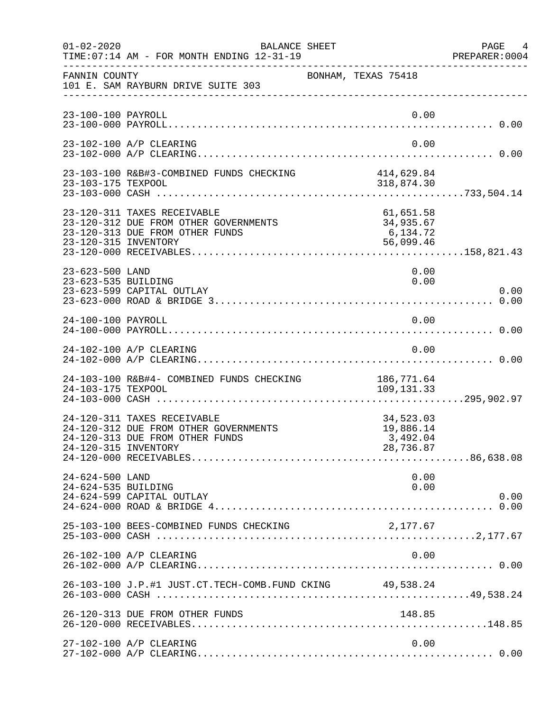| $01 - 02 - 2020$                       | BALANCE SHEET<br>TIME: 07:14 AM - FOR MONTH ENDING 12-31-19                                             |                                                 | PAGE<br>4<br>PREPARER: 0004 |
|----------------------------------------|---------------------------------------------------------------------------------------------------------|-------------------------------------------------|-----------------------------|
| FANNIN COUNTY                          | 101 E. SAM RAYBURN DRIVE SUITE 303                                                                      | BONHAM, TEXAS 75418                             |                             |
| 23-100-100 PAYROLL                     |                                                                                                         |                                                 | 0.00                        |
|                                        | 23-102-100 A/P CLEARING                                                                                 | 0.00                                            |                             |
| 23-103-175 TEXPOOL                     | 23-103-100 R&B#3-COMBINED FUNDS CHECKING                                                                | 414,629.84<br>318,874.30                        |                             |
| 23-120-315 INVENTORY                   | 23-120-311 TAXES RECEIVABLE<br>23-120-312 DUE FROM OTHER GOVERNMENTS<br>23-120-313 DUE FROM OTHER FUNDS | 61,651.58<br>34,935.67<br>6,134.72<br>56,099.46 |                             |
| 23-623-500 LAND<br>23-623-535 BUILDING | 23-623-599 CAPITAL OUTLAY                                                                               | 0.00<br>0.00                                    | 0.00                        |
| 24-100-100 PAYROLL                     |                                                                                                         | 0.00                                            |                             |
|                                        | 24-102-100 A/P CLEARING                                                                                 | 0.00                                            |                             |
| 24-103-175 TEXPOOL                     | 24-103-100 R&B#4- COMBINED FUNDS CHECKING                                                               | 186,771.64<br>109,131.33                        |                             |
| 24-120-315 INVENTORY                   | 24-120-311 TAXES RECEIVABLE<br>24-120-312 DUE FROM OTHER GOVERNMENTS<br>24-120-313 DUE FROM OTHER FUNDS | 34,523.03<br>19,886.14<br>3,492.04<br>28,736.87 |                             |
| 24-624-500 LAND<br>24-624-535 BUILDING | 24-624-599 CAPITAL OUTLAY                                                                               | 0.00<br>0.00                                    | 0.00                        |
|                                        | 25-103-100 BEES-COMBINED FUNDS CHECKING                                                                 | 2,177.67                                        |                             |
|                                        | 26-102-100 A/P CLEARING                                                                                 | 0.00                                            |                             |
|                                        | 26-103-100 J.P.#1 JUST.CT.TECH-COMB.FUND CKING 49,538.24                                                |                                                 |                             |
|                                        | 26-120-313 DUE FROM OTHER FUNDS                                                                         | 148.85                                          |                             |
|                                        | 27-102-100 A/P CLEARING                                                                                 |                                                 | 0.00                        |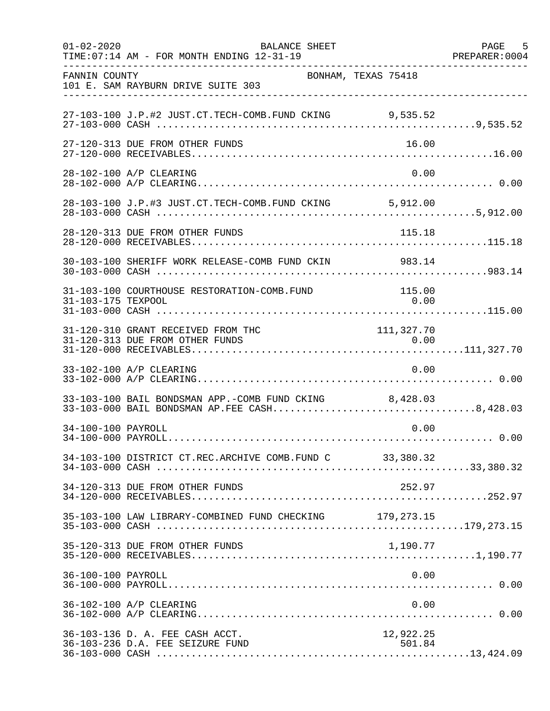| $01 - 02 - 2020$   | BALANCE SHEET<br>TIME: 07:14 AM - FOR MONTH ENDING 12-31-19                                            |                     | PAGE 5<br>PREPARER: 0004 |
|--------------------|--------------------------------------------------------------------------------------------------------|---------------------|--------------------------|
| FANNIN COUNTY      | 101 E. SAM RAYBURN DRIVE SUITE 303                                                                     | BONHAM, TEXAS 75418 |                          |
|                    | 27-103-100 J.P.#2 JUST.CT.TECH-COMB.FUND CKING 9,535.52                                                |                     |                          |
|                    | 27-120-313 DUE FROM OTHER FUNDS                                                                        | 16.00               |                          |
|                    | 28-102-100 A/P CLEARING                                                                                | 0.00                |                          |
|                    | 28-103-100 J.P.#3 JUST.CT.TECH-COMB.FUND CKING 5,912.00                                                |                     |                          |
|                    | 28-120-313 DUE FROM OTHER FUNDS                                                                        | 115.18              |                          |
|                    | 30-103-100 SHERIFF WORK RELEASE-COMB FUND CKIN 983.14                                                  |                     |                          |
| 31-103-175 TEXPOOL | 31-103-100 COURTHOUSE RESTORATION-COMB.FUND                                                            | 115.00<br>0.00      |                          |
|                    | 31-120-310 GRANT RECEIVED FROM THC<br>31-120-313 DUE FROM OTHER FUNDS                                  | 111, 327.70         |                          |
|                    | 33-102-100 A/P CLEARING                                                                                | 0.00                |                          |
|                    | 33-103-100 BAIL BONDSMAN APP.-COMB FUND CKING 8,428.03<br>33-103-000 BAIL BONDSMAN AP.FEE CASH8,428.03 |                     |                          |
| 34-100-100 PAYROLL |                                                                                                        | 0.00                |                          |
|                    | 34-103-100 DISTRICT CT.REC.ARCHIVE COMB. FUND C 33,380.32                                              |                     |                          |
|                    | 34-120-313 DUE FROM OTHER FUNDS                                                                        | 252.97              |                          |
|                    | 35-103-100 LAW LIBRARY-COMBINED FUND CHECKING 179, 273.15                                              |                     |                          |
|                    | 35-120-313 DUE FROM OTHER FUNDS                                                                        | 1,190.77            |                          |
| 36-100-100 PAYROLL |                                                                                                        | 0.00                |                          |
|                    | 36-102-100 A/P CLEARING                                                                                | 0.00                |                          |
|                    | 36-103-136 D. A. FEE CASH ACCT.<br>36-103-236 D.A. FEE SEIZURE FUND                                    | 12,922.25<br>501.84 |                          |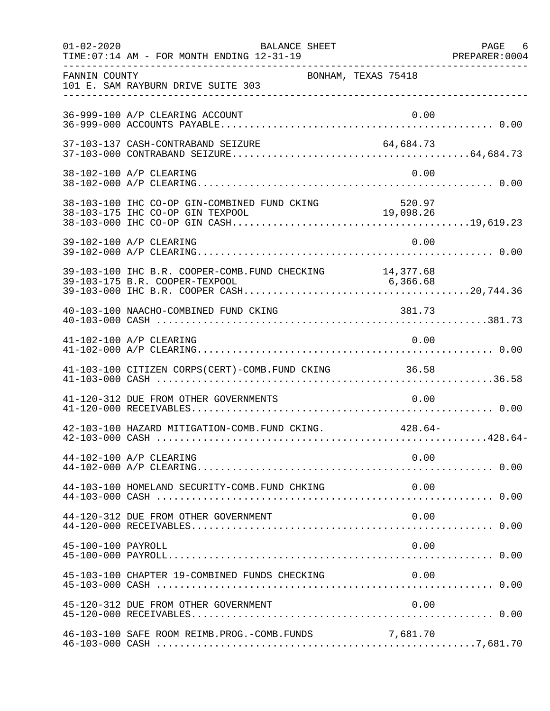| $01 - 02 - 2020$   | BALANCE SHEET<br>TIME: 07:14 AM - FOR MONTH ENDING 12-31-19 |           | PAGE 6 |
|--------------------|-------------------------------------------------------------|-----------|--------|
| FANNIN COUNTY      | BONHAM, TEXAS 75418<br>101 E. SAM RAYBURN DRIVE SUITE 303   |           |        |
|                    | 36-999-100 A/P CLEARING ACCOUNT                             | 0.00      |        |
|                    | 37-103-137 CASH-CONTRABAND SEIZURE                          | 64,684.73 |        |
|                    | 38-102-100 A/P CLEARING                                     | 0.00      |        |
|                    |                                                             |           |        |
|                    | 39-102-100 A/P CLEARING                                     | 0.00      |        |
|                    |                                                             |           |        |
|                    | 40-103-100 NAACHO-COMBINED FUND CKING                       | 381.73    |        |
|                    | 41-102-100 A/P CLEARING                                     | 0.00      |        |
|                    | 41-103-100 CITIZEN CORPS(CERT)-COMB.FUND CKING 36.58        |           |        |
|                    | 41-120-312 DUE FROM OTHER GOVERNMENTS                       | 0.00      |        |
|                    | 42-103-100 HAZARD MITIGATION-COMB. FUND CKING. 428.64-      |           |        |
|                    | 44-102-100 A/P CLEARING                                     | 0.00      |        |
|                    | 44-103-100 HOMELAND SECURITY-COMB. FUND CHKING              | 0.00      |        |
|                    | 44-120-312 DUE FROM OTHER GOVERNMENT                        | 0.00      |        |
| 45-100-100 PAYROLL |                                                             | 0.00      |        |
|                    | 45-103-100 CHAPTER 19-COMBINED FUNDS CHECKING               | 0.00      |        |
|                    | 45-120-312 DUE FROM OTHER GOVERNMENT                        | 0.00      |        |
|                    | 46-103-100 SAFE ROOM REIMB.PROG.-COMB.FUNDS                 | 7,681.70  |        |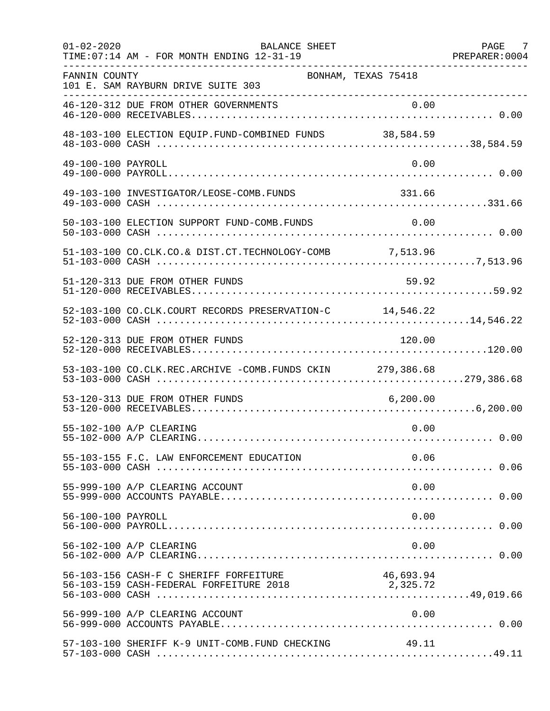| $01 - 02 - 2020$   | <b>BALANCE SHEET</b><br>TIME: 07:14 AM - FOR MONTH ENDING 12-31-19                         |           | PAGE 7<br>PREPARER: 0004 |
|--------------------|--------------------------------------------------------------------------------------------|-----------|--------------------------|
| FANNIN COUNTY      | BONHAM, TEXAS 75418<br>101 E. SAM RAYBURN DRIVE SUITE 303                                  |           |                          |
|                    | 46-120-312 DUE FROM OTHER GOVERNMENTS                                                      |           |                          |
|                    |                                                                                            |           |                          |
| 49-100-100 PAYROLL |                                                                                            | 0.00      |                          |
|                    | 49-103-100 INVESTIGATOR/LEOSE-COMB.FUNDS                                                   | 331.66    |                          |
|                    | 50-103-100 ELECTION SUPPORT FUND-COMB.FUNDS                                                | 0.00      |                          |
|                    | 51-103-100 CO.CLK.CO.& DIST.CT.TECHNOLOGY-COMB 7,513.96                                    |           |                          |
|                    | 51-120-313 DUE FROM OTHER FUNDS                                                            | 59.92     |                          |
|                    | 52-103-100 CO.CLK.COURT RECORDS PRESERVATION-C 14,546.22                                   |           |                          |
|                    | 52-120-313 DUE FROM OTHER FUNDS                                                            | 120.00    |                          |
|                    | 53-103-100 CO.CLK.REC.ARCHIVE -COMB.FUNDS CKIN 279,386.68                                  |           |                          |
|                    | 53-120-313 DUE FROM OTHER FUNDS                                                            | 6, 200.00 |                          |
|                    | 55-102-100 A/P CLEARING                                                                    | 0.00      |                          |
|                    | 55-103-155 F.C. LAW ENFORCEMENT EDUCATION                                                  | 0.06      |                          |
|                    | 55-999-100 A/P CLEARING ACCOUNT                                                            | 0.00      |                          |
| 56-100-100 PAYROLL |                                                                                            | 0.00      |                          |
|                    | 56-102-100 A/P CLEARING                                                                    | 0.00      |                          |
|                    | 56-103-156 CASH-F C SHERIFF FORFEITURE<br>56-103-159 CASH-FEDERAL FORFEITURE 2018 2,325.72 | 46,693.94 |                          |
|                    | 56-999-100 A/P CLEARING ACCOUNT                                                            | 0.00      |                          |
|                    | 57-103-100 SHERIFF K-9 UNIT-COMB.FUND CHECKING                                             | 49.11     |                          |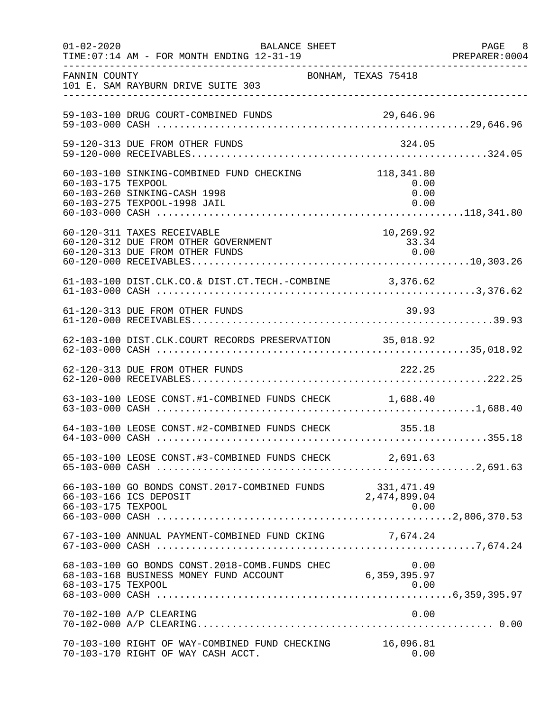| $01 - 02 - 2020$   | <b>BALANCE SHEET</b><br>TIME: 07:14 AM - FOR MONTH ENDING 12-31-19                                        |                                    | PAGE 8<br>PREPARER:0004 |
|--------------------|-----------------------------------------------------------------------------------------------------------|------------------------------------|-------------------------|
| FANNIN COUNTY      | 101 E. SAM RAYBURN DRIVE SUITE 303                                                                        | BONHAM, TEXAS 75418                |                         |
|                    | 59-103-100 DRUG COURT-COMBINED FUNDS                                                                      |                                    |                         |
|                    | 59-120-313 DUE FROM OTHER FUNDS                                                                           | 324.05                             |                         |
| 60-103-175 TEXPOOL | 60-103-100 SINKING-COMBINED FUND CHECKING<br>60-103-260 SINKING-CASH 1998<br>60-103-275 TEXPOOL-1998 JAIL | 118,341.80<br>0.00<br>0.00<br>0.00 |                         |
|                    | 60-120-311 TAXES RECEIVABLE<br>60-120-312 DUE FROM OTHER GOVERNMENT<br>60-120-313 DUE FROM OTHER FUNDS    | 10,269.92<br>33.34<br>0.00         |                         |
|                    | 61-103-100 DIST.CLK.CO.& DIST.CT.TECH.-COMBINE 3,376.62                                                   |                                    |                         |
|                    | 61-120-313 DUE FROM OTHER FUNDS                                                                           | 39.93                              |                         |
|                    | 62-103-100 DIST.CLK.COURT RECORDS PRESERVATION 35,018.92                                                  |                                    |                         |
|                    | 62-120-313 DUE FROM OTHER FUNDS                                                                           | 222.25                             |                         |
|                    | 63-103-100 LEOSE CONST.#1-COMBINED FUNDS CHECK 1,688.40                                                   |                                    |                         |
|                    | 64-103-100 LEOSE CONST.#2-COMBINED FUNDS CHECK 355.18                                                     |                                    |                         |
|                    | 65-103-100 LEOSE CONST.#3-COMBINED FUNDS CHECK 2,691.63                                                   |                                    |                         |
| 66-103-175 TEXPOOL | 66-103-100 GO BONDS CONST.2017-COMBINED FUNDS 331,471.49<br>66-103-166 TCS DEPOSIT 2,474,899.04           | 0.00                               |                         |
|                    | 67-103-100 ANNUAL PAYMENT-COMBINED FUND CKING 7,674.24                                                    |                                    |                         |
| 68-103-175 TEXPOOL | 68-103-100 GO BONDS CONST. 2018-COMB. FUNDS CHEC<br>68-103-168 BUSINESS MONEY FUND ACCOUNT                | 0.00<br>6,359,395.97<br>0.00       |                         |
|                    | 70-102-100 A/P CLEARING                                                                                   | 0.00                               |                         |
|                    | 70-103-100 RIGHT OF WAY-COMBINED FUND CHECKING<br>70-103-170 RIGHT OF WAY CASH ACCT.                      | 16,096.81<br>0.00                  |                         |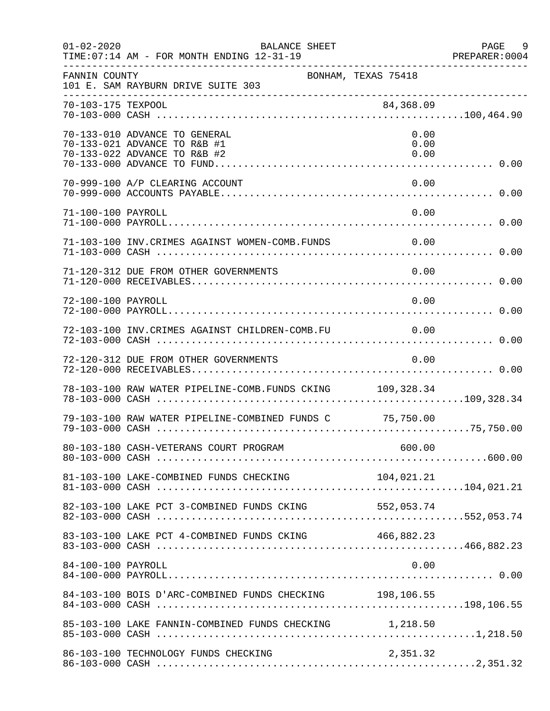| $01 - 02 - 2020$   | <b>BALANCE SHEET</b><br>TIME: 07:14 AM - FOR MONTH ENDING 12-31-19                            |                      | PAGE<br>9<br>PREPARER: 0004 |
|--------------------|-----------------------------------------------------------------------------------------------|----------------------|-----------------------------|
| FANNIN COUNTY      | BONHAM, TEXAS 75418<br>101 E. SAM RAYBURN DRIVE SUITE 303                                     |                      |                             |
| 70-103-175 TEXPOOL |                                                                                               | 84,368.09            |                             |
|                    | 70-133-010 ADVANCE TO GENERAL<br>70-133-021 ADVANCE TO R&B #1<br>70-133-022 ADVANCE TO R&B #2 | 0.00<br>0.00<br>0.00 |                             |
|                    | 70-999-100 A/P CLEARING ACCOUNT                                                               | 0.00                 |                             |
| 71-100-100 PAYROLL |                                                                                               | 0.00                 |                             |
|                    | 71-103-100 INV. CRIMES AGAINST WOMEN-COMB. FUNDS                                              | $\sim 0.00$          |                             |
|                    | 71-120-312 DUE FROM OTHER GOVERNMENTS                                                         | 0.00                 |                             |
| 72-100-100 PAYROLL |                                                                                               | 0.00                 |                             |
|                    | 72-103-100 INV.CRIMES AGAINST CHILDREN-COMB.FU                                                | 0.00                 |                             |
|                    | 72-120-312 DUE FROM OTHER GOVERNMENTS                                                         | 0.00                 |                             |
|                    | 78-103-100 RAW WATER PIPELINE-COMB. FUNDS CKING 109,328.34                                    |                      |                             |
|                    | 79-103-100 RAW WATER PIPELINE-COMBINED FUNDS C 75,750.00                                      |                      |                             |
|                    |                                                                                               |                      |                             |
|                    |                                                                                               |                      |                             |
|                    |                                                                                               |                      |                             |
|                    | 83-103-100 LAKE PCT 4-COMBINED FUNDS CKING 466,882.23                                         |                      |                             |
| 84-100-100 PAYROLL |                                                                                               | 0.00                 |                             |
|                    | 84-103-100 BOIS D'ARC-COMBINED FUNDS CHECKING 198,106.55                                      |                      |                             |
|                    | 85-103-100 LAKE FANNIN-COMBINED FUNDS CHECKING 1,218.50                                       |                      |                             |
|                    | 86-103-100 TECHNOLOGY FUNDS CHECKING                                                          | 2,351.32             |                             |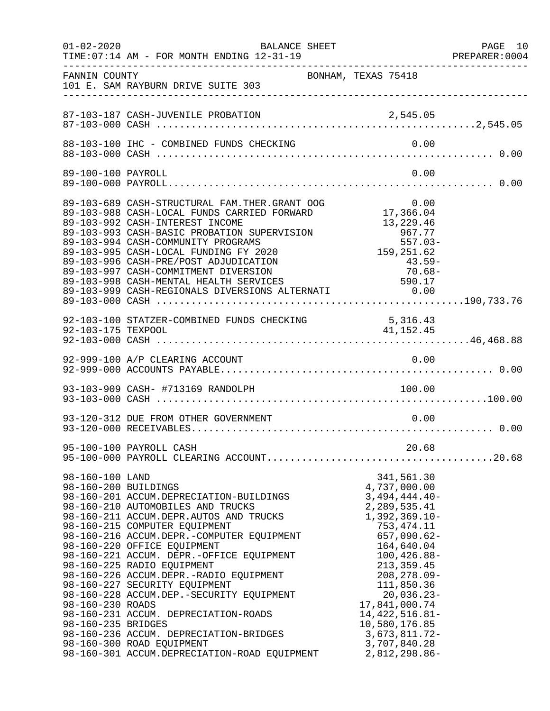| $01 - 02 - 2020$                                                                  | <b>BALANCE SHEET</b><br>TIME: 07:14 AM - FOR MONTH ENDING 12-31-19                                                                                                                                                                                                                                                                                                                                                                                                                                                                                                                                  |                                                                                                                                                                                                                                                                                                                           | PAGE 10<br>PREPARER:0004 |
|-----------------------------------------------------------------------------------|-----------------------------------------------------------------------------------------------------------------------------------------------------------------------------------------------------------------------------------------------------------------------------------------------------------------------------------------------------------------------------------------------------------------------------------------------------------------------------------------------------------------------------------------------------------------------------------------------------|---------------------------------------------------------------------------------------------------------------------------------------------------------------------------------------------------------------------------------------------------------------------------------------------------------------------------|--------------------------|
| FANNIN COUNTY                                                                     | BONHAM, TEXAS 75418<br>101 E. SAM RAYBURN DRIVE SUITE 303                                                                                                                                                                                                                                                                                                                                                                                                                                                                                                                                           |                                                                                                                                                                                                                                                                                                                           |                          |
|                                                                                   |                                                                                                                                                                                                                                                                                                                                                                                                                                                                                                                                                                                                     |                                                                                                                                                                                                                                                                                                                           |                          |
|                                                                                   |                                                                                                                                                                                                                                                                                                                                                                                                                                                                                                                                                                                                     |                                                                                                                                                                                                                                                                                                                           |                          |
| 89-100-100 PAYROLL                                                                |                                                                                                                                                                                                                                                                                                                                                                                                                                                                                                                                                                                                     | 0.00                                                                                                                                                                                                                                                                                                                      |                          |
|                                                                                   | 89-103-689 CASH-STRUCTURAL FAM.THER.GRANT OOG<br>89-103-988 CASH-LOCAL FUNDS CARRIED FORWARD<br>89-103-992 CASH-INTEREST INCOME<br>89-103-993 CASH-BASIC PROBATION SUPERVISION<br>89-103-994 CASH-COMMUNITY PROGRAMS<br>89-103-995 CASH-LOCAL FUNDING FY 2020<br>89-103-996 CASH-PRE/POST ADJUDICATION 43.59<br>89-103-997 CASH-COMMITMENT DIVERSION 70.68<br>89-103-998 CASH-MENTAL HEALTH SERVICES 590.17<br>89-103-999 CASH-REGIONALS DIVERSIONS ALTERNATI 0.00                                                                                                                                  | $0.00$<br>17,366.04<br>13,229.46<br>967.77<br>-557.03<br>159, 251.62<br>$\frac{43.59-}{7}$<br>$70.68 -$                                                                                                                                                                                                                   |                          |
|                                                                                   | 92-103-100 STATZER-COMBINED FUNDS CHECKING 5,316.43<br>92-103-175 TEXPOOL 41,152.45                                                                                                                                                                                                                                                                                                                                                                                                                                                                                                                 |                                                                                                                                                                                                                                                                                                                           |                          |
|                                                                                   | 92-999-100 A/P CLEARING ACCOUNT                                                                                                                                                                                                                                                                                                                                                                                                                                                                                                                                                                     | 0.00                                                                                                                                                                                                                                                                                                                      |                          |
|                                                                                   | 93-103-909 CASH- #713169 RANDOLPH                                                                                                                                                                                                                                                                                                                                                                                                                                                                                                                                                                   | 100.00                                                                                                                                                                                                                                                                                                                    |                          |
|                                                                                   | 93-120-312 DUE FROM OTHER GOVERNMENT                                                                                                                                                                                                                                                                                                                                                                                                                                                                                                                                                                | 0.00                                                                                                                                                                                                                                                                                                                      |                          |
|                                                                                   | 95-100-100 PAYROLL CASH                                                                                                                                                                                                                                                                                                                                                                                                                                                                                                                                                                             | 20.68                                                                                                                                                                                                                                                                                                                     |                          |
| 98-160-100 LAND<br>98-160-200 BUILDINGS<br>98-160-230 ROADS<br>98-160-235 BRIDGES | 98-160-201 ACCUM.DEPRECIATION-BUILDINGS<br>98-160-210 AUTOMOBILES AND TRUCKS<br>98-160-211 ACCUM.DEPR.AUTOS AND TRUCKS<br>98-160-215 COMPUTER EQUIPMENT<br>98-160-216 ACCUM.DEPR.-COMPUTER EQUIPMENT<br>98-160-220 OFFICE EQUIPMENT<br>98-160-221 ACCUM. DEPR.-OFFICE EQUIPMENT<br>98-160-225 RADIO EQUIPMENT<br>98-160-226 ACCUM.DEPR.-RADIO EQUIPMENT<br>98-160-227 SECURITY EQUIPMENT<br>98-160-228 ACCUM.DEP.-SECURITY EQUIPMENT<br>98-160-231 ACCUM. DEPRECIATION-ROADS<br>98-160-236 ACCUM. DEPRECIATION-BRIDGES<br>98-160-300 ROAD EQUIPMENT<br>98-160-301 ACCUM.DEPRECIATION-ROAD EQUIPMENT | 341,561.30<br>4,737,000.00<br>$3,494,444.40-$<br>2,289,535.41<br>$1,392,369.10-$<br>753, 474.11<br>$657,090.62-$<br>164,640.04<br>$100, 426.88 -$<br>213, 359.45<br>$208, 278.09 -$<br>111,850.36<br>20,036.23-<br>17,841,000.74<br>14, 422, 516.81-<br>10,580,176.85<br>$3,673,811.72-$<br>3,707,840.28<br>2,812,298.86- |                          |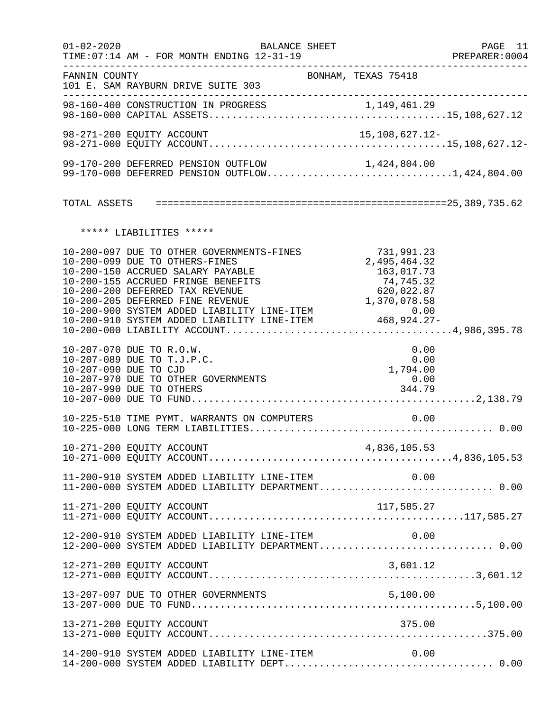| $01 - 02 - 2020$      | <b>BALANCE SHEET</b><br>TIME: 07:14 AM - FOR MONTH ENDING 12-31-19                                                                                                                        |                                                                     | PAGE 11<br>PREPARER:0004 |
|-----------------------|-------------------------------------------------------------------------------------------------------------------------------------------------------------------------------------------|---------------------------------------------------------------------|--------------------------|
| FANNIN COUNTY         | 101 E. SAM RAYBURN DRIVE SUITE 303                                                                                                                                                        | BONHAM, TEXAS 75418                                                 |                          |
|                       |                                                                                                                                                                                           |                                                                     |                          |
|                       | 98-271-200 EQUITY ACCOUNT                                                                                                                                                                 | 15,108,627.12-                                                      |                          |
|                       | 99-170-200 DEFERRED PENSION OUTFLOW<br>99-170-200 DEFERRED PENSION OUTFLOW 1,424,804.00<br>99-170-000 DEFERRED PENSION OUTFLOW1,424,804.00                                                |                                                                     |                          |
|                       |                                                                                                                                                                                           |                                                                     |                          |
|                       | ***** LIABILITIES *****                                                                                                                                                                   |                                                                     |                          |
|                       | 10-200-097 DUE TO OTHER GOVERNMENTS-FINES<br>10-200-099 DUE TO OTHERS-FINES<br>10-200-150 ACCRUED SALARY PAYABLE<br>10-200-155 ACCRUED FRINGE BENEFITS<br>10-200-200 DEFERRED TAX REVENUE | 731,991.23<br>2,495,464.32<br>163,017.73<br>74,745.32<br>620,022.87 |                          |
| 10-207-090 DUE TO CJD | 10-207-070 DUE TO R.O.W.<br>10-207-089 DUE TO T.J.P.C.<br>10-207-970 DUE TO OTHER GOVERNMENTS<br>10-207-990 DUE TO OTHERS                                                                 | 0.00<br>0.00<br>1,794.00<br>0.00<br>344.79                          |                          |
|                       | 10-225-510 TIME PYMT. WARRANTS ON COMPUTERS                                                                                                                                               | 0.00                                                                |                          |
|                       |                                                                                                                                                                                           |                                                                     |                          |
|                       | 11-200-910 SYSTEM ADDED LIABILITY LINE-ITEM $0.00$<br>11-200-000 SYSTEM ADDED LIABILITY DEPARTMENT0.00                                                                                    |                                                                     |                          |
|                       | 11-271-200 EQUITY ACCOUNT                                                                                                                                                                 |                                                                     |                          |
|                       | 12-200-910 SYSTEM ADDED LIABILITY LINE-ITEM<br>12-200-000 SYSTEM ADDED LIABILITY DEPARTMENT 0.00                                                                                          | 0.00                                                                |                          |
|                       | 12-271-200 EQUITY ACCOUNT                                                                                                                                                                 | 3,601.12                                                            |                          |
|                       | 13-207-097 DUE TO OTHER GOVERNMENTS                                                                                                                                                       |                                                                     |                          |
|                       | 13-271-200 EQUITY ACCOUNT                                                                                                                                                                 | 375.00                                                              |                          |
|                       | 14-200-910 SYSTEM ADDED LIABILITY LINE-ITEM                                                                                                                                               | 0.00                                                                |                          |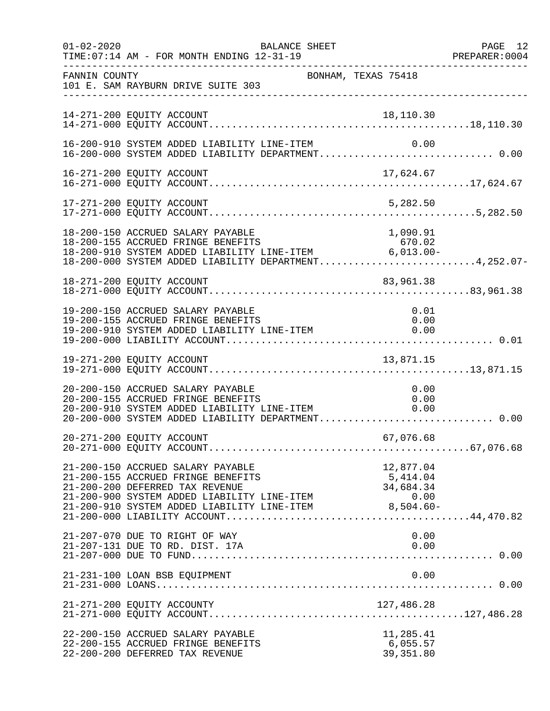| $01 - 02 - 2020$ | TIME: 07:14 AM - FOR MONTH ENDING 12-31-19                                                                                                                   | BALANCE SHEET                                                                                                                                                    | PAGE 12<br>PREPARER:0004 |
|------------------|--------------------------------------------------------------------------------------------------------------------------------------------------------------|------------------------------------------------------------------------------------------------------------------------------------------------------------------|--------------------------|
| FANNIN COUNTY    | 101 E. SAM RAYBURN DRIVE SUITE 303<br>-----------------------------                                                                                          | BONHAM, TEXAS 75418                                                                                                                                              |                          |
|                  | 14-271-200 EQUITY ACCOUNT                                                                                                                                    | 18,110.30                                                                                                                                                        |                          |
|                  | 16-200-910 SYSTEM ADDED LIABILITY LINE-ITEM                                                                                                                  |                                                                                                                                                                  | 0.00                     |
|                  |                                                                                                                                                              |                                                                                                                                                                  |                          |
|                  | 17-271-200 EQUITY ACCOUNT                                                                                                                                    | 5,282.50                                                                                                                                                         |                          |
|                  | 18-200-150 ACCRUED SALARY PAYABLE                                                                                                                            | 1,090.91<br>18-200-155 ACCRUED FRINGE BENEFITS<br>18-200-910 SYSTEM ADDED LIABILITY LINE-ITEM 6,013.00-<br>18-200-000 SYSTEM ADDED LIABILITY DEPARTMENT4,252.07- |                          |
|                  | 18-271-200 EQUITY ACCOUNT                                                                                                                                    | 83,961.38                                                                                                                                                        |                          |
|                  | 19-200-150 ACCRUED SALARY PAYABLE<br>19-200-155 ACCRUED FRINGE BENEFITS<br>19-200-910 SYSTEM ADDED LIABILITY LINE-ITEM                                       | 0.00                                                                                                                                                             | 0.01<br>0.00             |
|                  | 19-271-200 EQUITY ACCOUNT                                                                                                                                    | 13,871.15                                                                                                                                                        |                          |
|                  | 20-200-150 ACCRUED SALARY PAYABLE<br>20-200-155 ACCRUED FRINGE BENEFITS<br>20-200-155 ACCRUED FRINGE BENEFITS<br>20-200-910 SYSTEM ADDED LIABILITY LINE-ITEM | 0.00<br>20-200-000 SYSTEM ADDED LIABILITY DEPARTMENT 0.00                                                                                                        | 0.00<br>0.00             |
|                  | 20-271-200 EQUITY ACCOUNT                                                                                                                                    | 67,076.68                                                                                                                                                        |                          |
|                  | 21-200-150 ACCRUED SALARY PAYABLE<br>21-200-155 ACCRUED FRINGE BENEFITS<br>21-200-200 DEFERRED TAX REVENUE<br>21-200-900 SYSTEM ADDED LIABILITY LINE-ITEM    | 12,877.04<br>5,414.04<br>34,684.34<br>0.00<br>21-200-910 SYSTEM ADDED LIABILITY LINE-ITEM 8,504.60-                                                              |                          |
|                  | 21-207-070 DUE TO RIGHT OF WAY<br>21-207-131 DUE TO RD. DIST. 17A                                                                                            |                                                                                                                                                                  | 0.00<br>0.00             |
|                  | 21-231-100 LOAN BSB EQUIPMENT                                                                                                                                |                                                                                                                                                                  | 0.00                     |
|                  |                                                                                                                                                              |                                                                                                                                                                  |                          |
|                  | 22-200-150 ACCRUED SALARY PAYABLE<br>22-200-155 ACCRUED FRINGE BENEFITS<br>22-200-200 DEFERRED TAX REVENUE                                                   | 11,285.41<br>6,055.57<br>39, 351.80                                                                                                                              |                          |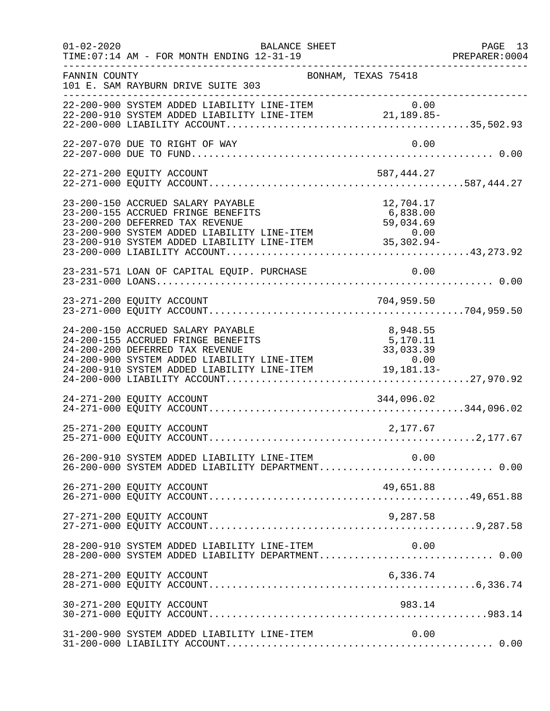| $01 - 02 - 2020$ | BALANCE SHEET<br>TIME: 07:14 AM - FOR MONTH ENDING 12-31-19                                                                                                                                                                                                                   |                                   | PAGE 13<br>PREPARER: 0004<br>--------------------- |
|------------------|-------------------------------------------------------------------------------------------------------------------------------------------------------------------------------------------------------------------------------------------------------------------------------|-----------------------------------|----------------------------------------------------|
| FANNIN COUNTY    | BONHAM, TEXAS 75418<br>101 E. SAM RAYBURN DRIVE SUITE 303                                                                                                                                                                                                                     |                                   |                                                    |
|                  | 22-200-900 SYSTEM ADDED LIABILITY LINE-ITEM $0.00$<br>22-200-910 SYSTEM ADDED LIABILITY LINE-ITEM 21,189.85-                                                                                                                                                                  |                                   |                                                    |
|                  | 22-207-070 DUE TO RIGHT OF WAY                                                                                                                                                                                                                                                | 0.00                              |                                                    |
|                  | 22-271-200 EQUITY ACCOUNT                                                                                                                                                                                                                                                     | 587,444.27                        |                                                    |
|                  | 23-200-150 ACCRUED SALARY PAYABLE<br>23-200-155 ACCRUED FRINGE BENEFITS<br>23-200-200 DEFERRED TAX REVENUE<br>23-200-900 SYSTEM ADDED LIABILITY LINE-ITEM<br>23-200-910 SYSTEM ADDED LIABILITY LINE-ITEM<br>23-200-910 SYSTEM ADDED LIABILITY LINE-ITEM<br>23-200-000 LIABILI | 12,704.17                         |                                                    |
|                  | 23-231-571 LOAN OF CAPITAL EQUIP. PURCHASE                                                                                                                                                                                                                                    | 0.00                              |                                                    |
|                  |                                                                                                                                                                                                                                                                               |                                   |                                                    |
|                  | 24-200-150 ACCRUED SALARY PAYABLE<br>24-200-155 ACCRUED FRINGE BENEFITS<br>24-200-200 DEFERRED TAX REVENUE<br>24-200-900 SYSTEM ADDED LIABILITY LINE-ITEM<br>$24-200-900$ SYSTEM ADDED LIABILITY LINE-ITEM $0.00$<br>24-200-910 SYSTEM ADDED LIABILITY LINE-ITEM $19,181.13-$ | 8,948.55<br>5,170.11<br>33,033.39 |                                                    |
|                  | 24-271-200 EQUITY ACCOUNT                                                                                                                                                                                                                                                     | 344,096.02                        |                                                    |
|                  | 25-271-200 EQUITY ACCOUNT                                                                                                                                                                                                                                                     | 2,177.67                          |                                                    |
|                  | 26-200-910 SYSTEM ADDED LIABILITY LINE-ITEM<br>26-200-000 SYSTEM ADDED LIABILITY DEPARTMENT 0.00                                                                                                                                                                              | 0.00                              |                                                    |
|                  | 26-271-200 EQUITY ACCOUNT                                                                                                                                                                                                                                                     | 49,651.88                         |                                                    |
|                  |                                                                                                                                                                                                                                                                               |                                   |                                                    |
|                  | 28-200-910 SYSTEM ADDED LIABILITY LINE-ITEM<br>28-200-000 SYSTEM ADDED LIABILITY DEPARTMENT 0.00                                                                                                                                                                              | 0.00                              |                                                    |
|                  | 28-271-200 EQUITY ACCOUNT                                                                                                                                                                                                                                                     | 6,336.74                          |                                                    |
|                  | 30-271-200 EQUITY ACCOUNT                                                                                                                                                                                                                                                     | 983.14                            |                                                    |
|                  | 31-200-900 SYSTEM ADDED LIABILITY LINE-ITEM                                                                                                                                                                                                                                   | 0.00                              |                                                    |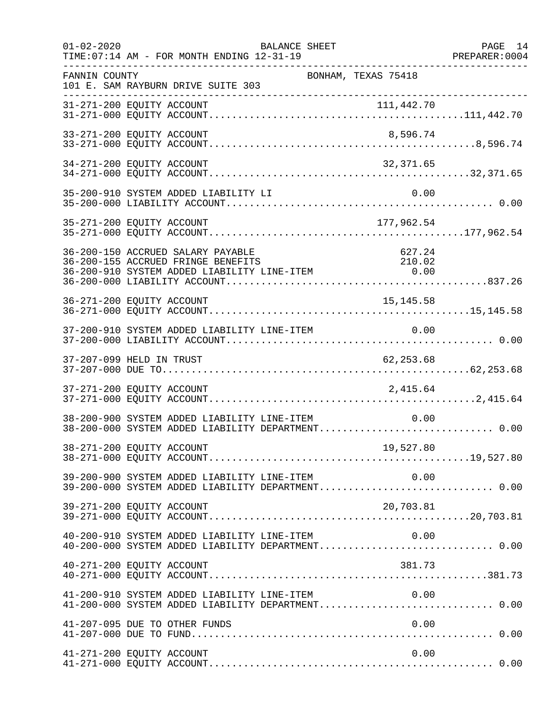| $01 - 02 - 2020$ | TIME: 07:14 AM - FOR MONTH ENDING 12-31-19                                                                                                                        | <b>BALANCE SHEET</b> |                     | PAGE 14<br>PREPARER: 0004 |
|------------------|-------------------------------------------------------------------------------------------------------------------------------------------------------------------|----------------------|---------------------|---------------------------|
| FANNIN COUNTY    | 101 E. SAM RAYBURN DRIVE SUITE 303                                                                                                                                |                      | BONHAM, TEXAS 75418 |                           |
|                  |                                                                                                                                                                   |                      |                     |                           |
|                  | 33-271-200 EQUITY ACCOUNT                                                                                                                                         |                      | 8,596.74            |                           |
|                  | 34-271-200 EQUITY ACCOUNT                                                                                                                                         |                      | 32,371.65           |                           |
|                  | 35-200-910 SYSTEM ADDED LIABILITY LI                                                                                                                              |                      | 0.00                |                           |
|                  | 35-271-200 EQUITY ACCOUNT                                                                                                                                         |                      | 177,962.54          |                           |
|                  | 36-200-150 ACCRUED SALARY PAYABLE<br>36-200-155 ACCRUED FRINGE BENEFITS<br>36-200-155 ACCROED FRINGE BENEFITS<br>36-200-910 SYSTEM ADDED LIABILITY LINE-ITEM 6.00 |                      | 627.24<br>210.02    |                           |
|                  | 36-271-200 EQUITY ACCOUNT                                                                                                                                         |                      | 15, 145.58          |                           |
|                  | 37-200-910 SYSTEM ADDED LIABILITY LINE-ITEM                                                                                                                       |                      | 0.00                |                           |
|                  | 37-207-099 HELD IN TRUST                                                                                                                                          |                      | 62, 253.68          |                           |
|                  | 37-271-200 EQUITY ACCOUNT                                                                                                                                         |                      | 2,415.64            |                           |
|                  | 38-200-900 SYSTEM ADDED LIABILITY LINE-ITEM<br>38-200-000 SYSTEM ADDED LIABILITY DEPARTMENT 0.00                                                                  |                      | 0.00                |                           |
|                  | 38-271-200 EQUITY ACCOUNT<br>19,527.80    19,527.80    19,527.80    19,527.80    19,527.80    19,527.80    19,527.80    19,527.80                                 |                      | 19,527.80           |                           |
|                  | 39-200-900 SYSTEM ADDED LIABILITY LINE-ITEM 0.00<br>39-200-000 SYSTEM ADDED LIABILITY DEPARTMENT 0.00                                                             |                      |                     |                           |
|                  | 39-271-200 EQUITY ACCOUNT                                                                                                                                         |                      | 20,703.81           |                           |
|                  | 40-200-910 SYSTEM ADDED LIABILITY LINE-ITEM<br>40-200-000 SYSTEM ADDED LIABILITY DEPARTMENT 0.00                                                                  |                      | 0.00                |                           |
|                  | 40-271-200 EQUITY ACCOUNT                                                                                                                                         |                      | 381.73              |                           |
|                  | 41-200-910 SYSTEM ADDED LIABILITY LINE-ITEM $0.00$<br>41-200-000 SYSTEM ADDED LIABILITY DEPARTMENT0.00                                                            |                      |                     |                           |
|                  | 41-207-095 DUE TO OTHER FUNDS                                                                                                                                     |                      | 0.00                |                           |
|                  | 41-271-200 EQUITY ACCOUNT                                                                                                                                         |                      | 0.00                |                           |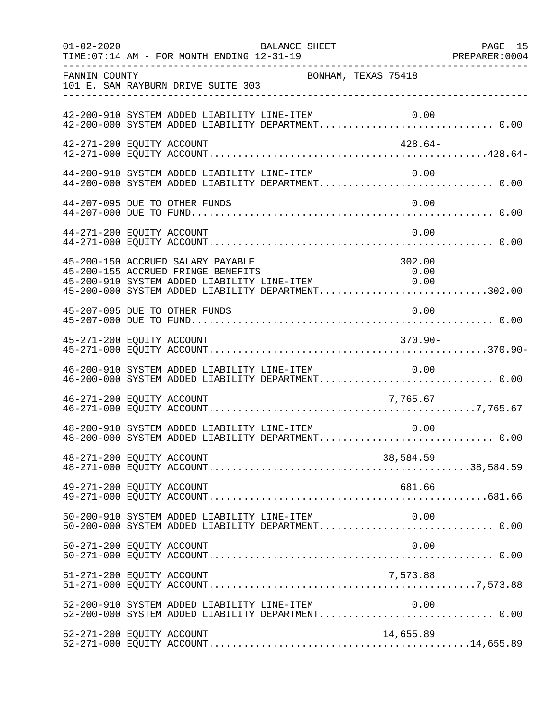| $01 - 02 - 2020$          | TIME: 07:14 AM - FOR MONTH ENDING 12-31-19  | BALANCE SHEET                               |                                                                                                                                                                                                                                                                                      | PAGE 15<br>PREPARER: 0004 |
|---------------------------|---------------------------------------------|---------------------------------------------|--------------------------------------------------------------------------------------------------------------------------------------------------------------------------------------------------------------------------------------------------------------------------------------|---------------------------|
| FANNIN COUNTY             | 101 E. SAM RAYBURN DRIVE SUITE 303          | BONHAM, TEXAS 75418                         |                                                                                                                                                                                                                                                                                      |                           |
|                           |                                             |                                             | 42-200-910 SYSTEM ADDED LIABILITY LINE-ITEM 0.00<br>42-200-000 SYSTEM ADDED LIABILITY DEPARTMENT 0.00                                                                                                                                                                                |                           |
| 42-271-200 EQUITY ACCOUNT |                                             |                                             | 428.64-                                                                                                                                                                                                                                                                              |                           |
|                           |                                             | 44-200-910 SYSTEM ADDED LIABILITY LINE-ITEM | 0.00<br>44-200-000 SYSTEM ADDED LIABILITY DEPARTMENT 0.00                                                                                                                                                                                                                            |                           |
|                           | 44-207-095 DUE TO OTHER FUNDS               |                                             | 0.00                                                                                                                                                                                                                                                                                 |                           |
| 44-271-200 EQUITY ACCOUNT |                                             |                                             | 0.00                                                                                                                                                                                                                                                                                 |                           |
|                           | 45-200-150 ACCRUED SALARY PAYABLE           |                                             | 302.00<br>45-200-155 ACCRUED FRINGE BENEFITS 0.00<br>45-200-910 SYSTEM ADDED LIABILITY LINE-ITEM 0.00<br>45-200-000 SYSTEM ADDED LIABILITY DEPARTMENT302.00                                                                                                                          |                           |
|                           | 45-207-095 DUE TO OTHER FUNDS               |                                             | 0.00                                                                                                                                                                                                                                                                                 |                           |
| 45-271-200 EQUITY ACCOUNT |                                             |                                             | $370.90 -$                                                                                                                                                                                                                                                                           |                           |
|                           | 46-200-910 SYSTEM ADDED LIABILITY LINE-ITEM |                                             | 0.00                                                                                                                                                                                                                                                                                 |                           |
| 46-271-200 EQUITY ACCOUNT |                                             |                                             | 7,765.67                                                                                                                                                                                                                                                                             |                           |
|                           |                                             |                                             | $\begin{array}{ll}48-200-910 & \text{SYSTEM} & \text{ADDED} & \text{LIABILITY} & \text{LINE-ITEM} & 0.00 \\ 48-200-000 & \text{SYSTEM} & \text{ADDED} & \text{LIABILITY} & \text{DEPARTMENT}.\dots\dots\dots\dots\dots\dots\dots\dots\dots\dots\dots \end{array} \label{eq:200-910}$ |                           |
| 48-271-200 EQUITY ACCOUNT |                                             |                                             | 38,584.59                                                                                                                                                                                                                                                                            |                           |
| 49-271-200 EQUITY ACCOUNT |                                             |                                             | 681.66                                                                                                                                                                                                                                                                               |                           |
|                           | 50-200-910 SYSTEM ADDED LIABILITY LINE-ITEM |                                             | 0.00<br>50-200-000 SYSTEM ADDED LIABILITY DEPARTMENT 0.00                                                                                                                                                                                                                            |                           |
| 50-271-200 EQUITY ACCOUNT |                                             |                                             | 0.00                                                                                                                                                                                                                                                                                 |                           |
| 51-271-200 EQUITY ACCOUNT |                                             |                                             | 7,573.88                                                                                                                                                                                                                                                                             |                           |
|                           |                                             | 52-200-910 SYSTEM ADDED LIABILITY LINE-ITEM | 0.00                                                                                                                                                                                                                                                                                 |                           |
| 52-271-200 EQUITY ACCOUNT |                                             |                                             | 14,655.89                                                                                                                                                                                                                                                                            |                           |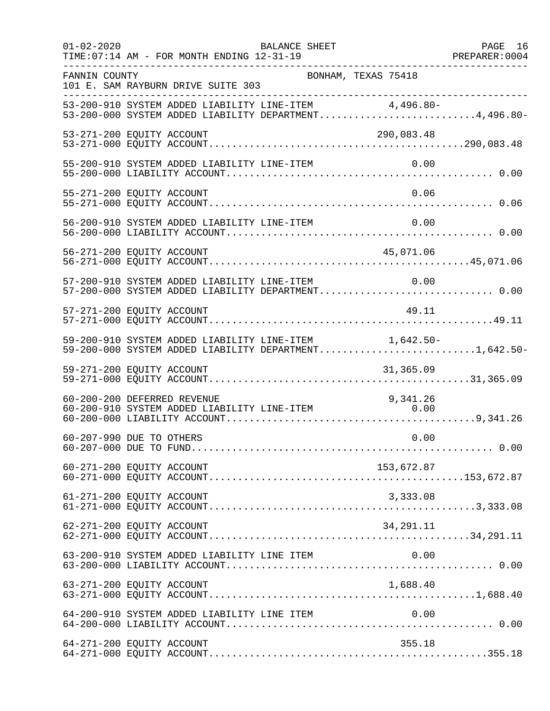| $01 - 02 - 2020$ | <b>BALANCE SHEET</b><br>TIME: 07:14 AM - FOR MONTH ENDING 12-31-19                                             | PAGE 16 |
|------------------|----------------------------------------------------------------------------------------------------------------|---------|
| FANNIN COUNTY    | BONHAM, TEXAS 75418<br>101 E. SAM RAYBURN DRIVE SUITE 303                                                      |         |
|                  | 53-200-910 SYSTEM ADDED LIABILITY LINE-ITEM 4,496.80-<br>53-200-000 SYSTEM ADDED LIABILITY DEPARTMENT4,496.80- |         |
|                  | 53-271-200 EQUITY ACCOUNT<br>290,083.48                                                                        |         |
|                  | 55-200-910 SYSTEM ADDED LIABILITY LINE-ITEM<br>0.00                                                            |         |
|                  | 0.06<br>55-271-200 EQUITY ACCOUNT                                                                              |         |
|                  | 56-200-910 SYSTEM ADDED LIABILITY LINE-ITEM<br>0.00                                                            |         |
|                  | 56-271-200 EQUITY ACCOUNT<br>45,071.06                                                                         |         |
|                  | 57-200-910 SYSTEM ADDED LIABILITY LINE-ITEM<br>0.00<br>57-200-000 SYSTEM ADDED LIABILITY DEPARTMENT 0.00       |         |
|                  | 49.11<br>57-271-200 EQUITY ACCOUNT                                                                             |         |
|                  | 59-200-910 SYSTEM ADDED LIABILITY LINE-ITEM 1,642.50-<br>59-200-000 SYSTEM ADDED LIABILITY DEPARTMENT1,642.50- |         |
|                  | 59-271-200 EQUITY ACCOUNT<br>31,365.09                                                                         |         |
|                  | 60-200-200 DEFERRED REVENUE<br>9,341.26<br>60-200-910 SYSTEM ADDED LIABILITY LINE-ITEM<br>0.00                 |         |
|                  | 0.00<br>60-207-990 DUE TO OTHERS                                                                               |         |
|                  | 153,672.87<br>60-271-200 EQUITY ACCOUNT                                                                        |         |
|                  | 61-271-200 EQUITY ACCOUNT<br>3,333.08                                                                          |         |
|                  | 62-271-200 EQUITY ACCOUNT<br>34,291.11                                                                         |         |
|                  | 63-200-910 SYSTEM ADDED LIABILITY LINE ITEM<br>0.00                                                            |         |
|                  | 1,688.40<br>63-271-200 EQUITY ACCOUNT                                                                          |         |
|                  | 64-200-910 SYSTEM ADDED LIABILITY LINE ITEM<br>0.00                                                            |         |
|                  | 64-271-200 EQUITY ACCOUNT<br>355.18                                                                            |         |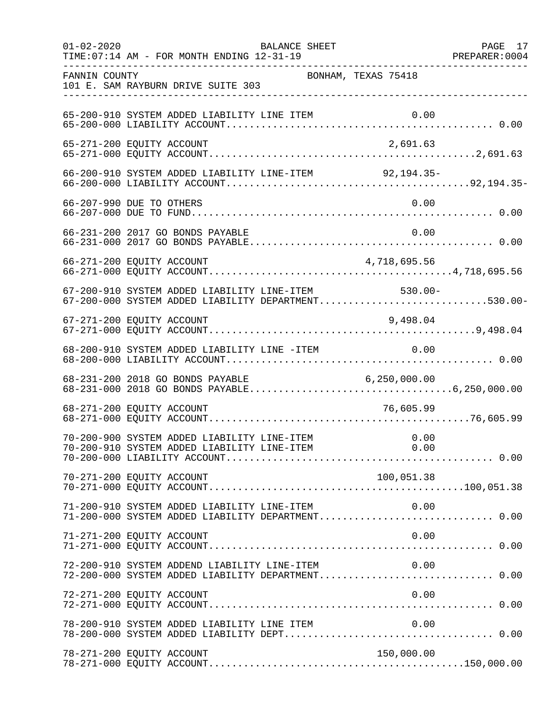| $01 - 02 - 2020$ | BALANCE SHEET<br>TIME: 07:14 AM - FOR MONTH ENDING 12-31-19                                        |                     | PAGE 17 |
|------------------|----------------------------------------------------------------------------------------------------|---------------------|---------|
| FANNIN COUNTY    | 101 E. SAM RAYBURN DRIVE SUITE 303                                                                 | BONHAM, TEXAS 75418 |         |
|                  | 65-200-910 SYSTEM ADDED LIABILITY LINE ITEM                                                        |                     |         |
|                  | 65-271-200 EQUITY ACCOUNT                                                                          | 2,691.63            |         |
|                  | 66-200-910 SYSTEM ADDED LIABILITY LINE-ITEM 92,194.35-                                             |                     |         |
|                  | 66-207-990 DUE TO OTHERS                                                                           | 0.00                |         |
|                  | 66-231-200 2017 GO BONDS PAYABLE                                                                   | 0.00                |         |
|                  |                                                                                                    |                     |         |
|                  | 67-200-910 SYSTEM ADDED LIABILITY LINE-ITEM<br>67-200-000 SYSTEM ADDED LIABILITY DEPARTMENT530.00- | $530.00 -$          |         |
|                  | 67-271-200 EQUITY ACCOUNT                                                                          | 9,498.04            |         |
|                  | 68-200-910 SYSTEM ADDED LIABILITY LINE -ITEM 0.00                                                  |                     |         |
|                  |                                                                                                    |                     |         |
|                  | 68-271-200 EQUITY ACCOUNT                                                                          | 76,605.99           |         |
|                  |                                                                                                    |                     |         |
|                  | 70-271-200 EQUITY ACCOUNT                                                                          | 100,051.38          |         |
|                  | 71-200-910 SYSTEM ADDED LIABILITY LINE-ITEM<br>71-200-000 SYSTEM ADDED LIABILITY DEPARTMENT 0.00   | 0.00                |         |
|                  | 71-271-200 EQUITY ACCOUNT                                                                          | 0.00                |         |
|                  | 72-200-910 SYSTEM ADDEND LIABILITY LINE-ITEM<br>72-200-000 SYSTEM ADDED LIABILITY DEPARTMENT 0.00  | 0.00                |         |
|                  | 72-271-200 EQUITY ACCOUNT                                                                          | 0.00                |         |
|                  | 78-200-910 SYSTEM ADDED LIABILITY LINE ITEM                                                        | 0.00                |         |
|                  | 78-271-200 EQUITY ACCOUNT                                                                          | 150,000.00          |         |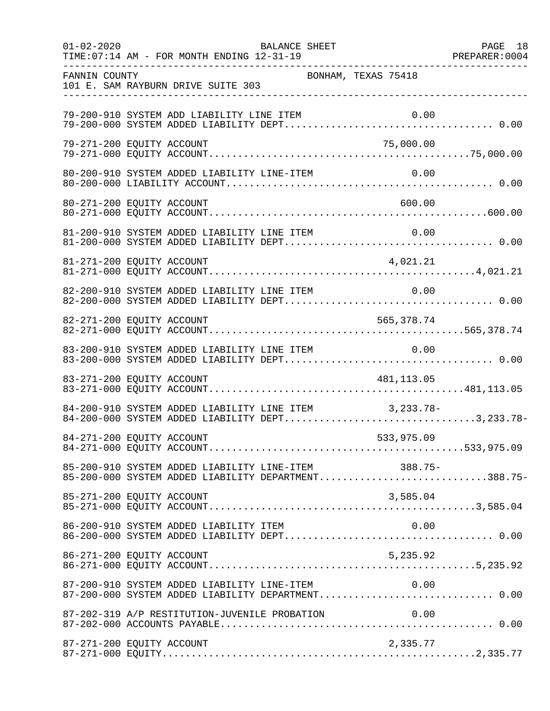| $01 - 02 - 2020$ | BALANCE SHEET<br>TIME: 07:14 AM - FOR MONTH ENDING 12-31-19                                                | PAGE 18 |
|------------------|------------------------------------------------------------------------------------------------------------|---------|
| FANNIN COUNTY    | BONHAM, TEXAS 75418<br>101 E. SAM RAYBURN DRIVE SUITE 303                                                  |         |
|                  | 79-200-910 SYSTEM ADD LIABILITY LINE ITEM                                                                  |         |
|                  | 79-271-200 EQUITY ACCOUNT<br>75,000.00                                                                     |         |
|                  | 80-200-910 SYSTEM ADDED LIABILITY LINE-ITEM                                                                | 0.00    |
|                  | 600.00<br>80-271-200 EQUITY ACCOUNT                                                                        |         |
|                  | 81-200-910 SYSTEM ADDED LIABILITY LINE ITEM                                                                |         |
|                  | 81-271-200 EQUITY ACCOUNT<br>4,021.21                                                                      |         |
|                  | 82-200-910 SYSTEM ADDED LIABILITY LINE ITEM<br>0.00                                                        |         |
|                  | 82-271-200 EQUITY ACCOUNT<br>565,378.74                                                                    |         |
|                  | 83-200-910 SYSTEM ADDED LIABILITY LINE ITEM<br>0.00                                                        |         |
|                  | 83-271-200 EQUITY ACCOUNT<br>481,113.05                                                                    |         |
|                  | 84-200-910 SYSTEM ADDED LIABILITY LINE ITEM 3,233.78-<br>84-200-000 SYSTEM ADDED LIABILITY DEPT3,233.78-   |         |
|                  | 84-271-200 EQUITY ACCOUNT<br>533,975.09                                                                    |         |
|                  | 85-200-910 SYSTEM ADDED LIABILITY LINE-ITEM 388.75-<br>85-200-000 SYSTEM ADDED LIABILITY DEPARTMENT388.75- |         |
|                  | 85-271-200 EQUITY ACCOUNT<br>3,585.04                                                                      |         |
|                  | 86-200-910 SYSTEM ADDED LIABILITY ITEM                                                                     | 0.00    |
|                  | 5,235.92<br>86-271-200 EQUITY ACCOUNT                                                                      |         |
|                  |                                                                                                            |         |
|                  | 87-202-319 A/P RESTITUTION-JUVENILE PROBATION<br>0.00                                                      |         |
|                  | 87-271-200 EQUITY ACCOUNT<br>2,335.77                                                                      |         |